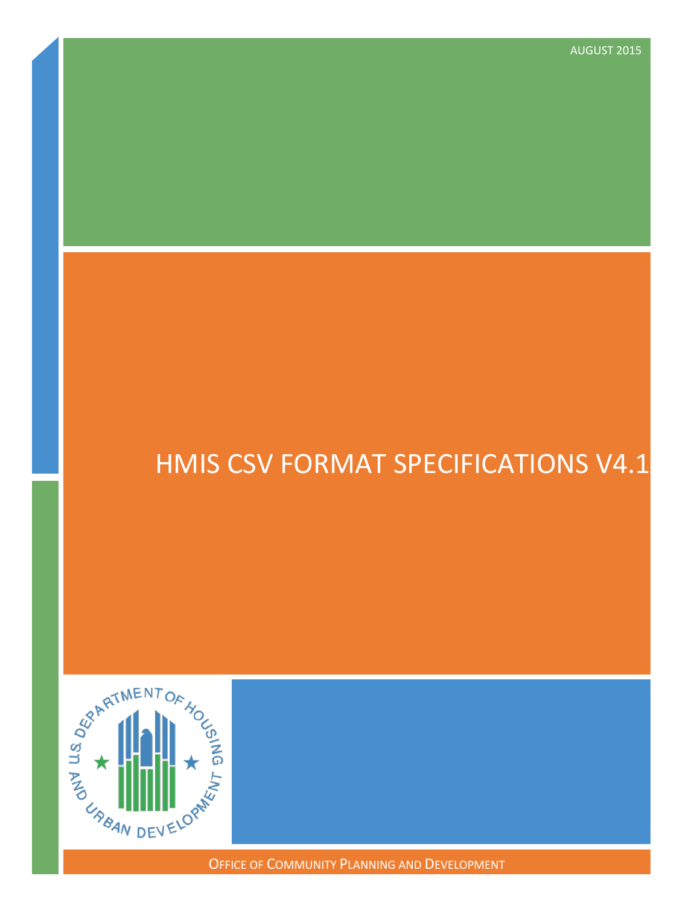# HMIS CSV FORMAT SPECIFICATIONS V4.1



OFFICE OF COMMUNITY PLANNING AND DEVELOPMENT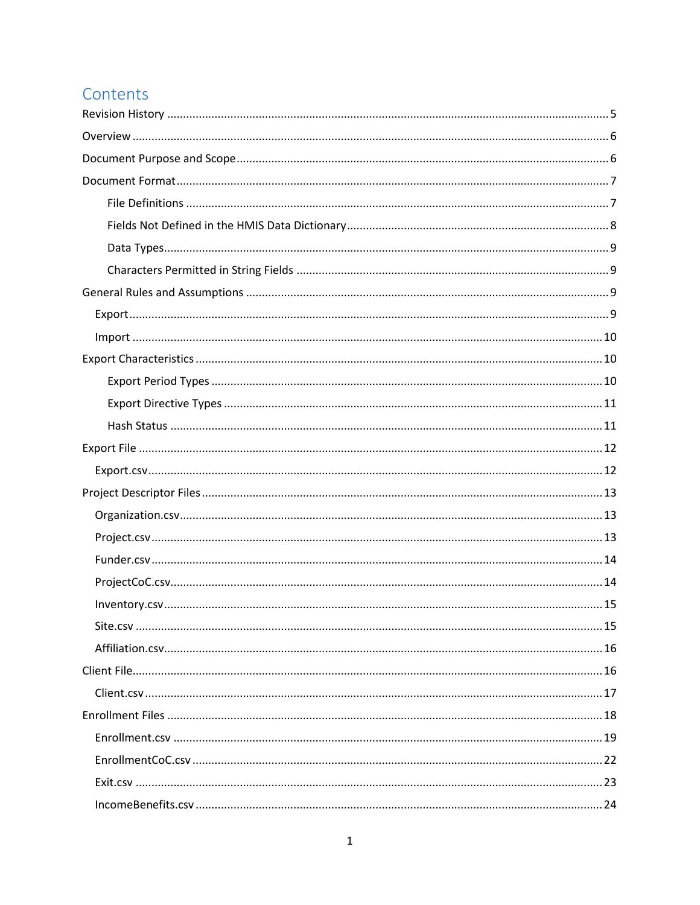## Contents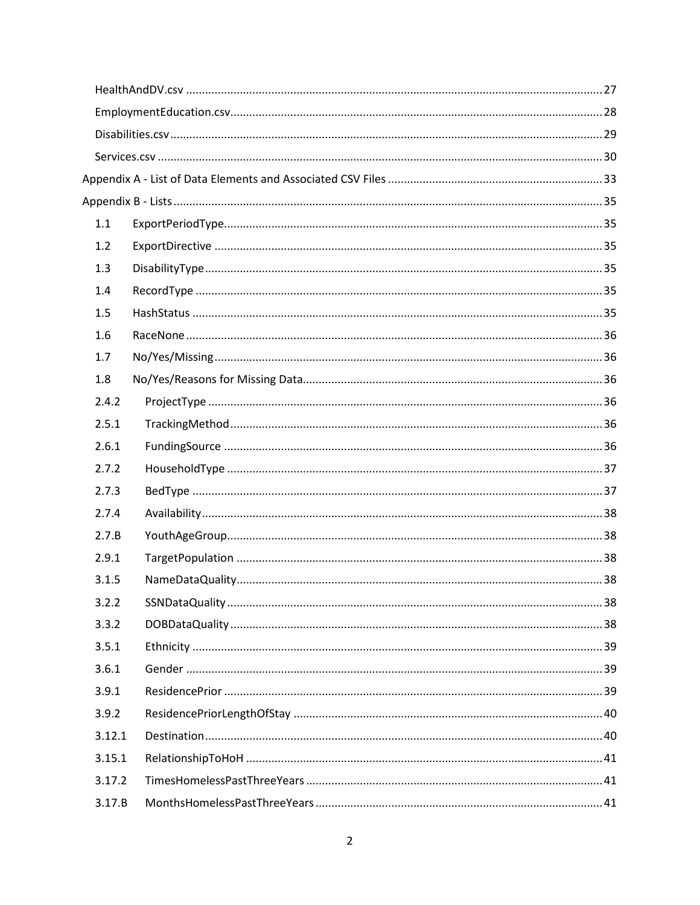| 1.1    |  |
|--------|--|
| 1.2    |  |
| 1.3    |  |
| 1.4    |  |
| 1.5    |  |
| 1.6    |  |
| 1.7    |  |
| 1.8    |  |
| 2.4.2  |  |
| 2.5.1  |  |
| 2.6.1  |  |
| 2.7.2  |  |
| 2.7.3  |  |
| 2.7.4  |  |
| 2.7.B  |  |
| 2.9.1  |  |
| 3.1.5  |  |
| 3.2.2  |  |
| 3.3.2  |  |
| 3.5.1  |  |
| 3.6.1  |  |
| 3.9.1  |  |
| 3.9.2  |  |
| 3.12.1 |  |
| 3.15.1 |  |
| 3.17.2 |  |
| 3.17.B |  |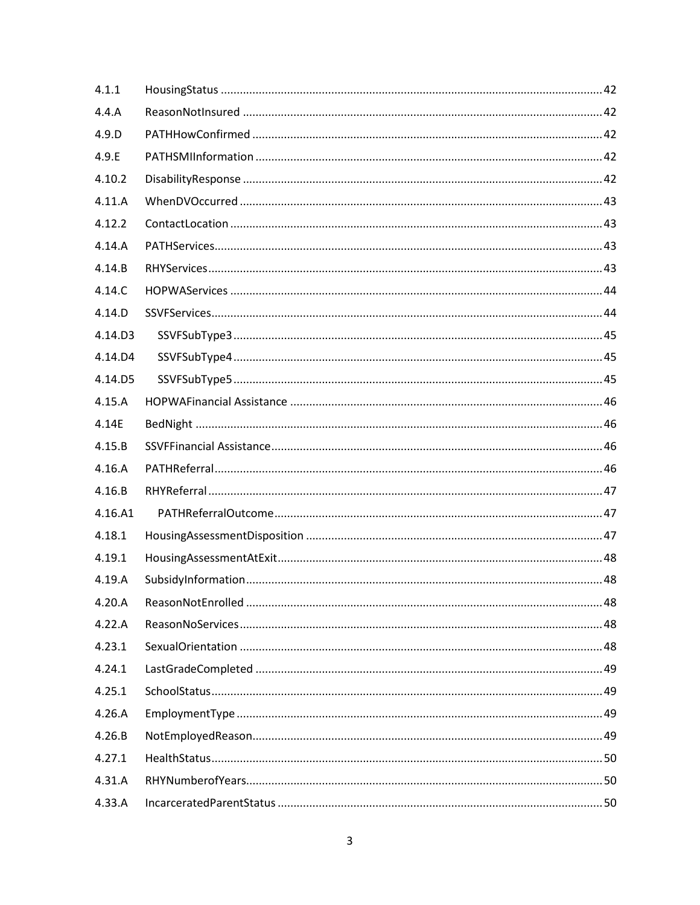| 4.1.1   |  |
|---------|--|
| 4.4.A   |  |
| 4.9.D   |  |
| 4.9.E   |  |
| 4.10.2  |  |
| 4.11.A  |  |
| 4.12.2  |  |
| 4.14.A  |  |
| 4.14.B  |  |
| 4.14.C  |  |
| 4.14.D  |  |
| 4.14.D3 |  |
| 4.14.D4 |  |
| 4.14.D5 |  |
| 4.15.A  |  |
| 4.14E   |  |
| 4.15.B  |  |
| 4.16.A  |  |
| 4.16.B  |  |
| 4.16.A1 |  |
| 4.18.1  |  |
| 4.19.1  |  |
| 4.19.A  |  |
| 4.20.A  |  |
| 4.22.A  |  |
| 4.23.1  |  |
| 4.24.1  |  |
| 4.25.1  |  |
| 4.26.A  |  |
| 4.26.B  |  |
| 4.27.1  |  |
| 4.31.A  |  |
| 4.33.A  |  |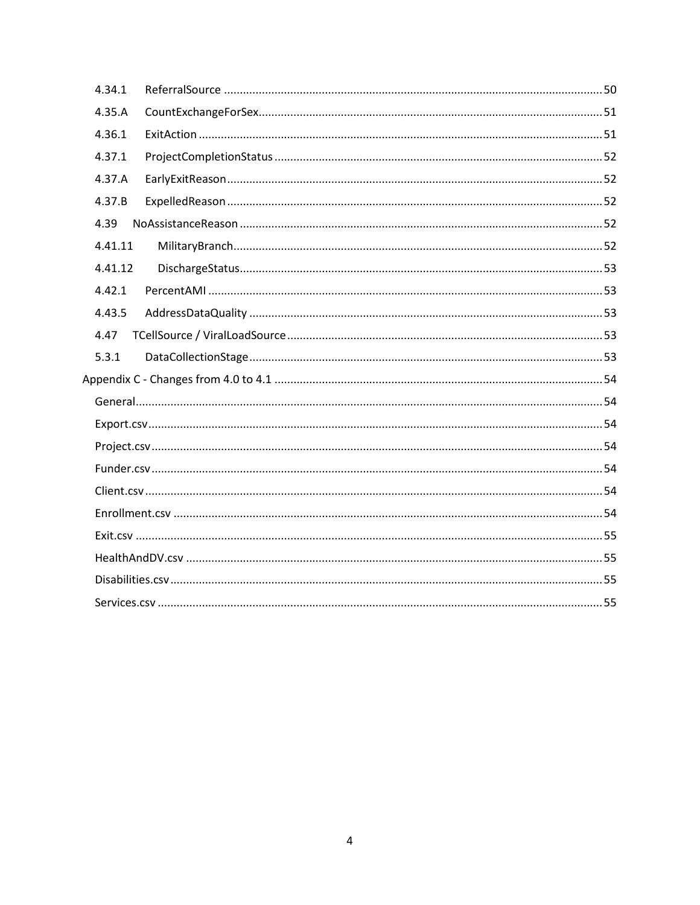| 4.34.1  |  |
|---------|--|
| 4.35.A  |  |
| 4.36.1  |  |
| 4.37.1  |  |
| 4.37.A  |  |
| 4.37.B  |  |
| 4.39    |  |
| 4.41.11 |  |
| 4.41.12 |  |
| 4.42.1  |  |
| 4.43.5  |  |
| 4.47    |  |
| 5.3.1   |  |
|         |  |
|         |  |
|         |  |
|         |  |
|         |  |
|         |  |
|         |  |
|         |  |
|         |  |
|         |  |
|         |  |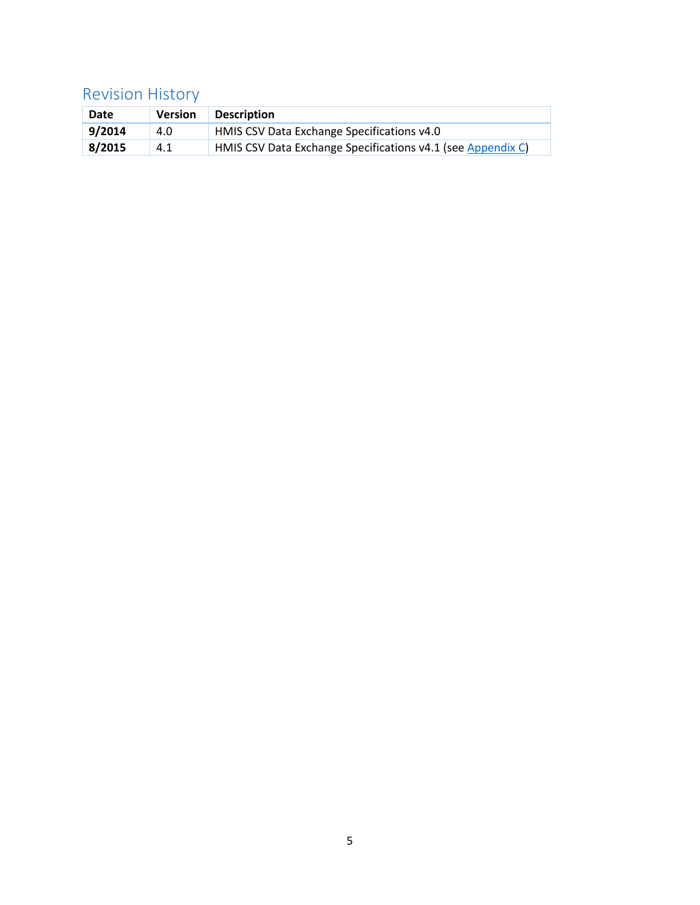## <span id="page-5-0"></span>Revision History

| Date   | <b>Version</b> | <b>Description</b>                                          |
|--------|----------------|-------------------------------------------------------------|
| 9/2014 | 4.0            | HMIS CSV Data Exchange Specifications v4.0                  |
| 8/2015 | 4.1            | HMIS CSV Data Exchange Specifications v4.1 (see Appendix C) |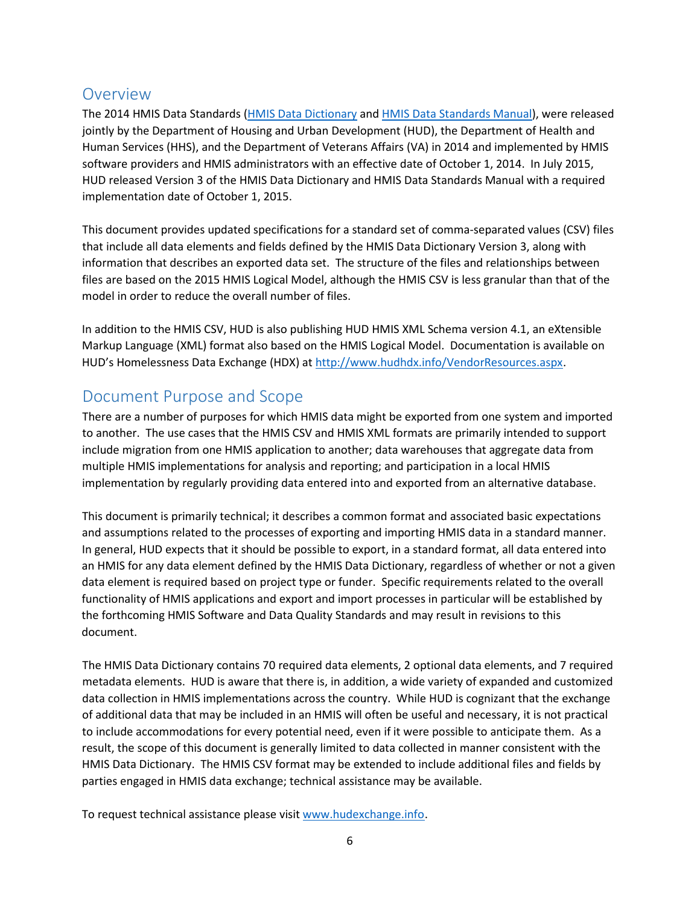## <span id="page-6-0"></span>**Overview**

The 2014 HMIS Data Standards [\(HMIS Data Dictionary](https://www.hudexchange.info/resources/documents/HMIS-Data-Dictionary.pdf) and [HMIS Data Standards Manual\)](https://www.hudexchange.info/resources/documents/HMIS-Data-Standards-Manual.pdf), were released jointly by the Department of Housing and Urban Development (HUD), the Department of Health and Human Services (HHS), and the Department of Veterans Affairs (VA) in 2014 and implemented by HMIS software providers and HMIS administrators with an effective date of October 1, 2014. In July 2015, HUD released Version 3 of the HMIS Data Dictionary and HMIS Data Standards Manual with a required implementation date of October 1, 2015.

This document provides updated specifications for a standard set of comma-separated values (CSV) files that include all data elements and fields defined by the HMIS Data Dictionary Version 3, along with information that describes an exported data set. The structure of the files and relationships between files are based on the 2015 HMIS Logical Model, although the HMIS CSV is less granular than that of the model in order to reduce the overall number of files.

In addition to the HMIS CSV, HUD is also publishing HUD HMIS XML Schema version 4.1, an eXtensible Markup Language (XML) format also based on the HMIS Logical Model. Documentation is available on HUD's Homelessness Data Exchange (HDX) at [http://www.hudhdx.info/VendorResources.aspx.](http://www.hudhdx.info/VendorResources.aspx)

## <span id="page-6-1"></span>Document Purpose and Scope

There are a number of purposes for which HMIS data might be exported from one system and imported to another. The use cases that the HMIS CSV and HMIS XML formats are primarily intended to support include migration from one HMIS application to another; data warehouses that aggregate data from multiple HMIS implementations for analysis and reporting; and participation in a local HMIS implementation by regularly providing data entered into and exported from an alternative database.

This document is primarily technical; it describes a common format and associated basic expectations and assumptions related to the processes of exporting and importing HMIS data in a standard manner. In general, HUD expects that it should be possible to export, in a standard format, all data entered into an HMIS for any data element defined by the HMIS Data Dictionary, regardless of whether or not a given data element is required based on project type or funder. Specific requirements related to the overall functionality of HMIS applications and export and import processes in particular will be established by the forthcoming HMIS Software and Data Quality Standards and may result in revisions to this document.

The HMIS Data Dictionary contains 70 required data elements, 2 optional data elements, and 7 required metadata elements. HUD is aware that there is, in addition, a wide variety of expanded and customized data collection in HMIS implementations across the country. While HUD is cognizant that the exchange of additional data that may be included in an HMIS will often be useful and necessary, it is not practical to include accommodations for every potential need, even if it were possible to anticipate them. As a result, the scope of this document is generally limited to data collected in manner consistent with the HMIS Data Dictionary. The HMIS CSV format may be extended to include additional files and fields by parties engaged in HMIS data exchange; technical assistance may be available.

To request technical assistance please visit [www.hudexchange.info.](http://www.hudexchange.info/)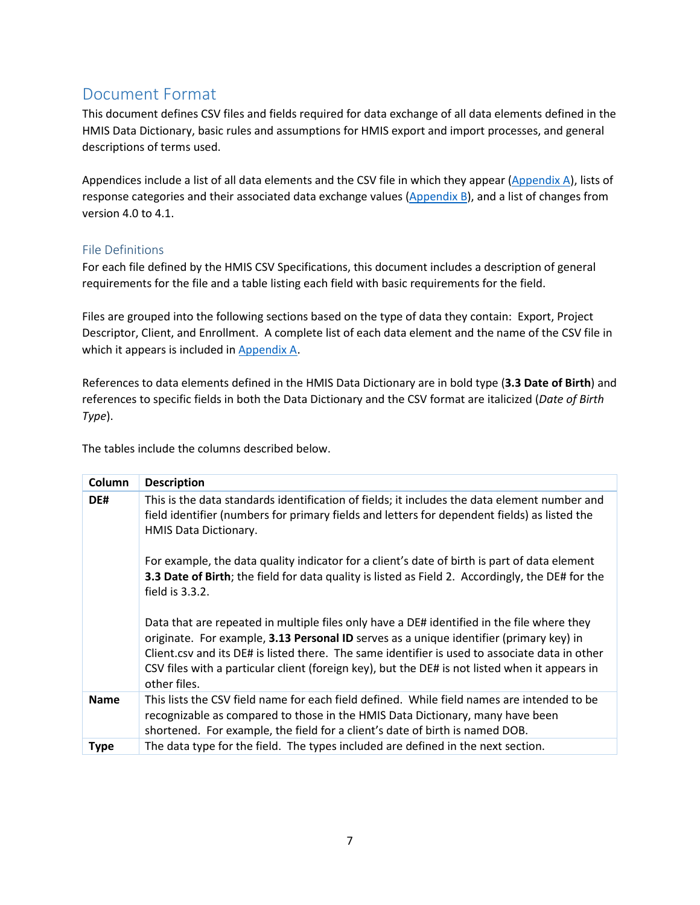## <span id="page-7-0"></span>Document Format

This document defines CSV files and fields required for data exchange of all data elements defined in the HMIS Data Dictionary, basic rules and assumptions for HMIS export and import processes, and general descriptions of terms used.

Appendices include a list of all data elements and the CSV file in which they appear [\(Appendix](#page-33-0) A), lists of response categories and their associated data exchange values [\(Appendix](#page-35-0) B), and a list of changes from version 4.0 to 4.1.

### <span id="page-7-1"></span>File Definitions

For each file defined by the HMIS CSV Specifications, this document includes a description of general requirements for the file and a table listing each field with basic requirements for the field.

Files are grouped into the following sections based on the type of data they contain: Export, Project Descriptor, Client, and Enrollment. A complete list of each data element and the name of the CSV file in which it appears is included in [Appendix](#page-33-0) A.

References to data elements defined in the HMIS Data Dictionary are in bold type (**3.3 Date of Birth**) and references to specific fields in both the Data Dictionary and the CSV format are italicized (*Date of Birth Type*).

The tables include the columns described below.

| Column      | <b>Description</b>                                                                                                                                                                                                                                                                                                                                                                                        |
|-------------|-----------------------------------------------------------------------------------------------------------------------------------------------------------------------------------------------------------------------------------------------------------------------------------------------------------------------------------------------------------------------------------------------------------|
| DE#         | This is the data standards identification of fields; it includes the data element number and<br>field identifier (numbers for primary fields and letters for dependent fields) as listed the<br>HMIS Data Dictionary.                                                                                                                                                                                     |
|             | For example, the data quality indicator for a client's date of birth is part of data element<br>3.3 Date of Birth; the field for data quality is listed as Field 2. Accordingly, the DE# for the<br>field is 3.3.2.                                                                                                                                                                                       |
|             | Data that are repeated in multiple files only have a DE# identified in the file where they<br>originate. For example, 3.13 Personal ID serves as a unique identifier (primary key) in<br>Client.csv and its DE# is listed there. The same identifier is used to associate data in other<br>CSV files with a particular client (foreign key), but the DE# is not listed when it appears in<br>other files. |
| <b>Name</b> | This lists the CSV field name for each field defined. While field names are intended to be<br>recognizable as compared to those in the HMIS Data Dictionary, many have been<br>shortened. For example, the field for a client's date of birth is named DOB.                                                                                                                                               |
| <b>Type</b> | The data type for the field. The types included are defined in the next section.                                                                                                                                                                                                                                                                                                                          |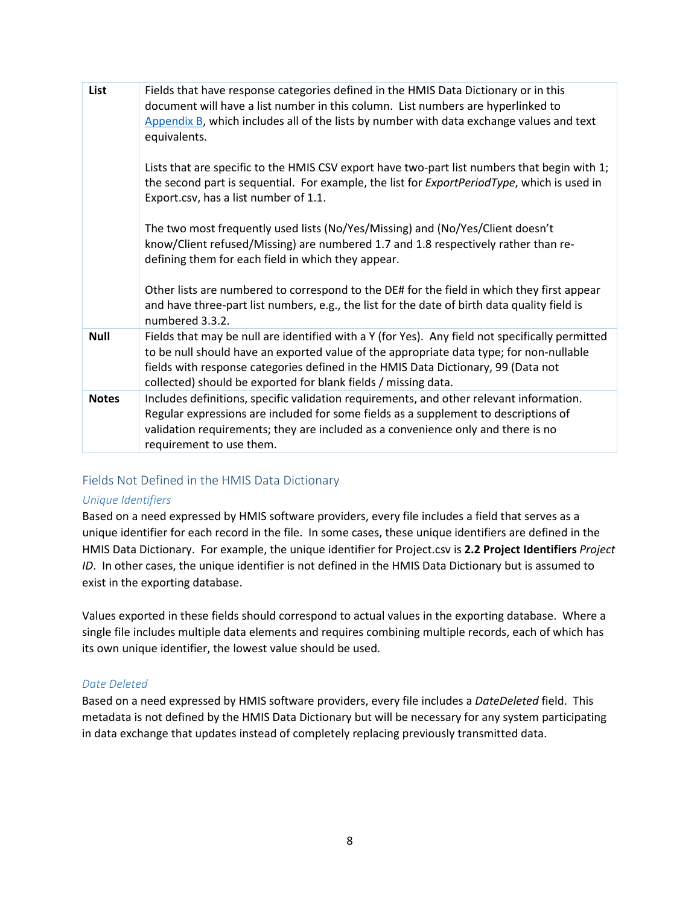| List         | Fields that have response categories defined in the HMIS Data Dictionary or in this<br>document will have a list number in this column. List numbers are hyperlinked to<br>Appendix B, which includes all of the lists by number with data exchange values and text<br>equivalents.                                                               |
|--------------|---------------------------------------------------------------------------------------------------------------------------------------------------------------------------------------------------------------------------------------------------------------------------------------------------------------------------------------------------|
|              | Lists that are specific to the HMIS CSV export have two-part list numbers that begin with 1;<br>the second part is sequential. For example, the list for <i>ExportPeriodType</i> , which is used in<br>Export.csv, has a list number of 1.1.                                                                                                      |
|              | The two most frequently used lists (No/Yes/Missing) and (No/Yes/Client doesn't<br>know/Client refused/Missing) are numbered 1.7 and 1.8 respectively rather than re-<br>defining them for each field in which they appear.                                                                                                                        |
|              | Other lists are numbered to correspond to the DE# for the field in which they first appear<br>and have three-part list numbers, e.g., the list for the date of birth data quality field is<br>numbered 3.3.2.                                                                                                                                     |
| <b>Null</b>  | Fields that may be null are identified with a Y (for Yes). Any field not specifically permitted<br>to be null should have an exported value of the appropriate data type; for non-nullable<br>fields with response categories defined in the HMIS Data Dictionary, 99 (Data not<br>collected) should be exported for blank fields / missing data. |
| <b>Notes</b> | Includes definitions, specific validation requirements, and other relevant information.<br>Regular expressions are included for some fields as a supplement to descriptions of<br>validation requirements; they are included as a convenience only and there is no<br>requirement to use them.                                                    |

### <span id="page-8-0"></span>Fields Not Defined in the HMIS Data Dictionary

#### *Unique Identifiers*

Based on a need expressed by HMIS software providers, every file includes a field that serves as a unique identifier for each record in the file. In some cases, these unique identifiers are defined in the HMIS Data Dictionary. For example, the unique identifier for Project.csv is **2.2 Project Identifiers** *Project ID*. In other cases, the unique identifier is not defined in the HMIS Data Dictionary but is assumed to exist in the exporting database.

Values exported in these fields should correspond to actual values in the exporting database. Where a single file includes multiple data elements and requires combining multiple records, each of which has its own unique identifier, the lowest value should be used.

#### *Date Deleted*

Based on a need expressed by HMIS software providers, every file includes a *DateDeleted* field. This metadata is not defined by the HMIS Data Dictionary but will be necessary for any system participating in data exchange that updates instead of completely replacing previously transmitted data.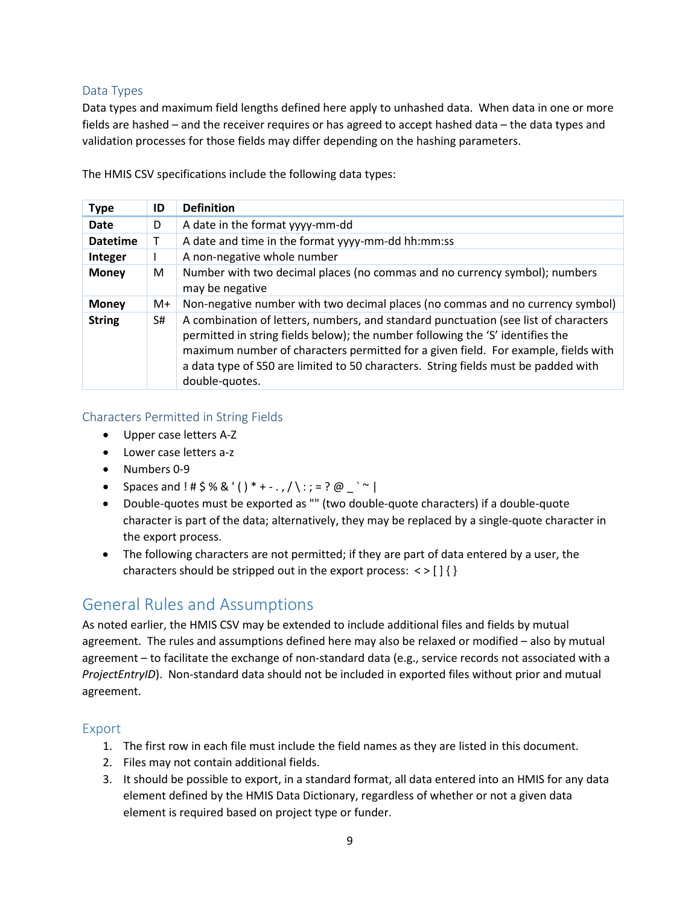### <span id="page-9-0"></span>Data Types

Data types and maximum field lengths defined here apply to unhashed data. When data in one or more fields are hashed – and the receiver requires or has agreed to accept hashed data – the data types and validation processes for those fields may differ depending on the hashing parameters.

| <b>Type</b>     | ID | <b>Definition</b>                                                                                                                                                                                                                                                                                                                                                   |
|-----------------|----|---------------------------------------------------------------------------------------------------------------------------------------------------------------------------------------------------------------------------------------------------------------------------------------------------------------------------------------------------------------------|
| Date            | D  | A date in the format yyyy-mm-dd                                                                                                                                                                                                                                                                                                                                     |
| <b>Datetime</b> | т  | A date and time in the format yyyy-mm-dd hh:mm:ss                                                                                                                                                                                                                                                                                                                   |
| Integer         |    | A non-negative whole number                                                                                                                                                                                                                                                                                                                                         |
| <b>Money</b>    | М  | Number with two decimal places (no commas and no currency symbol); numbers<br>may be negative                                                                                                                                                                                                                                                                       |
| <b>Money</b>    | M+ | Non-negative number with two decimal places (no commas and no currency symbol)                                                                                                                                                                                                                                                                                      |
| <b>String</b>   | S# | A combination of letters, numbers, and standard punctuation (see list of characters<br>permitted in string fields below); the number following the 'S' identifies the<br>maximum number of characters permitted for a given field. For example, fields with<br>a data type of S50 are limited to 50 characters. String fields must be padded with<br>double-quotes. |

The HMIS CSV specifications include the following data types:

### <span id="page-9-1"></span>Characters Permitted in String Fields

- Upper case letters A-Z
- Lower case letters a-z
- Numbers 0-9
- Spaces and ! #  $$% & ( ) * + .$ ,  $/ \ : = ? @ \t~' \t~ |$
- Double-quotes must be exported as "" (two double-quote characters) if a double-quote character is part of the data; alternatively, they may be replaced by a single-quote character in the export process.
- The following characters are not permitted; if they are part of data entered by a user, the characters should be stripped out in the export process:  $\langle \rangle$  [] { }

## <span id="page-9-2"></span>General Rules and Assumptions

As noted earlier, the HMIS CSV may be extended to include additional files and fields by mutual agreement. The rules and assumptions defined here may also be relaxed or modified – also by mutual agreement – to facilitate the exchange of non-standard data (e.g., service records not associated with a *ProjectEntryID*). Non-standard data should not be included in exported files without prior and mutual agreement.

### <span id="page-9-3"></span>Export

- 1. The first row in each file must include the field names as they are listed in this document.
- 2. Files may not contain additional fields.
- 3. It should be possible to export, in a standard format, all data entered into an HMIS for any data element defined by the HMIS Data Dictionary, regardless of whether or not a given data element is required based on project type or funder.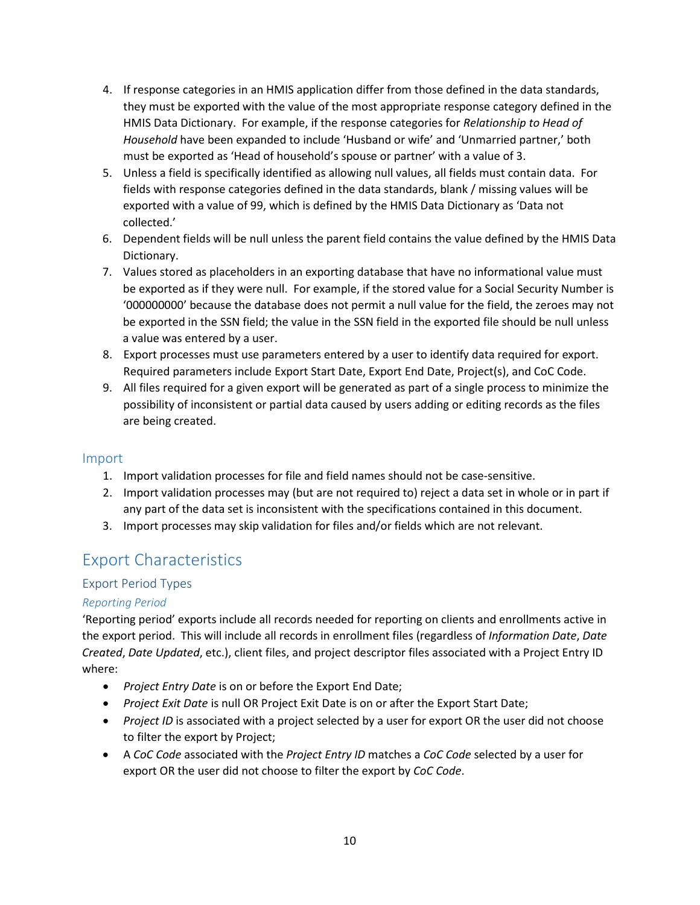- 4. If response categories in an HMIS application differ from those defined in the data standards, they must be exported with the value of the most appropriate response category defined in the HMIS Data Dictionary. For example, if the response categories for *Relationship to Head of Household* have been expanded to include 'Husband or wife' and 'Unmarried partner,' both must be exported as 'Head of household's spouse or partner' with a value of 3.
- 5. Unless a field is specifically identified as allowing null values, all fields must contain data. For fields with response categories defined in the data standards, blank / missing values will be exported with a value of 99, which is defined by the HMIS Data Dictionary as 'Data not collected.'
- 6. Dependent fields will be null unless the parent field contains the value defined by the HMIS Data Dictionary.
- 7. Values stored as placeholders in an exporting database that have no informational value must be exported as if they were null. For example, if the stored value for a Social Security Number is '000000000' because the database does not permit a null value for the field, the zeroes may not be exported in the SSN field; the value in the SSN field in the exported file should be null unless a value was entered by a user.
- 8. Export processes must use parameters entered by a user to identify data required for export. Required parameters include Export Start Date, Export End Date, Project(s), and CoC Code.
- 9. All files required for a given export will be generated as part of a single process to minimize the possibility of inconsistent or partial data caused by users adding or editing records as the files are being created.

### <span id="page-10-0"></span>Import

- 1. Import validation processes for file and field names should not be case-sensitive.
- 2. Import validation processes may (but are not required to) reject a data set in whole or in part if any part of the data set is inconsistent with the specifications contained in this document.
- 3. Import processes may skip validation for files and/or fields which are not relevant.

## <span id="page-10-1"></span>Export Characteristics

### <span id="page-10-2"></span>Export Period Types

### *Reporting Period*

'Reporting period' exports include all records needed for reporting on clients and enrollments active in the export period. This will include all records in enrollment files (regardless of *Information Date*, *Date Created*, *Date Updated*, etc.), client files, and project descriptor files associated with a Project Entry ID where:

- *Project Entry Date* is on or before the Export End Date;
- *Project Exit Date* is null OR Project Exit Date is on or after the Export Start Date;
- *Project ID* is associated with a project selected by a user for export OR the user did not choose to filter the export by Project;
- A *CoC Code* associated with the *Project Entry ID* matches a *CoC Code* selected by a user for export OR the user did not choose to filter the export by *CoC Code*.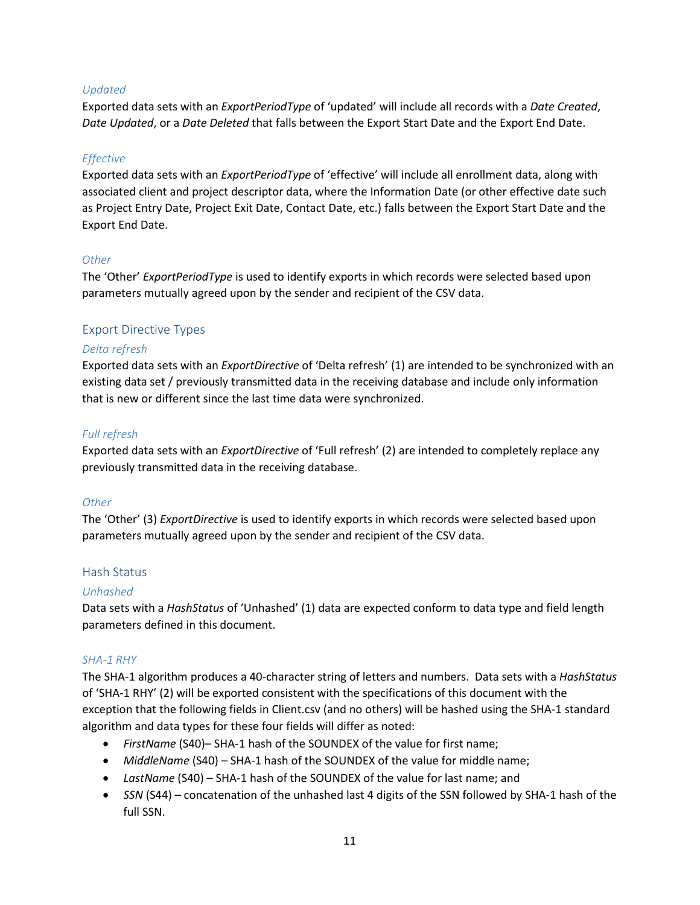#### *Updated*

Exported data sets with an *ExportPeriodType* of 'updated' will include all records with a *Date Created*, *Date Updated*, or a *Date Deleted* that falls between the Export Start Date and the Export End Date.

#### *Effective*

Exported data sets with an *ExportPeriodType* of 'effective' will include all enrollment data, along with associated client and project descriptor data, where the Information Date (or other effective date such as Project Entry Date, Project Exit Date, Contact Date, etc.) falls between the Export Start Date and the Export End Date.

#### *Other*

The 'Other' *ExportPeriodType* is used to identify exports in which records were selected based upon parameters mutually agreed upon by the sender and recipient of the CSV data.

#### <span id="page-11-0"></span>Export Directive Types

#### *Delta refresh*

Exported data sets with an *ExportDirective* of 'Delta refresh' (1) are intended to be synchronized with an existing data set / previously transmitted data in the receiving database and include only information that is new or different since the last time data were synchronized.

#### *Full refresh*

Exported data sets with an *ExportDirective* of 'Full refresh' (2) are intended to completely replace any previously transmitted data in the receiving database.

#### *Other*

The 'Other' (3) *ExportDirective* is used to identify exports in which records were selected based upon parameters mutually agreed upon by the sender and recipient of the CSV data.

#### <span id="page-11-1"></span>Hash Status

#### *Unhashed*

Data sets with a *HashStatus* of 'Unhashed' (1) data are expected conform to data type and field length parameters defined in this document.

#### <span id="page-11-2"></span>*SHA-1 RHY*

The SHA-1 algorithm produces a 40-character string of letters and numbers. Data sets with a *HashStatus* of 'SHA-1 RHY' (2) will be exported consistent with the specifications of this document with the exception that the following fields in Client.csv (and no others) will be hashed using the SHA-1 standard algorithm and data types for these four fields will differ as noted:

- *FirstName* (S40)– SHA-1 hash of the SOUNDEX of the value for first name;
- *MiddleName* (S40) SHA-1 hash of the SOUNDEX of the value for middle name;
- *LastName* (S40) SHA-1 hash of the SOUNDEX of the value for last name; and
- *SSN* (S44) concatenation of the unhashed last 4 digits of the SSN followed by SHA-1 hash of the full SSN.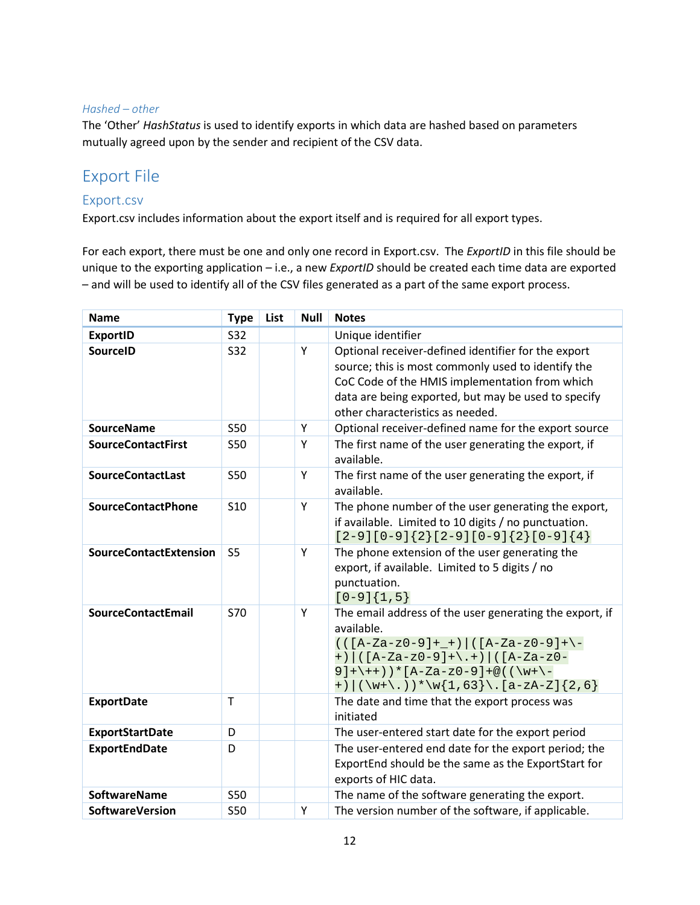#### *Hashed – other*

<span id="page-12-2"></span>The 'Other' *HashStatus* is used to identify exports in which data are hashed based on parameters mutually agreed upon by the sender and recipient of the CSV data.

## <span id="page-12-0"></span>Export File

### <span id="page-12-1"></span>Export.csv

Export.csv includes information about the export itself and is required for all export types.

For each export, there must be one and only one record in Export.csv. The *ExportID* in this file should be unique to the exporting application – i.e., a new *ExportID* should be created each time data are exported – and will be used to identify all of the CSV files generated as a part of the same export process.

| <b>Name</b>                   | <b>Type</b>                                         | List            | <b>Null</b>                                   | <b>Notes</b>                                                                                                                                                                                                                                           |  |  |
|-------------------------------|-----------------------------------------------------|-----------------|-----------------------------------------------|--------------------------------------------------------------------------------------------------------------------------------------------------------------------------------------------------------------------------------------------------------|--|--|
| <b>ExportID</b>               | <b>S32</b>                                          |                 |                                               | Unique identifier                                                                                                                                                                                                                                      |  |  |
| <b>SourceID</b>               | <b>S32</b>                                          |                 | Y                                             | Optional receiver-defined identifier for the export<br>source; this is most commonly used to identify the<br>CoC Code of the HMIS implementation from which<br>data are being exported, but may be used to specify<br>other characteristics as needed. |  |  |
| <b>SourceName</b>             | <b>S50</b>                                          |                 | Y                                             | Optional receiver-defined name for the export source                                                                                                                                                                                                   |  |  |
| <b>SourceContactFirst</b>     | <b>S50</b>                                          |                 | Y                                             | The first name of the user generating the export, if<br>available.                                                                                                                                                                                     |  |  |
| <b>SourceContactLast</b>      | <b>S50</b>                                          |                 | Y                                             | The first name of the user generating the export, if<br>available.                                                                                                                                                                                     |  |  |
| <b>SourceContactPhone</b>     | <b>S10</b>                                          |                 | Y                                             | The phone number of the user generating the export,<br>if available. Limited to 10 digits / no punctuation.<br>$[2-9][0-9]\{2\}[2-9][0-9]\{2\}[0-9]\{4\}$                                                                                              |  |  |
| <b>SourceContactExtension</b> | S <sub>5</sub><br>Y<br>punctuation.<br>$[0-9]{1,5}$ |                 |                                               | The phone extension of the user generating the<br>export, if available. Limited to 5 digits / no                                                                                                                                                       |  |  |
| <b>SourceContactEmail</b>     | <b>S70</b>                                          | Y<br>available. |                                               | The email address of the user generating the export, if<br>$(([A-Za-z0-9]++)([A-Za-z0-9]+-)$<br>+) $((A-Za-z0-9)+\1+)$ $((A-Za-z0-$<br>$9]+(++)$ ) * [A-Za-z0-9] + @ ( ( \w+ \ -<br>+) $(\w+\\. ) * \w{1, 63} \ . [a-zA-Z]{2, 6}$                      |  |  |
| <b>ExportDate</b>             | $\mathsf{T}$<br>initiated                           |                 | The date and time that the export process was |                                                                                                                                                                                                                                                        |  |  |
| <b>ExportStartDate</b>        | D                                                   |                 |                                               | The user-entered start date for the export period                                                                                                                                                                                                      |  |  |
| <b>ExportEndDate</b>          | D                                                   |                 |                                               | The user-entered end date for the export period; the<br>ExportEnd should be the same as the ExportStart for<br>exports of HIC data.                                                                                                                    |  |  |
| <b>SoftwareName</b>           | <b>S50</b>                                          |                 |                                               | The name of the software generating the export.                                                                                                                                                                                                        |  |  |
| <b>SoftwareVersion</b>        | <b>S50</b>                                          |                 | Y                                             | The version number of the software, if applicable.                                                                                                                                                                                                     |  |  |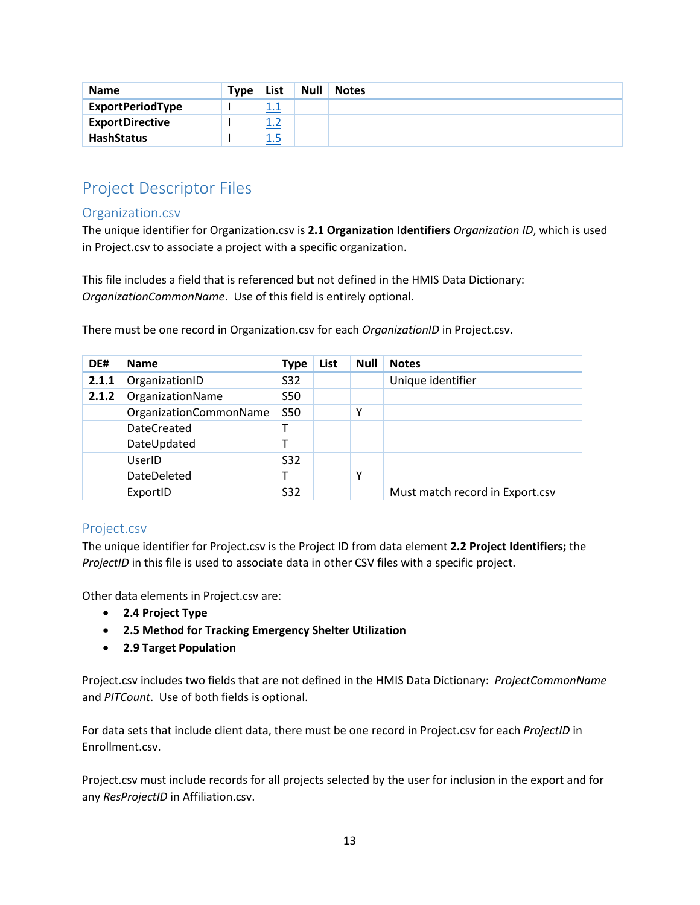| <b>Name</b>             | <b>Type</b> | List      | <b>Null</b> | <b>Notes</b> |
|-------------------------|-------------|-----------|-------------|--------------|
| <b>ExportPeriodType</b> |             | 11<br>1.T |             |              |
| <b>ExportDirective</b>  |             |           |             |              |
| <b>HashStatus</b>       |             | 1.5       |             |              |

## <span id="page-13-0"></span>Project Descriptor Files

### <span id="page-13-1"></span>Organization.csv

The unique identifier for Organization.csv is **2.1 Organization Identifiers** *Organization ID*, which is used in Project.csv to associate a project with a specific organization.

This file includes a field that is referenced but not defined in the HMIS Data Dictionary: *OrganizationCommonName*. Use of this field is entirely optional.

| DE#   | <b>Name</b>            | <b>Type</b> | List | <b>Null</b> | <b>Notes</b>                    |
|-------|------------------------|-------------|------|-------------|---------------------------------|
| 2.1.1 | OrganizationID         | S32         |      |             | Unique identifier               |
| 2.1.2 | OrganizationName       | <b>S50</b>  |      |             |                                 |
|       | OrganizationCommonName | <b>S50</b>  |      | v           |                                 |
|       | <b>DateCreated</b>     | т           |      |             |                                 |
|       | DateUpdated            |             |      |             |                                 |
|       | UserID                 | S32         |      |             |                                 |
|       | DateDeleted            |             |      | v           |                                 |
|       | ExportID               | S32         |      |             | Must match record in Export.csv |

There must be one record in Organization.csv for each *OrganizationID* in Project.csv.

### <span id="page-13-2"></span>Project.csv

The unique identifier for Project.csv is the Project ID from data element **2.2 Project Identifiers;** the *ProjectID* in this file is used to associate data in other CSV files with a specific project.

Other data elements in Project.csv are:

- **2.4 Project Type**
- **2.5 Method for Tracking Emergency Shelter Utilization**
- **2.9 Target Population**

Project.csv includes two fields that are not defined in the HMIS Data Dictionary: *ProjectCommonName* and *PITCount*. Use of both fields is optional.

For data sets that include client data, there must be one record in Project.csv for each *ProjectID* in Enrollment.csv.

Project.csv must include records for all projects selected by the user for inclusion in the export and for any *ResProjectID* in Affiliation.csv.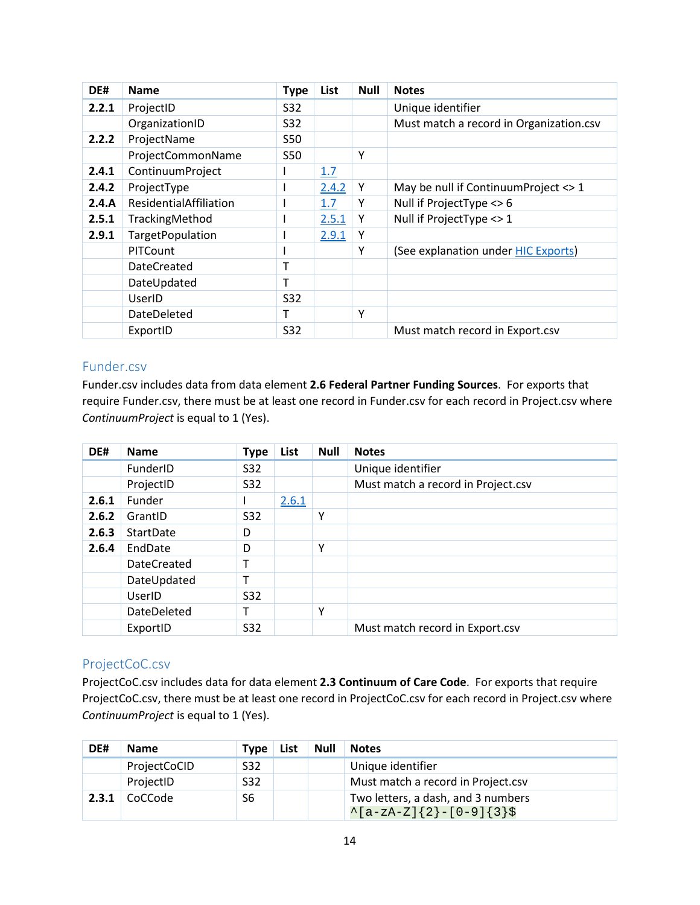| DE#   | <b>Name</b>            | <b>Type</b> | List  | <b>Null</b> | <b>Notes</b>                            |
|-------|------------------------|-------------|-------|-------------|-----------------------------------------|
| 2.2.1 | ProjectID              | <b>S32</b>  |       |             | Unique identifier                       |
|       | OrganizationID         | S32         |       |             | Must match a record in Organization.csv |
| 2.2.2 | ProjectName            | <b>S50</b>  |       |             |                                         |
|       | ProjectCommonName      | <b>S50</b>  |       | Υ           |                                         |
| 2.4.1 | ContinuumProject       |             | 1.7   |             |                                         |
| 2.4.2 | ProjectType            |             | 2.4.2 | Y           | May be null if Continuum Project <> 1   |
| 2.4.A | ResidentialAffiliation |             | 1.7   | Υ           | Null if ProjectType <> 6                |
| 2.5.1 | TrackingMethod         |             | 2.5.1 | Υ           | Null if ProjectType <> 1                |
| 2.9.1 | TargetPopulation       |             | 2.9.1 | Υ           |                                         |
|       | <b>PITCount</b>        |             |       | Υ           | (See explanation under HIC Exports)     |
|       | DateCreated            | т           |       |             |                                         |
|       | DateUpdated            | T           |       |             |                                         |
|       | UserID                 | <b>S32</b>  |       |             |                                         |
|       | <b>DateDeleted</b>     | т           |       | Y           |                                         |
|       | ExportID               | <b>S32</b>  |       |             | Must match record in Export.csv         |

### <span id="page-14-0"></span>Funder.csv

Funder.csv includes data from data element **2.6 Federal Partner Funding Sources**. For exports that require Funder.csv, there must be at least one record in Funder.csv for each record in Project.csv where *ContinuumProject* is equal to 1 (Yes).

| DE#   | <b>Name</b>        | <b>Type</b> | List  | <b>Null</b> | <b>Notes</b>                       |  |  |  |
|-------|--------------------|-------------|-------|-------------|------------------------------------|--|--|--|
|       | FunderID           | S32         |       |             | Unique identifier                  |  |  |  |
|       | ProjectID          | S32         |       |             | Must match a record in Project.csv |  |  |  |
| 2.6.1 | Funder             |             | 2.6.1 |             |                                    |  |  |  |
| 2.6.2 | GrantID            | S32         |       | Υ           |                                    |  |  |  |
| 2.6.3 | StartDate          | D           |       |             |                                    |  |  |  |
| 2.6.4 | EndDate            | D           |       | Υ           |                                    |  |  |  |
|       | <b>DateCreated</b> |             |       |             |                                    |  |  |  |
|       | DateUpdated        |             |       |             |                                    |  |  |  |
|       | UserID             | S32         |       |             |                                    |  |  |  |
|       | DateDeleted        |             |       | Υ           |                                    |  |  |  |
|       | ExportID           | S32         |       |             | Must match record in Export.csv    |  |  |  |

### <span id="page-14-1"></span>ProjectCoC.csv

ProjectCoC.csv includes data for data element **2.3 Continuum of Care Code**. For exports that require ProjectCoC.csv, there must be at least one record in ProjectCoC.csv for each record in Project.csv where *ContinuumProject* is equal to 1 (Yes).

| DE#   | <b>Name</b>  | Type | List | Null | <b>Notes</b>                       |  |
|-------|--------------|------|------|------|------------------------------------|--|
|       | ProjectCoCID | S32  |      |      | Unique identifier                  |  |
|       | ProjectID    | S32  |      |      | Must match a record in Project.csv |  |
| 2.3.1 | CoCCode      | S6   |      |      | Two letters, a dash, and 3 numbers |  |
|       |              |      |      |      | $\{a-zA-Z\}$ {2}-[0-9]{3}\$        |  |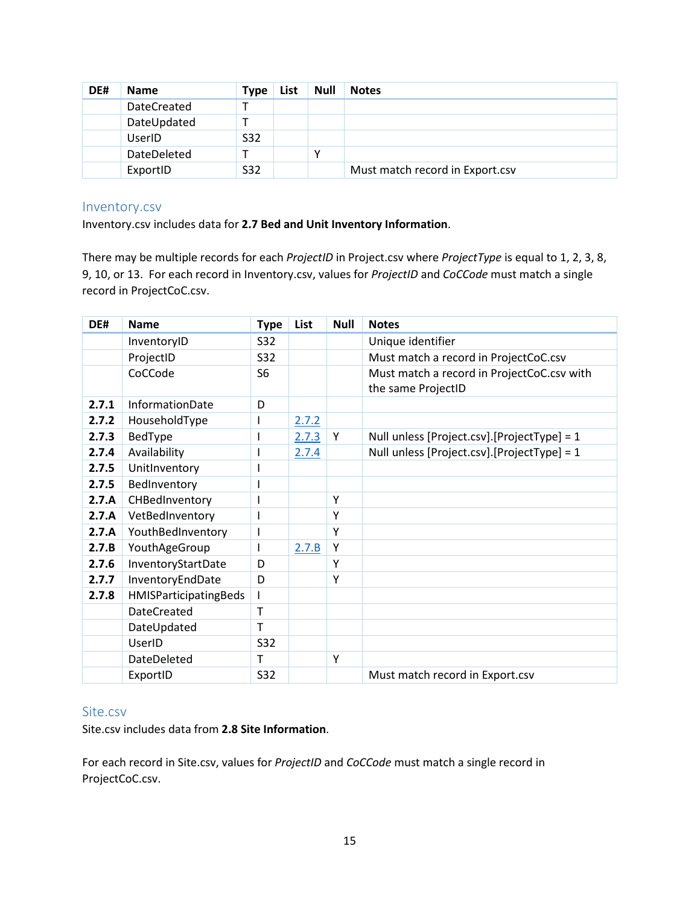| DE# | <b>Name</b> | Type | List | <b>Null</b> | <b>Notes</b>                    |
|-----|-------------|------|------|-------------|---------------------------------|
|     | DateCreated |      |      |             |                                 |
|     | DateUpdated |      |      |             |                                 |
|     | UserID      | S32  |      |             |                                 |
|     | DateDeleted |      |      |             |                                 |
|     | ExportID    | S32  |      |             | Must match record in Export.csv |

#### <span id="page-15-0"></span>Inventory.csv

Inventory.csv includes data for **2.7 Bed and Unit Inventory Information**.

There may be multiple records for each *ProjectID* in Project.csv where *ProjectType* is equal to 1, 2, 3, 8, 9, 10, or 13. For each record in Inventory.csv, values for *ProjectID* and *CoCCode* must match a single record in ProjectCoC.csv.

| DE#   | <b>Name</b>            | <b>Type</b>    | List  | <b>Null</b> | <b>Notes</b>                                                     |
|-------|------------------------|----------------|-------|-------------|------------------------------------------------------------------|
|       | InventoryID            | S32            |       |             | Unique identifier                                                |
|       | ProjectID              | S32            |       |             | Must match a record in ProjectCoC.csv                            |
|       | CoCCode                | S <sub>6</sub> |       |             | Must match a record in ProjectCoC.csv with<br>the same ProjectID |
| 2.7.1 | <b>InformationDate</b> | D              |       |             |                                                                  |
| 2.7.2 | HouseholdType          |                | 2.7.2 |             |                                                                  |
| 2.7.3 | BedType                |                | 2.7.3 | Y           | Null unless [Project.csv].[ProjectType] = 1                      |
| 2.7.4 | Availability           |                | 2.7.4 |             | Null unless [Project.csv].[ProjectType] = 1                      |
| 2.7.5 | UnitInventory          |                |       |             |                                                                  |
| 2.7.5 | BedInventory           |                |       |             |                                                                  |
| 2.7.A | CHBedInventory         |                |       | Y           |                                                                  |
| 2.7.A | VetBedInventory        |                |       | Y           |                                                                  |
| 2.7.A | YouthBedInventory      | I              |       | Y           |                                                                  |
| 2.7.B | YouthAgeGroup          |                | 2.7.B | Y           |                                                                  |
| 2.7.6 | InventoryStartDate     | D              |       | Y           |                                                                  |
| 2.7.7 | InventoryEndDate       | D              |       | Y           |                                                                  |
| 2.7.8 | HMISParticipatingBeds  |                |       |             |                                                                  |
|       | <b>DateCreated</b>     | Т              |       |             |                                                                  |
|       | DateUpdated            | т              |       |             |                                                                  |
|       | UserID                 | S32            |       |             |                                                                  |
|       | <b>DateDeleted</b>     | T              |       | Y           |                                                                  |
|       | ExportID               | <b>S32</b>     |       |             | Must match record in Export.csv                                  |

### <span id="page-15-1"></span>Site.csv

Site.csv includes data from **2.8 Site Information**.

For each record in Site.csv, values for *ProjectID* and *CoCCode* must match a single record in ProjectCoC.csv.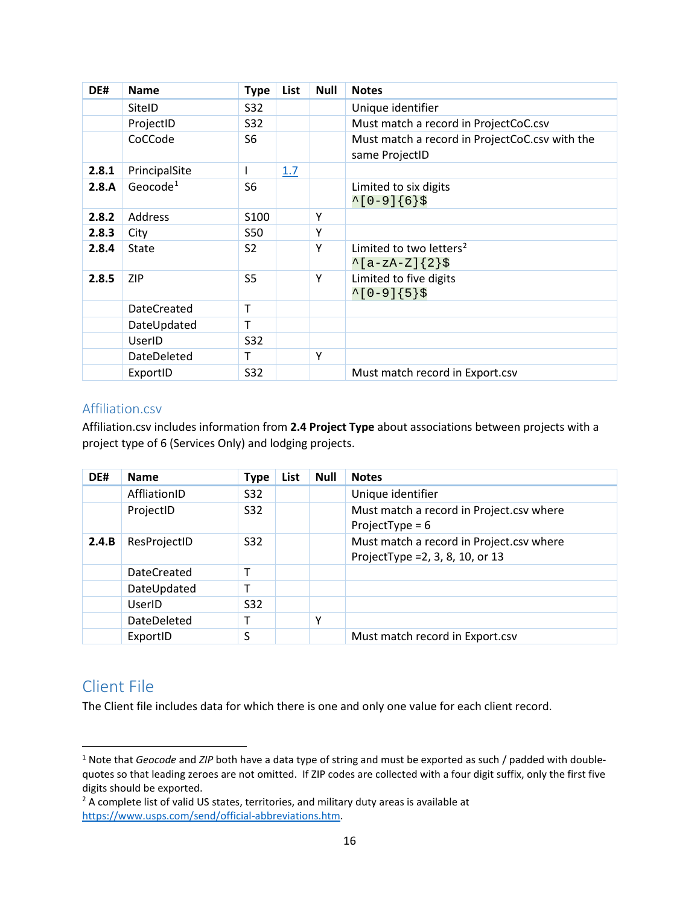| DE#   | <b>Name</b>          | <b>Type</b>    | List | <b>Null</b> | <b>Notes</b>                                                     |
|-------|----------------------|----------------|------|-------------|------------------------------------------------------------------|
|       | SitelD               | S32            |      |             | Unique identifier                                                |
|       | ProjectID            | S32            |      |             | Must match a record in ProjectCoC.csv                            |
|       | CoCCode              | S6             |      |             | Must match a record in ProjectCoC.csv with the<br>same ProjectID |
| 2.8.1 | PrincipalSite        | L              | 1.7  |             |                                                                  |
| 2.8.A | Geocode <sup>1</sup> | S6             |      |             | Limited to six digits<br>$^{\sim}$ [0-9]{6}\$                    |
| 2.8.2 | Address              | S100           |      | Υ           |                                                                  |
| 2.8.3 | City                 | S50            |      | Υ           |                                                                  |
| 2.8.4 | <b>State</b>         | S2             |      | Y           | Limited to two letters <sup>2</sup><br>$\{a-zA-Z\}$ {2}\$        |
| 2.8.5 | <b>ZIP</b>           | S <sub>5</sub> |      | Y           | Limited to five digits<br>$^{\sim}$ [0-9]{5}\$                   |
|       | <b>DateCreated</b>   | т              |      |             |                                                                  |
|       | DateUpdated          | т              |      |             |                                                                  |
|       | UserID               | S32            |      |             |                                                                  |
|       | <b>DateDeleted</b>   | т              |      | Y           |                                                                  |
|       | ExportID             | S32            |      |             | Must match record in Export.csv                                  |

### <span id="page-16-0"></span>Affiliation.csv

Affiliation.csv includes information from **2.4 Project Type** about associations between projects with a project type of 6 (Services Only) and lodging projects.

| DE#   | <b>Name</b>  | <b>Type</b>     | List | <b>Null</b> | <b>Notes</b>                                                                   |
|-------|--------------|-----------------|------|-------------|--------------------------------------------------------------------------------|
|       | AffliationID | S32             |      |             | Unique identifier                                                              |
|       | ProjectID    | S32             |      |             | Must match a record in Project.csv where<br>ProjectType = $6$                  |
| 2.4.B | ResProjectID | S <sub>32</sub> |      |             | Must match a record in Project.csv where<br>ProjectType = $2, 3, 8, 10,$ or 13 |
|       | DateCreated  | т               |      |             |                                                                                |
|       | DateUpdated  |                 |      |             |                                                                                |
|       | UserID       | S32             |      |             |                                                                                |
|       | DateDeleted  |                 |      | ۷           |                                                                                |
|       | ExportID     | S               |      |             | Must match record in Export.csv                                                |

## <span id="page-16-1"></span>Client File

The Client file includes data for which there is one and only one value for each client record.

<span id="page-16-2"></span><sup>&</sup>lt;sup>1</sup> Note that *Geocode* and *ZIP* both have a data type of string and must be exported as such / padded with doublequotes so that leading zeroes are not omitted. If ZIP codes are collected with a four digit suffix, only the first five digits should be exported.

<span id="page-16-3"></span><sup>&</sup>lt;sup>2</sup> A complete list of valid US states, territories, and military duty areas is available at [https://www.usps.com/send/official-abbreviations.htm.](https://www.usps.com/send/official-abbreviations.htm)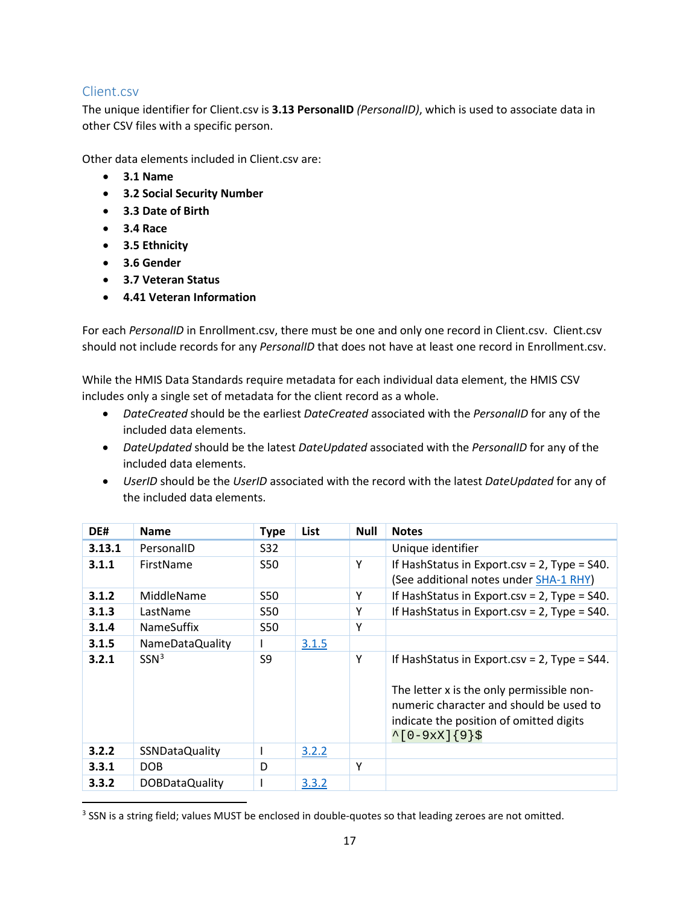### <span id="page-17-0"></span>Client.csv

The unique identifier for Client.csv is **3.13 PersonalID** *(PersonalID)*, which is used to associate data in other CSV files with a specific person.

Other data elements included in Client.csv are:

- **3.1 Name**
- **3.2 Social Security Number**
- **3.3 Date of Birth**
- **3.4 Race**
- **3.5 Ethnicity**
- **3.6 Gender**
- **3.7 Veteran Status**
- **4.41 Veteran Information**

For each *PersonalID* in Enrollment.csv, there must be one and only one record in Client.csv. Client.csv should not include records for any *PersonalID* that does not have at least one record in Enrollment.csv.

While the HMIS Data Standards require metadata for each individual data element, the HMIS CSV includes only a single set of metadata for the client record as a whole.

- *DateCreated* should be the earliest *DateCreated* associated with the *PersonalID* for any of the included data elements.
- *DateUpdated* should be the latest *DateUpdated* associated with the *PersonalID* for any of the included data elements.
- *UserID* should be the *UserID* associated with the record with the latest *DateUpdated* for any of the included data elements.

| DE#    | <b>Name</b>           | <b>Type</b> | List  | <b>Null</b> | <b>Notes</b>                                                                                                                                                                                             |
|--------|-----------------------|-------------|-------|-------------|----------------------------------------------------------------------------------------------------------------------------------------------------------------------------------------------------------|
| 3.13.1 | PersonalID            | S32         |       |             | Unique identifier                                                                                                                                                                                        |
| 3.1.1  | FirstName             | S50         |       | Y           | If HashStatus in Export.csv = $2$ , Type = S40.<br>(See additional notes under SHA-1 RHY)                                                                                                                |
| 3.1.2  | MiddleName            | S50         |       | Υ           | If HashStatus in Export.csv = $2$ , Type = $540$ .                                                                                                                                                       |
| 3.1.3  | LastName              | S50         |       | Y           | If HashStatus in Export.csv = $2$ , Type = S40.                                                                                                                                                          |
| 3.1.4  | <b>NameSuffix</b>     | S50         |       | Y           |                                                                                                                                                                                                          |
| 3.1.5  | NameDataQuality       |             | 3.1.5 |             |                                                                                                                                                                                                          |
| 3.2.1  | SSN <sup>3</sup>      | S9          |       | Y           | If HashStatus in Export.csv = $2$ , Type = S44.<br>The letter x is the only permissible non-<br>numeric character and should be used to<br>indicate the position of omitted digits<br>$^[0-9xX]\{9\}$ \$ |
| 3.2.2  | <b>SSNDataQuality</b> |             | 3.2.2 |             |                                                                                                                                                                                                          |
| 3.3.1  | DOB                   | D           |       | Y           |                                                                                                                                                                                                          |
| 3.3.2  | DOBDataQuality        |             | 3.3.2 |             |                                                                                                                                                                                                          |

<span id="page-17-1"></span><sup>&</sup>lt;sup>3</sup> SSN is a string field; values MUST be enclosed in double-quotes so that leading zeroes are not omitted.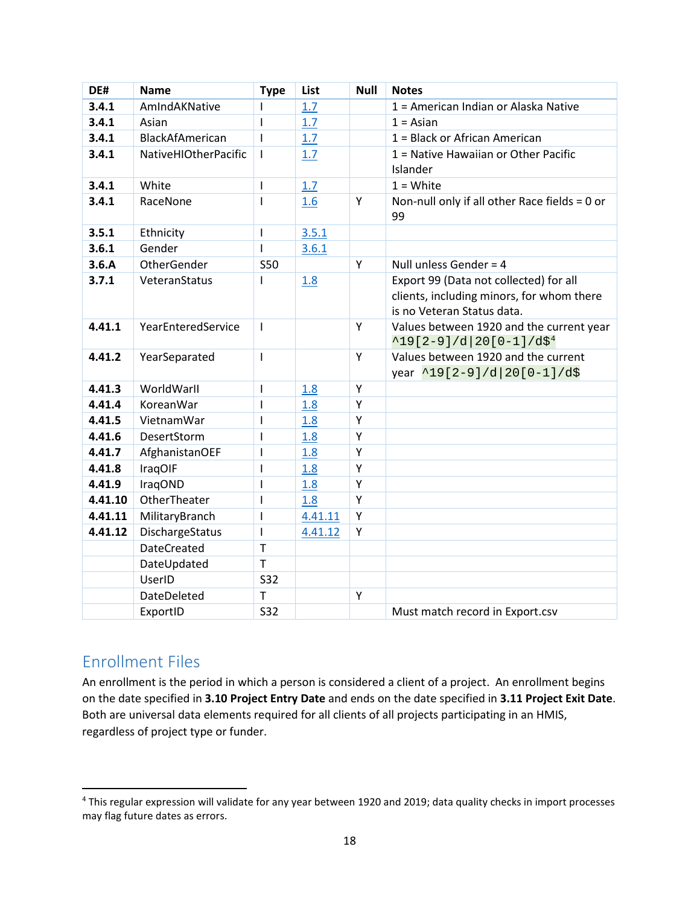| DE#     | <b>Name</b>                 | <b>Type</b>    | List    | <b>Null</b> | <b>Notes</b>                                     |
|---------|-----------------------------|----------------|---------|-------------|--------------------------------------------------|
| 3.4.1   | AmIndAKNative               |                | 1.7     |             | 1 = American Indian or Alaska Native             |
| 3.4.1   | Asian                       | T              | 1.7     |             | $1 = Asian$                                      |
| 3.4.1   | BlackAfAmerican             | $\mathbf{I}$   | 1.7     |             | 1 = Black or African American                    |
| 3.4.1   | <b>NativeHIOtherPacific</b> | T              | 1.7     |             | 1 = Native Hawaiian or Other Pacific<br>Islander |
| 3.4.1   | White                       | $\mathbf{I}$   | 1.7     |             | $1 = White$                                      |
| 3.4.1   | RaceNone                    | $\mathbf{I}$   | 1.6     | Y           | Non-null only if all other Race fields = 0 or    |
|         |                             |                |         |             | 99                                               |
| 3.5.1   | Ethnicity                   | $\overline{1}$ | 3.5.1   |             |                                                  |
| 3.6.1   | Gender                      | $\mathbf{I}$   | 3.6.1   |             |                                                  |
| 3.6.A   | <b>OtherGender</b>          | <b>S50</b>     |         | Y           | Null unless Gender = $4$                         |
| 3.7.1   | VeteranStatus               | $\mathbf{I}$   | 1.8     |             | Export 99 (Data not collected) for all           |
|         |                             |                |         |             | clients, including minors, for whom there        |
|         |                             |                |         |             | is no Veteran Status data.                       |
| 4.41.1  | YearEnteredService          | $\mathbf{I}$   |         | Y           | Values between 1920 and the current year         |
|         |                             |                |         |             | $^419[2-9]/d 20[0-1]/d$^{4}$                     |
| 4.41.2  | YearSeparated               | $\mathsf{I}$   |         | Y           | Values between 1920 and the current              |
|         |                             |                |         |             | year ^19[2-9]/d 20[0-1]/d\$                      |
| 4.41.3  | WorldWarll                  | $\overline{1}$ | 1.8     | Y           |                                                  |
| 4.41.4  | KoreanWar                   | $\mathbf{I}$   | 1.8     | Y           |                                                  |
| 4.41.5  | VietnamWar                  | $\mathbf{I}$   | 1.8     | Y           |                                                  |
| 4.41.6  | DesertStorm                 | $\mathbf{I}$   | 1.8     | Y           |                                                  |
| 4.41.7  | AfghanistanOEF              | $\mathbf{I}$   | 1.8     | Y           |                                                  |
| 4.41.8  | IraqOIF                     | $\mathsf{I}$   | 1.8     | Y           |                                                  |
| 4.41.9  | IraqOND                     | $\overline{1}$ | 1.8     | Y           |                                                  |
| 4.41.10 | OtherTheater                | Т              | 1.8     | Y           |                                                  |
| 4.41.11 | MilitaryBranch              | $\mathbf{I}$   | 4.41.11 | Y           |                                                  |
| 4.41.12 | DischargeStatus             | $\mathbf{I}$   | 4.41.12 | Y           |                                                  |
|         | <b>DateCreated</b>          | $\mathsf{T}$   |         |             |                                                  |
|         | DateUpdated                 | $\mathsf{T}$   |         |             |                                                  |
|         | UserID                      | <b>S32</b>     |         |             |                                                  |
|         | <b>DateDeleted</b>          | $\mathsf{T}$   |         | Y           |                                                  |
|         | ExportID                    | <b>S32</b>     |         |             | Must match record in Export.csv                  |

## <span id="page-18-0"></span>Enrollment Files

An enrollment is the period in which a person is considered a client of a project. An enrollment begins on the date specified in **3.10 Project Entry Date** and ends on the date specified in **3.11 Project Exit Date**. Both are universal data elements required for all clients of all projects participating in an HMIS, regardless of project type or funder.

<span id="page-18-1"></span> <sup>4</sup> This regular expression will validate for any year between 1920 and 2019; data quality checks in import processes may flag future dates as errors.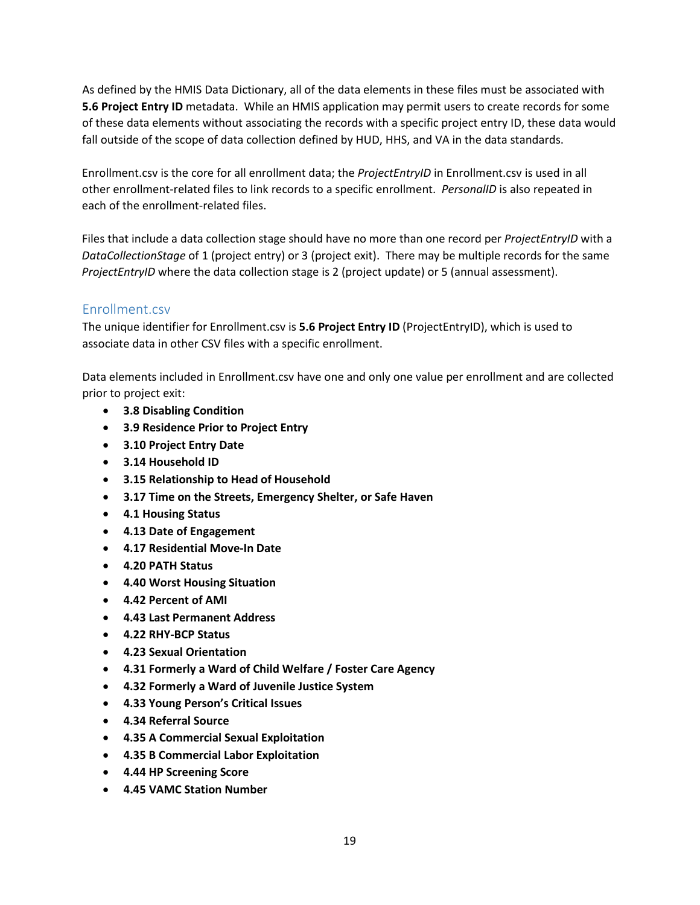As defined by the HMIS Data Dictionary, all of the data elements in these files must be associated with **5.6 Project Entry ID** metadata. While an HMIS application may permit users to create records for some of these data elements without associating the records with a specific project entry ID, these data would fall outside of the scope of data collection defined by HUD, HHS, and VA in the data standards.

Enrollment.csv is the core for all enrollment data; the *ProjectEntryID* in Enrollment.csv is used in all other enrollment-related files to link records to a specific enrollment. *PersonalID* is also repeated in each of the enrollment-related files.

Files that include a data collection stage should have no more than one record per *ProjectEntryID* with a *DataCollectionStage* of 1 (project entry) or 3 (project exit). There may be multiple records for the same *ProjectEntryID* where the data collection stage is 2 (project update) or 5 (annual assessment).

### <span id="page-19-0"></span>Enrollment.csv

The unique identifier for Enrollment.csv is **5.6 Project Entry ID** (ProjectEntryID), which is used to associate data in other CSV files with a specific enrollment.

Data elements included in Enrollment.csv have one and only one value per enrollment and are collected prior to project exit:

- **3.8 Disabling Condition**
- **3.9 Residence Prior to Project Entry**
- **3.10 Project Entry Date**
- **3.14 Household ID**
- **3.15 Relationship to Head of Household**
- **3.17 Time on the Streets, Emergency Shelter, or Safe Haven**
- **4.1 Housing Status**
- **4.13 Date of Engagement**
- **4.17 Residential Move-In Date**
- **4.20 PATH Status**
- **4.40 Worst Housing Situation**
- **4.42 Percent of AMI**
- **4.43 Last Permanent Address**
- **4.22 RHY-BCP Status**
- **4.23 Sexual Orientation**
- **4.31 Formerly a Ward of Child Welfare / Foster Care Agency**
- **4.32 Formerly a Ward of Juvenile Justice System**
- **4.33 Young Person's Critical Issues**
- **4.34 Referral Source**
- **4.35 A Commercial Sexual Exploitation**
- **4.35 B Commercial Labor Exploitation**
- **4.44 HP Screening Score**
- **4.45 VAMC Station Number**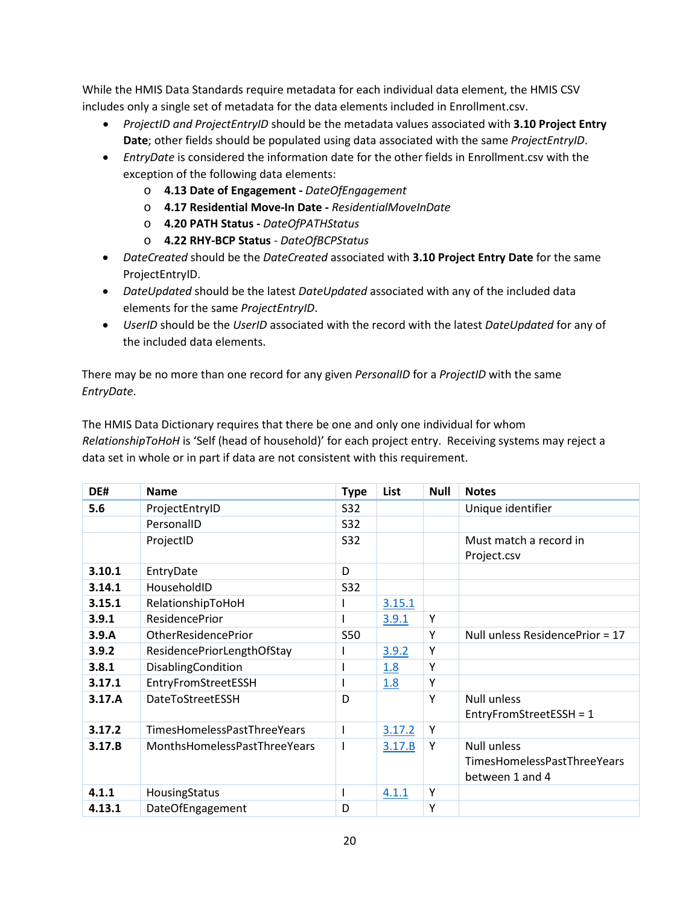While the HMIS Data Standards require metadata for each individual data element, the HMIS CSV includes only a single set of metadata for the data elements included in Enrollment.csv.

- *ProjectID and ProjectEntryID* should be the metadata values associated with **3.10 Project Entry Date**; other fields should be populated using data associated with the same *ProjectEntryID*.
- *EntryDate* is considered the information date for the other fields in Enrollment.csv with the exception of the following data elements:
	- o **4.13 Date of Engagement -** *DateOfEngagement*
	- o **4.17 Residential Move-In Date -** *ResidentialMoveInDate*
	- o **4.20 PATH Status -** *DateOfPATHStatus*
	- o **4.22 RHY-BCP Status** *DateOfBCPStatus*
- *DateCreated* should be the *DateCreated* associated with **3.10 Project Entry Date** for the same ProjectEntryID.
- *DateUpdated* should be the latest *DateUpdated* associated with any of the included data elements for the same *ProjectEntryID*.
- *UserID* should be the *UserID* associated with the record with the latest *DateUpdated* for any of the included data elements.

There may be no more than one record for any given *PersonalID* for a *ProjectID* with the same *EntryDate*.

The HMIS Data Dictionary requires that there be one and only one individual for whom *RelationshipToHoH* is 'Self (head of household)' for each project entry. Receiving systems may reject a data set in whole or in part if data are not consistent with this requirement.

| DE#    | <b>Name</b>                  | <b>Type</b> | List   | <b>Null</b> | <b>Notes</b>                                                         |
|--------|------------------------------|-------------|--------|-------------|----------------------------------------------------------------------|
| 5.6    | ProjectEntryID               | S32         |        |             | Unique identifier                                                    |
|        | PersonalID                   | S32         |        |             |                                                                      |
|        | ProjectID                    | S32         |        |             | Must match a record in<br>Project.csv                                |
| 3.10.1 | EntryDate                    | D           |        |             |                                                                      |
| 3.14.1 | HouseholdID                  | S32         |        |             |                                                                      |
| 3.15.1 | RelationshipToHoH            |             | 3.15.1 |             |                                                                      |
| 3.9.1  | <b>ResidencePrior</b>        |             | 3.9.1  | Υ           |                                                                      |
| 3.9.A  | <b>OtherResidencePrior</b>   | <b>S50</b>  |        | Υ           | Null unless ResidencePrior = 17                                      |
| 3.9.2  | ResidencePriorLengthOfStay   |             | 3.9.2  | Υ           |                                                                      |
| 3.8.1  | DisablingCondition           |             | 1.8    | Υ           |                                                                      |
| 3.17.1 | EntryFromStreetESSH          |             | 1.8    | Υ           |                                                                      |
| 3.17.A | DateToStreetESSH             | D           |        | Υ           | <b>Null unless</b><br>EntryFromStreetESSH = 1                        |
| 3.17.2 | TimesHomelessPastThreeYears  |             | 3.17.2 | Y           |                                                                      |
| 3.17.B | MonthsHomelessPastThreeYears |             | 3.17.B | Y           | <b>Null unless</b><br>TimesHomelessPastThreeYears<br>between 1 and 4 |
| 4.1.1  | HousingStatus                |             | 4.1.1  | Υ           |                                                                      |
| 4.13.1 | DateOfEngagement             | D           |        | Υ           |                                                                      |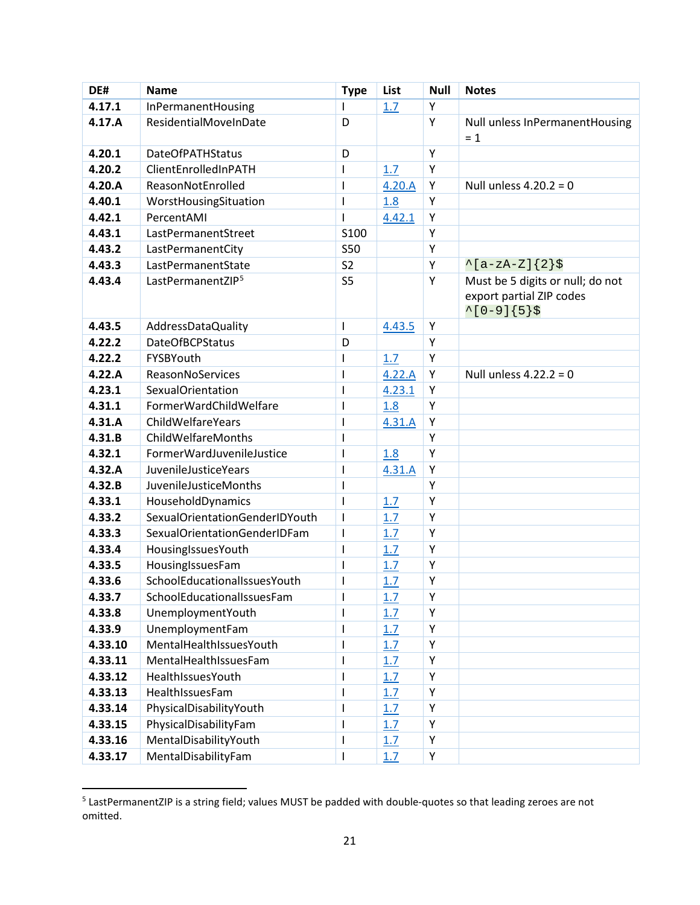| DE#              | <b>Name</b>                          | <b>Type</b>                  | List       | <b>Null</b> | <b>Notes</b>                                                                         |
|------------------|--------------------------------------|------------------------------|------------|-------------|--------------------------------------------------------------------------------------|
| 4.17.1           | InPermanentHousing                   | $\mathsf{I}$                 | 1.7        | Y           |                                                                                      |
| 4.17.A           | ResidentialMoveInDate                | D                            |            | Y           | Null unless InPermanentHousing<br>$= 1$                                              |
| 4.20.1           | <b>DateOfPATHStatus</b>              | D                            |            | Υ           |                                                                                      |
| 4.20.2           | ClientEnrolledInPATH                 | $\mathsf{I}$                 | 1.7        | Y           |                                                                                      |
| 4.20.A           | ReasonNotEnrolled                    | $\mathsf{l}$                 | 4.20.A     | Y           | Null unless $4.20.2 = 0$                                                             |
| 4.40.1           | WorstHousingSituation                | $\mathsf{I}$                 | 1.8        | Υ           |                                                                                      |
| 4.42.1           | PercentAMI                           | $\mathsf{I}$                 | 4.42.1     | Υ           |                                                                                      |
| 4.43.1           | LastPermanentStreet                  | S100                         |            | Υ           |                                                                                      |
| 4.43.2           | LastPermanentCity                    | <b>S50</b>                   |            | Υ           |                                                                                      |
| 4.43.3           | LastPermanentState                   | S <sub>2</sub>               |            | Y           | $\{a-zA-Z\}$ {2}\$                                                                   |
| 4.43.4           | LastPermanentZIP <sup>5</sup>        | S <sub>5</sub>               |            | Υ           | Must be 5 digits or null; do not<br>export partial ZIP codes<br>$^{\sim}$ [0-9]{5}\$ |
| 4.43.5           | AddressDataQuality                   | I                            | 4.43.5     | Υ           |                                                                                      |
| 4.22.2           | <b>DateOfBCPStatus</b>               | D                            |            | Υ           |                                                                                      |
| 4.22.2           | FYSBYouth                            | I                            | 1.7        | Y           |                                                                                      |
| 4.22.A           | ReasonNoServices                     | $\mathsf{I}$                 | 4.22.A     | Υ           | Null unless $4.22.2 = 0$                                                             |
| 4.23.1           | <b>SexualOrientation</b>             | $\mathsf{I}$                 | 4.23.1     | Υ           |                                                                                      |
| 4.31.1           | FormerWardChildWelfare               | $\mathbf{I}$                 | 1.8        | Υ           |                                                                                      |
| 4.31.A           | ChildWelfareYears                    | $\mathsf{I}$                 | 4.31.A     | Υ           |                                                                                      |
| 4.31.B           | ChildWelfareMonths                   | $\mathsf{I}$                 |            | Υ           |                                                                                      |
| 4.32.1           | FormerWardJuvenileJustice            | $\mathsf{I}$                 | 1.8        | Y           |                                                                                      |
| 4.32.A           | JuvenileJusticeYears                 | $\mathsf{I}$                 | 4.31.A     | Υ           |                                                                                      |
| 4.32.B           | <b>JuvenileJusticeMonths</b>         | $\mathsf{I}$                 |            | Y           |                                                                                      |
| 4.33.1           | HouseholdDynamics                    | $\mathbf{I}$                 | 1.7        | Y           |                                                                                      |
| 4.33.2           | SexualOrientationGenderIDYouth       | $\mathsf{I}$                 | 1.7        | Υ           |                                                                                      |
| 4.33.3           | SexualOrientationGenderIDFam         | I                            | 1.7        | Υ           |                                                                                      |
| 4.33.4           | HousingIssuesYouth                   | $\mathsf{I}$                 | 1.7        | Υ           |                                                                                      |
| 4.33.5           | HousingIssuesFam                     | $\mathsf{l}$                 | 1.7        | Υ           |                                                                                      |
| 4.33.6           | SchoolEducationalIssuesYouth         | $\mathsf{I}$                 | 1.7        | Υ           |                                                                                      |
| 4.33.7           | SchoolEducationalIssuesFam           |                              | 1.7        | Υ<br>Υ      |                                                                                      |
| 4.33.8<br>4.33.9 | UnemploymentYouth<br>UnemploymentFam |                              | 1.7        | Υ           |                                                                                      |
| 4.33.10          | MentalHealthIssuesYouth              | $\mathsf{l}$<br>$\mathsf{I}$ | 1.7<br>1.7 | Υ           |                                                                                      |
| 4.33.11          | MentalHealthIssuesFam                | $\mathsf{l}$                 | 1.7        | Υ           |                                                                                      |
| 4.33.12          | HealthIssuesYouth                    | $\mathsf I$                  | 1.7        | Υ           |                                                                                      |
| 4.33.13          | HealthIssuesFam                      | $\mathsf{I}$                 | 1.7        | Υ           |                                                                                      |
| 4.33.14          | PhysicalDisabilityYouth              | $\mathsf{I}$                 | 1.7        | Υ           |                                                                                      |
| 4.33.15          | PhysicalDisabilityFam                | I                            | 1.7        | Υ           |                                                                                      |
| 4.33.16          | MentalDisabilityYouth                | $\mathbf{I}$                 | 1.7        | Υ           |                                                                                      |
| 4.33.17          | MentalDisabilityFam                  | $\mathbf{I}$                 | 1.7        | Υ           |                                                                                      |

<span id="page-21-0"></span> <sup>5</sup> LastPermanentZIP is a string field; values MUST be padded with double-quotes so that leading zeroes are not omitted.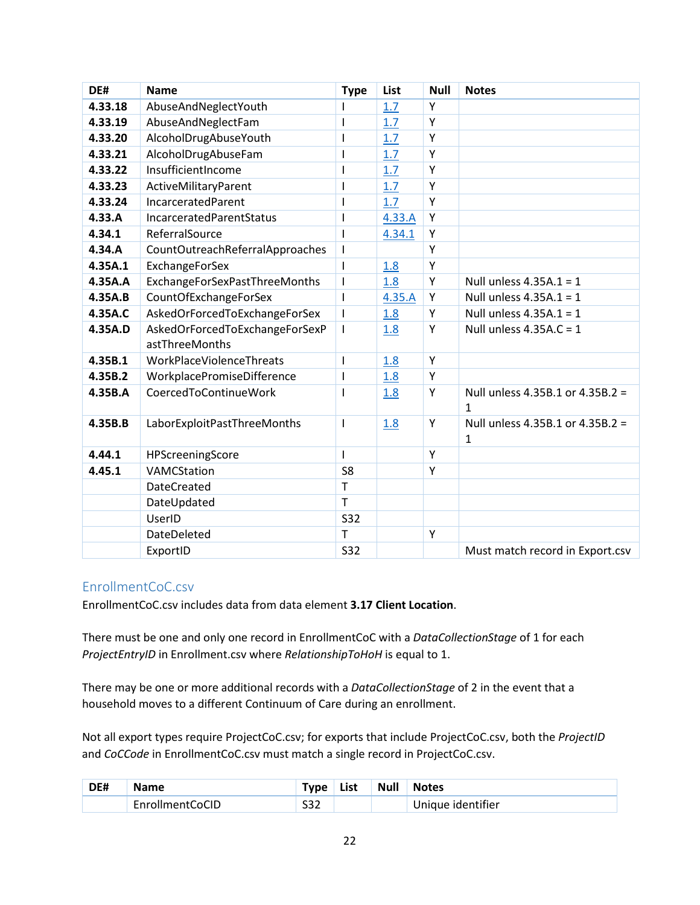| DE#     | <b>Name</b>                                      | <b>Type</b>    | List   | <b>Null</b> | <b>Notes</b>                          |
|---------|--------------------------------------------------|----------------|--------|-------------|---------------------------------------|
| 4.33.18 | AbuseAndNeglectYouth                             |                | 1.7    | Y           |                                       |
| 4.33.19 | AbuseAndNeglectFam                               | I              | 1.7    | Y           |                                       |
| 4.33.20 | AlcoholDrugAbuseYouth                            | ı              | 1.7    | Y           |                                       |
| 4.33.21 | AlcoholDrugAbuseFam                              | I              | 1.7    | Y           |                                       |
| 4.33.22 | InsufficientIncome                               | $\mathbf{I}$   | 1.7    | Y           |                                       |
| 4.33.23 | ActiveMilitaryParent                             | I              | 1.7    | Υ           |                                       |
| 4.33.24 | IncarceratedParent                               | I              | 1.7    | Y           |                                       |
| 4.33.A  | IncarceratedParentStatus                         | I              | 4.33.A | Y           |                                       |
| 4.34.1  | ReferralSource                                   | I              | 4.34.1 | Y           |                                       |
| 4.34.A  | CountOutreachReferralApproaches                  | $\mathsf{I}$   |        | Y           |                                       |
| 4.35A.1 | <b>ExchangeForSex</b>                            | $\mathsf{I}$   | 1.8    | Y           |                                       |
| 4.35A.A | ExchangeForSexPastThreeMonths                    | $\mathsf{I}$   | 1.8    | Y           | Null unless $4.35A.1 = 1$             |
| 4.35A.B | CountOfExchangeForSex                            | $\mathsf{I}$   | 4.35.A | Y           | Null unless $4.35A.1 = 1$             |
| 4.35A.C | AskedOrForcedToExchangeForSex                    | $\mathbf{I}$   | 1.8    | Y           | Null unless $4.35A.1 = 1$             |
| 4.35A.D | AskedOrForcedToExchangeForSexP<br>astThreeMonths | I              | 1.8    | Y           | Null unless $4.35A.C = 1$             |
| 4.35B.1 | WorkPlaceViolenceThreats                         | I              | 1.8    | Y           |                                       |
| 4.35B.2 | WorkplacePromiseDifference                       | I              | 1.8    | Υ           |                                       |
| 4.35B.A | CoercedToContinueWork                            |                | 1.8    | Y           | Null unless 4.35B.1 or 4.35B.2 =<br>1 |
| 4.35B.B | LaborExploitPastThreeMonths                      | $\mathsf{I}$   | 1.8    | Y           | Null unless 4.35B.1 or 4.35B.2 =<br>1 |
| 4.44.1  | HPScreeningScore                                 | I              |        | Y           |                                       |
| 4.45.1  | VAMCStation                                      | S <sub>8</sub> |        | Y           |                                       |
|         | <b>DateCreated</b>                               | $\mathsf{T}$   |        |             |                                       |
|         | DateUpdated                                      | $\mathsf{T}$   |        |             |                                       |
|         | UserID                                           | <b>S32</b>     |        |             |                                       |
|         | DateDeleted                                      | $\mathsf{T}$   |        | Y           |                                       |
|         | ExportID                                         | <b>S32</b>     |        |             | Must match record in Export.csv       |

### <span id="page-22-0"></span>EnrollmentCoC.csv

EnrollmentCoC.csv includes data from data element **3.17 Client Location**.

There must be one and only one record in EnrollmentCoC with a *DataCollectionStage* of 1 for each *ProjectEntryID* in Enrollment.csv where *RelationshipToHoH* is equal to 1.

There may be one or more additional records with a *DataCollectionStage* of 2 in the event that a household moves to a different Continuum of Care during an enrollment.

Not all export types require ProjectCoC.csv; for exports that include ProjectCoC.csv, both the *ProjectID* and *CoCCode* in EnrollmentCoC.csv must match a single record in ProjectCoC.csv.

| DE# | <b>Name</b>     | wne.       | List | <b>Null</b> | <b>Notes</b>      |
|-----|-----------------|------------|------|-------------|-------------------|
|     | EnrollmentCoCID | ---<br>ےرر |      |             | Unique identifier |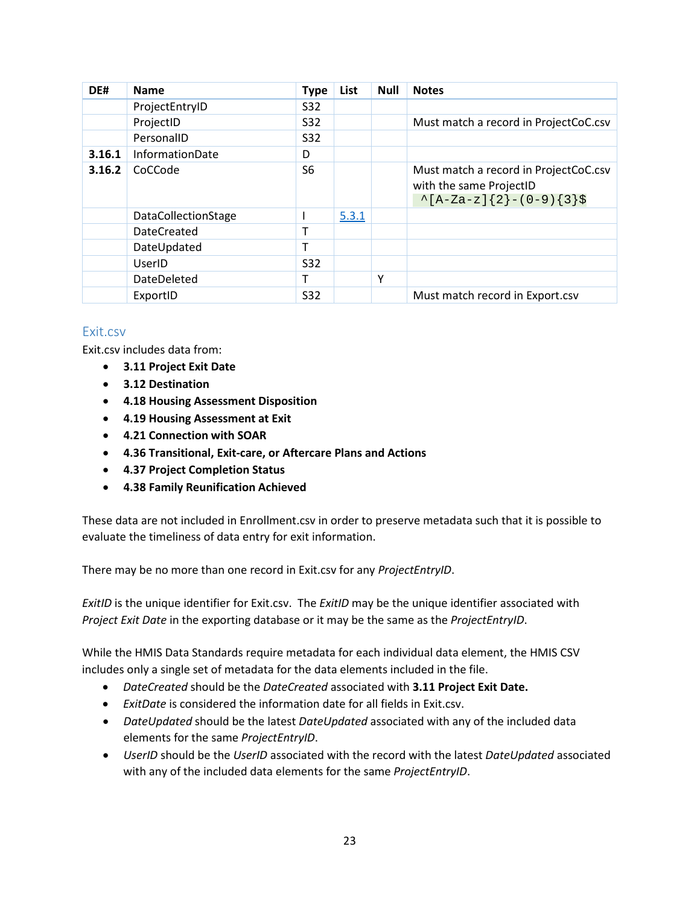| DE#    | <b>Name</b>                | <b>Type</b> | <b>List</b> | <b>Null</b> | <b>Notes</b>                                                                                    |
|--------|----------------------------|-------------|-------------|-------------|-------------------------------------------------------------------------------------------------|
|        | ProjectEntryID             | S32         |             |             |                                                                                                 |
|        | ProjectID                  | S32         |             |             | Must match a record in ProjectCoC.csv                                                           |
|        | PersonalID                 | S32         |             |             |                                                                                                 |
| 3.16.1 | InformationDate            | D           |             |             |                                                                                                 |
| 3.16.2 | CoCCode                    | S6          |             |             | Must match a record in ProjectCoC.csv<br>with the same ProjectID<br>$\{A-Za-z\}$ {2}-(0-9){3}\$ |
|        | <b>DataCollectionStage</b> |             | 5.3.1       |             |                                                                                                 |
|        | <b>DateCreated</b>         |             |             |             |                                                                                                 |
|        | DateUpdated                |             |             |             |                                                                                                 |
|        | UserID                     | <b>S32</b>  |             |             |                                                                                                 |
|        | DateDeleted                |             |             | Υ           |                                                                                                 |
|        | ExportID                   | <b>S32</b>  |             |             | Must match record in Export.csv                                                                 |

### <span id="page-23-0"></span>Exit.csv

Exit.csv includes data from:

- **3.11 Project Exit Date**
- **3.12 Destination**
- **4.18 Housing Assessment Disposition**
- **4.19 Housing Assessment at Exit**
- **4.21 Connection with SOAR**
- **4.36 Transitional, Exit-care, or Aftercare Plans and Actions**
- **4.37 Project Completion Status**
- **4.38 Family Reunification Achieved**

These data are not included in Enrollment.csv in order to preserve metadata such that it is possible to evaluate the timeliness of data entry for exit information.

There may be no more than one record in Exit.csv for any *ProjectEntryID*.

*ExitID* is the unique identifier for Exit.csv. The *ExitID* may be the unique identifier associated with *Project Exit Date* in the exporting database or it may be the same as the *ProjectEntryID*.

While the HMIS Data Standards require metadata for each individual data element, the HMIS CSV includes only a single set of metadata for the data elements included in the file.

- *DateCreated* should be the *DateCreated* associated with **3.11 Project Exit Date.**
- *ExitDate* is considered the information date for all fields in Exit.csv.
- *DateUpdated* should be the latest *DateUpdated* associated with any of the included data elements for the same *ProjectEntryID*.
- *UserID* should be the *UserID* associated with the record with the latest *DateUpdated* associated with any of the included data elements for the same *ProjectEntryID*.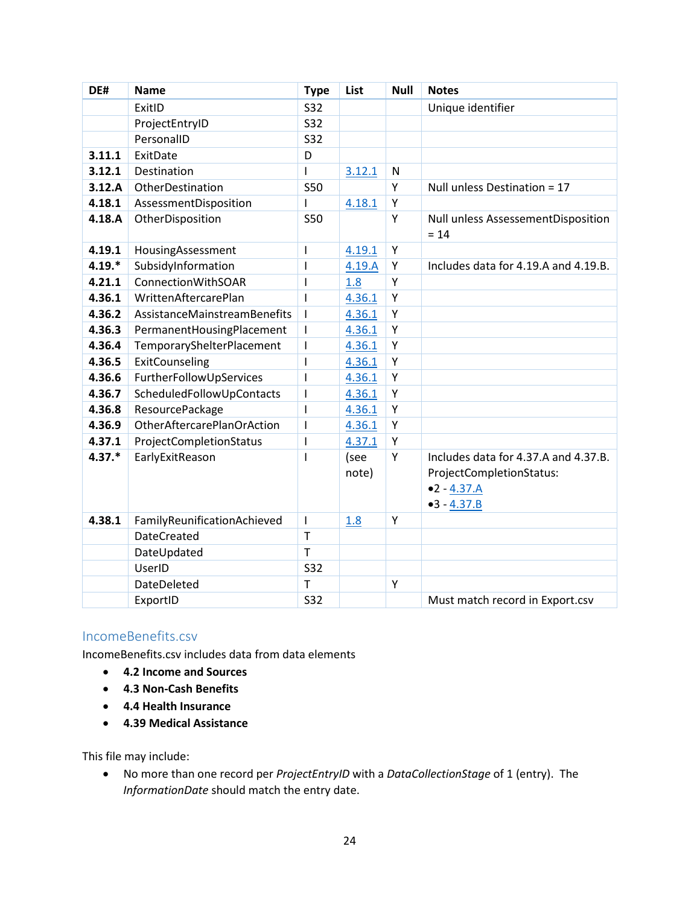| DE#      | <b>Name</b>                  | <b>Type</b>              | List          | <b>Null</b> | <b>Notes</b>                                                                                       |
|----------|------------------------------|--------------------------|---------------|-------------|----------------------------------------------------------------------------------------------------|
|          | ExitID                       | <b>S32</b>               |               |             | Unique identifier                                                                                  |
|          | ProjectEntryID               | S32                      |               |             |                                                                                                    |
|          | PersonalID                   | S32                      |               |             |                                                                                                    |
| 3.11.1   | ExitDate                     | D                        |               |             |                                                                                                    |
| 3.12.1   | Destination                  | $\overline{\phantom{a}}$ | 3.12.1        | N           |                                                                                                    |
| 3.12.A   | OtherDestination             | <b>S50</b>               |               | Y           | Null unless Destination = 17                                                                       |
| 4.18.1   | AssessmentDisposition        | T                        | 4.18.1        | Υ           |                                                                                                    |
| 4.18.A   | OtherDisposition             | <b>S50</b>               |               | Y           | Null unless AssessementDisposition<br>$= 14$                                                       |
| 4.19.1   | HousingAssessment            | $\overline{\phantom{a}}$ | 4.19.1        | Υ           |                                                                                                    |
| $4.19.*$ | SubsidyInformation           | $\mathsf{l}$             | 4.19.A        | Υ           | Includes data for 4.19.A and 4.19.B.                                                               |
| 4.21.1   | <b>ConnectionWithSOAR</b>    | $\overline{1}$           | 1.8           | Y           |                                                                                                    |
| 4.36.1   | WrittenAftercarePlan         | $\overline{1}$           | 4.36.1        | Υ           |                                                                                                    |
| 4.36.2   | AssistanceMainstreamBenefits | $\mathbf{I}$             | 4.36.1        | Υ           |                                                                                                    |
| 4.36.3   | PermanentHousingPlacement    | $\mathbf{I}$             | 4.36.1        | Υ           |                                                                                                    |
| 4.36.4   | TemporaryShelterPlacement    | T                        | 4.36.1        | Υ           |                                                                                                    |
| 4.36.5   | ExitCounseling               | $\overline{\phantom{a}}$ | 4.36.1        | Υ           |                                                                                                    |
| 4.36.6   | FurtherFollowUpServices      | $\overline{1}$           | 4.36.1        | Υ           |                                                                                                    |
| 4.36.7   | ScheduledFollowUpContacts    | T                        | 4.36.1        | Υ           |                                                                                                    |
| 4.36.8   | ResourcePackage              | $\overline{1}$           | 4.36.1        | Y           |                                                                                                    |
| 4.36.9   | OtherAftercarePlanOrAction   | $\overline{\phantom{a}}$ | 4.36.1        | Υ           |                                                                                                    |
| 4.37.1   | ProjectCompletionStatus      | $\overline{\phantom{a}}$ | 4.37.1        | Υ           |                                                                                                    |
| $4.37.*$ | EarlyExitReason              | $\mathbf{I}$             | (see<br>note) | Υ           | Includes data for 4.37.A and 4.37.B.<br>ProjectCompletionStatus:<br>$•2 - 4.37.A$<br>$-3 - 4.37.B$ |
| 4.38.1   | FamilyReunificationAchieved  | $\overline{1}$           | 1.8           | Y           |                                                                                                    |
|          | <b>DateCreated</b>           | $\mathsf{T}$             |               |             |                                                                                                    |
|          | DateUpdated                  | $\mathsf{T}$             |               |             |                                                                                                    |
|          | UserID                       | S32                      |               |             |                                                                                                    |
|          | <b>DateDeleted</b>           | $\mathsf T$              |               | Y           |                                                                                                    |
|          | ExportID                     | <b>S32</b>               |               |             | Must match record in Export.csv                                                                    |

### <span id="page-24-0"></span>IncomeBenefits.csv

IncomeBenefits.csv includes data from data elements

- **4.2 Income and Sources**
- **4.3 Non-Cash Benefits**
- **4.4 Health Insurance**
- **4.39 Medical Assistance**

This file may include:

• No more than one record per *ProjectEntryID* with a *DataCollectionStage* of 1 (entry). The *InformationDate* should match the entry date.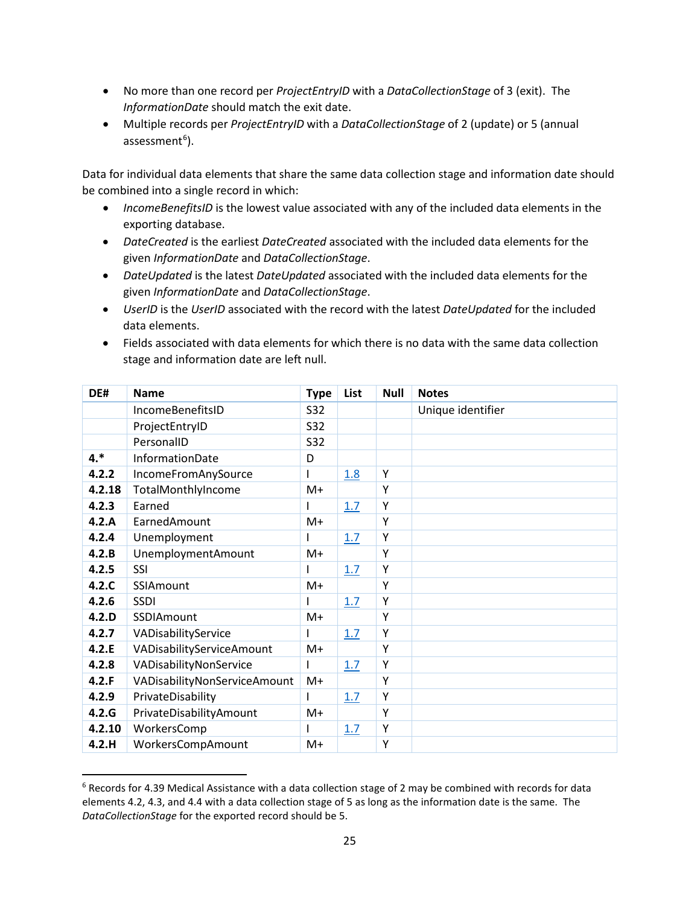- No more than one record per *ProjectEntryID* with a *DataCollectionStage* of 3 (exit). The *InformationDate* should match the exit date.
- Multiple records per *ProjectEntryID* with a *DataCollectionStage* of 2 (update) or 5 (annual assessment<sup>[6](#page-25-0)</sup>).

Data for individual data elements that share the same data collection stage and information date should be combined into a single record in which:

- *IncomeBenefitsID* is the lowest value associated with any of the included data elements in the exporting database.
- *DateCreated* is the earliest *DateCreated* associated with the included data elements for the given *InformationDate* and *DataCollectionStage*.
- *DateUpdated* is the latest *DateUpdated* associated with the included data elements for the given *InformationDate* and *DataCollectionStage*.
- *UserID* is the *UserID* associated with the record with the latest *DateUpdated* for the included data elements.
- Fields associated with data elements for which there is no data with the same data collection stage and information date are left null.

| DE#    | <b>Name</b>                  | <b>Type</b> | List | <b>Null</b> | <b>Notes</b>      |
|--------|------------------------------|-------------|------|-------------|-------------------|
|        | IncomeBenefitsID             | S32         |      |             | Unique identifier |
|        | ProjectEntryID               | S32         |      |             |                   |
|        | PersonalID                   | S32         |      |             |                   |
| $4.*$  | InformationDate              | D           |      |             |                   |
| 4.2.2  | IncomeFromAnySource          |             | 1.8  | Y           |                   |
| 4.2.18 | TotalMonthlyIncome           | M+          |      | Y           |                   |
| 4.2.3  | Earned                       |             | 1.7  | Y           |                   |
| 4.2.A  | EarnedAmount                 | $M+$        |      | Y           |                   |
| 4.2.4  | Unemployment                 |             | 1.7  | Y           |                   |
| 4.2.B  | <b>UnemploymentAmount</b>    | $M+$        |      | Y           |                   |
| 4.2.5  | SSI                          |             | 1.7  | Y           |                   |
| 4.2.C  | SSIAmount                    | $M+$        |      | Y           |                   |
| 4.2.6  | <b>SSDI</b>                  |             | 1.7  | Υ           |                   |
| 4.2.D  | SSDIAmount                   | M+          |      | Y           |                   |
| 4.2.7  | VADisabilityService          |             | 1.7  | Y           |                   |
| 4.2.E  | VADisabilityServiceAmount    | M+          |      | Y           |                   |
| 4.2.8  | VADisabilityNonService       |             | 1.7  | Υ           |                   |
| 4.2.F  | VADisabilityNonServiceAmount | M+          |      | Y           |                   |
| 4.2.9  | PrivateDisability            |             | 1.7  | Υ           |                   |
| 4.2.G  | PrivateDisabilityAmount      | M+          |      | Y           |                   |
| 4.2.10 | WorkersComp                  |             | 1.7  | Υ           |                   |
| 4.2.H  | WorkersCompAmount            | M+          |      | Y           |                   |

<span id="page-25-0"></span> $6$  Records for 4.39 Medical Assistance with a data collection stage of 2 may be combined with records for data elements 4.2, 4.3, and 4.4 with a data collection stage of 5 as long as the information date is the same. The *DataCollectionStage* for the exported record should be 5.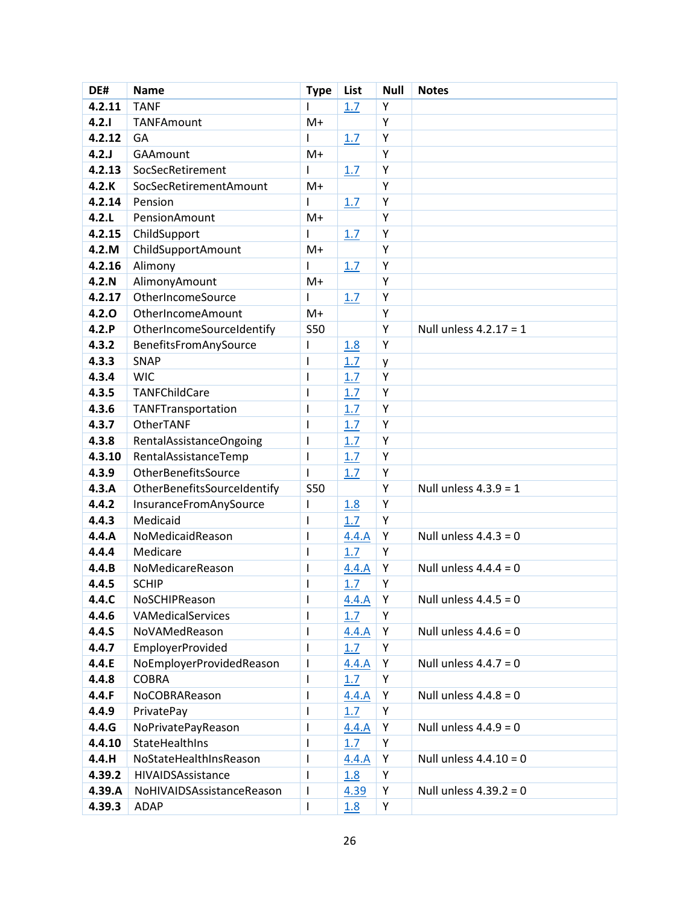| DE#    | <b>Name</b>                 | <b>Type</b>              | List  | <b>Null</b> | <b>Notes</b>             |
|--------|-----------------------------|--------------------------|-------|-------------|--------------------------|
| 4.2.11 | <b>TANF</b>                 | L                        | 1.7   | Y           |                          |
| 4.2.1  | TANFAmount                  | $M+$                     |       | Υ           |                          |
| 4.2.12 | GA                          |                          | 1.7   | Υ           |                          |
| 4.2J   | <b>GAAmount</b>             | M+                       |       | Υ           |                          |
| 4.2.13 | SocSecRetirement            |                          | 1.7   | Υ           |                          |
| 4.2.K  | SocSecRetirementAmount      | $M+$                     |       | Υ           |                          |
| 4.2.14 | Pension                     |                          | 1.7   | Υ           |                          |
| 4.2.L  | PensionAmount               | $M+$                     |       | Υ           |                          |
| 4.2.15 | ChildSupport                |                          | 1.7   | Υ           |                          |
| 4.2.M  | ChildSupportAmount          | $M+$                     |       | Υ           |                          |
| 4.2.16 | Alimony                     | ı                        | 1.7   | Υ           |                          |
| 4.2.N  | AlimonyAmount               | $M+$                     |       | Υ           |                          |
| 4.2.17 | OtherIncomeSource           |                          | 1.7   | Υ           |                          |
| 4.2.0  | OtherIncomeAmount           | $M+$                     |       | Y           |                          |
| 4.2.P  | OtherIncomeSourceIdentify   | <b>S50</b>               |       | Υ           | Null unless $4.2.17 = 1$ |
| 4.3.2  | BenefitsFromAnySource       | I                        | 1.8   | Υ           |                          |
| 4.3.3  | <b>SNAP</b>                 | $\mathsf{l}$             | 1.7   | y           |                          |
| 4.3.4  | <b>WIC</b>                  | $\mathsf{l}$             | 1.7   | Υ           |                          |
| 4.3.5  | <b>TANFChildCare</b>        | $\mathsf{l}$             | 1.7   | Υ           |                          |
| 4.3.6  | TANFTransportation          | $\mathsf{l}$             | 1.7   | Υ           |                          |
| 4.3.7  | OtherTANF                   | $\mathsf{l}$             | 1.7   | Y           |                          |
| 4.3.8  | RentalAssistanceOngoing     | I                        | 1.7   | Υ           |                          |
| 4.3.10 | RentalAssistanceTemp        | $\mathbf{I}$             | 1.7   | Υ           |                          |
| 4.3.9  | OtherBenefitsSource         | $\mathbf{I}$             | 1.7   | Υ           |                          |
| 4.3.A  | OtherBenefitsSourceIdentify | <b>S50</b>               |       | Υ           | Null unless $4.3.9 = 1$  |
| 4.4.2  | InsuranceFromAnySource      | $\mathsf{l}$             | 1.8   | Υ           |                          |
| 4.4.3  | Medicaid                    | $\overline{\phantom{a}}$ | 1.7   | Υ           |                          |
| 4.4.A  | NoMedicaidReason            | $\mathsf{l}$             | 4.4.A | Υ           | Null unless $4.4.3 = 0$  |
| 4.4.4  | Medicare                    | I                        | 1.7   | Υ           |                          |
| 4.4.B  | NoMedicareReason            | ı                        | 4.4.A | Υ           | Null unless $4.4.4 = 0$  |
| 4.4.5  | <b>SCHIP</b>                | $\mathsf{l}$             | 1.7   | Υ           |                          |
| 4.4.C  | NoSCHIPReason               |                          | 4.4.A | Y           | Null unless $4.4.5 = 0$  |
| 4.4.6  | VAMedicalServices           |                          | 1.7   | Υ           |                          |
| 4.4.S  | NoVAMedReason               |                          | 4.4.A | Y           | Null unless $4.4.6 = 0$  |
| 4.4.7  | <b>EmployerProvided</b>     | I.                       | 1.7   | Υ           |                          |
| 4.4.E  | NoEmployerProvidedReason    |                          | 4.4.A | Υ           | Null unless $4.4.7 = 0$  |
| 4.4.8  | COBRA                       | $\mathsf{l}$             | 1.7   | Υ           |                          |
| 4.4.F  | NoCOBRAReason               | <sup>1</sup>             | 4.4.A | Υ           | Null unless $4.4.8 = 0$  |
| 4.4.9  | PrivatePay                  | I                        | 1.7   | Y           |                          |
| 4.4.G  | NoPrivatePayReason          | I                        | 4.4.A | Υ           | Null unless $4.4.9 = 0$  |
| 4.4.10 | StateHealthIns              |                          | 1.7   | Υ           |                          |
| 4.4.H  | NoStateHealthInsReason      | L                        | 4.4.A | Y           | Null unless $4.4.10 = 0$ |
| 4.39.2 | HIVAIDSAssistance           |                          | 1.8   | Υ           |                          |
| 4.39.A | NoHIVAIDSAssistanceReason   | L                        | 4.39  | Υ           | Null unless $4.39.2 = 0$ |
| 4.39.3 | ADAP                        | T                        | 1.8   | Y           |                          |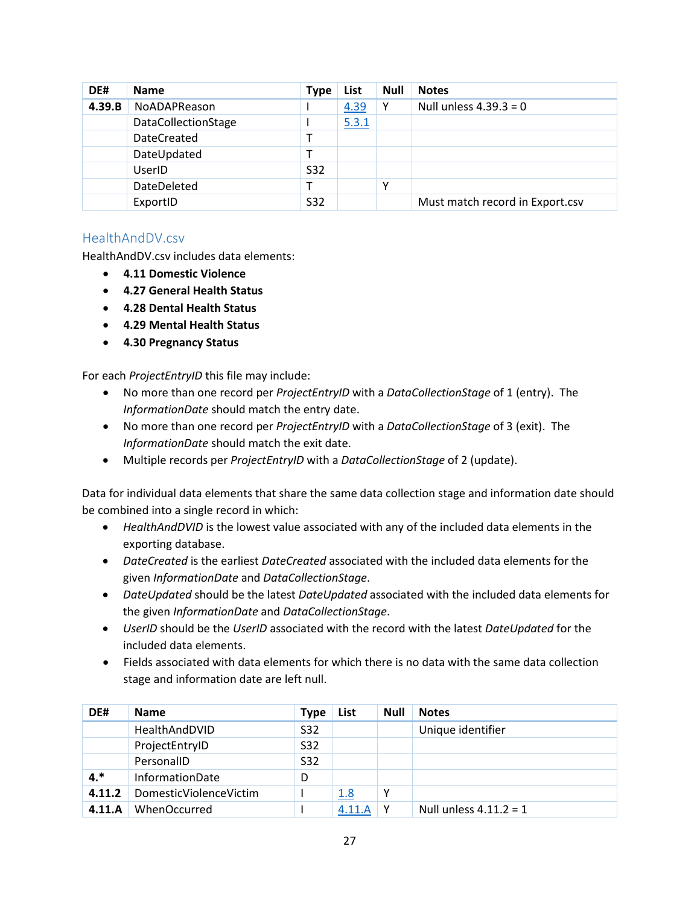| DE#    | <b>Name</b>         | <b>Type</b> | List  | <b>Null</b> | <b>Notes</b>                    |
|--------|---------------------|-------------|-------|-------------|---------------------------------|
| 4.39.B | <b>NoADAPReason</b> |             | 4.39  | Y           | Null unless $4.39.3 = 0$        |
|        | DataCollectionStage |             | 5.3.1 |             |                                 |
|        | <b>DateCreated</b>  |             |       |             |                                 |
|        | DateUpdated         |             |       |             |                                 |
|        | UserID              | <b>S32</b>  |       |             |                                 |
|        | DateDeleted         |             |       | ٧           |                                 |
|        | ExportID            | S32         |       |             | Must match record in Export.csv |

### <span id="page-27-0"></span>HealthAndDV.csv

HealthAndDV.csv includes data elements:

- **4.11 Domestic Violence**
- **4.27 General Health Status**
- **4.28 Dental Health Status**
- **4.29 Mental Health Status**
- **4.30 Pregnancy Status**

For each *ProjectEntryID* this file may include:

- No more than one record per *ProjectEntryID* with a *DataCollectionStage* of 1 (entry). The *InformationDate* should match the entry date.
- No more than one record per *ProjectEntryID* with a *DataCollectionStage* of 3 (exit). The *InformationDate* should match the exit date.
- Multiple records per *ProjectEntryID* with a *DataCollectionStage* of 2 (update).

Data for individual data elements that share the same data collection stage and information date should be combined into a single record in which:

- *HealthAndDVID* is the lowest value associated with any of the included data elements in the exporting database.
- *DateCreated* is the earliest *DateCreated* associated with the included data elements for the given *InformationDate* and *DataCollectionStage*.
- *DateUpdated* should be the latest *DateUpdated* associated with the included data elements for the given *InformationDate* and *DataCollectionStage*.
- *UserID* should be the *UserID* associated with the record with the latest *DateUpdated* for the included data elements.
- Fields associated with data elements for which there is no data with the same data collection stage and information date are left null.

| DE#    | <b>Name</b>            | <b>Type</b> | List   | <b>Null</b> | <b>Notes</b>             |
|--------|------------------------|-------------|--------|-------------|--------------------------|
|        | HealthAndDVID          | S32         |        |             | Unique identifier        |
|        | ProjectEntryID         | S32         |        |             |                          |
|        | PersonalID             | S32         |        |             |                          |
| $4.*$  | InformationDate        | D           |        |             |                          |
| 4.11.2 | DomesticViolenceVictim |             | 1.8    | Υ           |                          |
| 4.11.A | <b>WhenOccurred</b>    |             | 4.11.A | ν           | Null unless $4.11.2 = 1$ |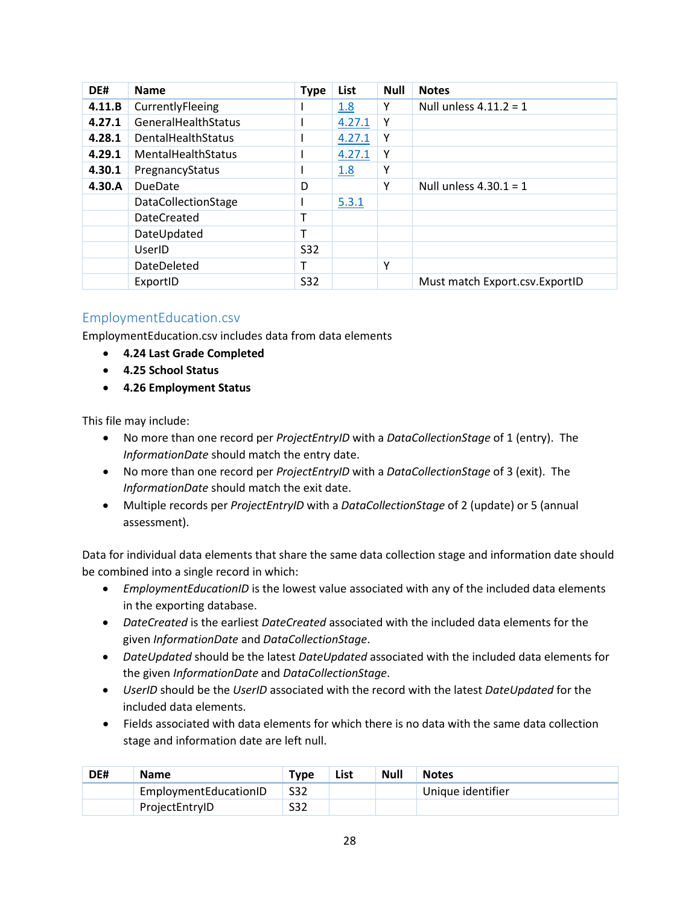| DE#    | <b>Name</b>                | <b>Type</b> | List   | <b>Null</b> | <b>Notes</b>                     |
|--------|----------------------------|-------------|--------|-------------|----------------------------------|
| 4.11.B | CurrentlyFleeing           |             | 1.8    | γ           | Null unless $4.11.2 = 1$         |
| 4.27.1 | GeneralHealthStatus        |             | 4.27.1 | Y           |                                  |
| 4.28.1 | DentalHealthStatus         |             | 4.27.1 | Υ           |                                  |
| 4.29.1 | <b>MentalHealthStatus</b>  |             | 4.27.1 | Υ           |                                  |
| 4.30.1 | PregnancyStatus            |             | 1.8    | Υ           |                                  |
| 4.30.A | <b>DueDate</b>             | D           |        | Υ           | Null unless $4.30.1 = 1$         |
|        | <b>DataCollectionStage</b> |             | 5.3.1  |             |                                  |
|        | <b>DateCreated</b>         | т           |        |             |                                  |
|        | DateUpdated                | т           |        |             |                                  |
|        | UserID                     | S32         |        |             |                                  |
|        | DateDeleted                |             |        | Υ           |                                  |
|        | ExportID                   | S32         |        |             | Must match Export.csv. Export ID |

### <span id="page-28-0"></span>EmploymentEducation.csv

EmploymentEducation.csv includes data from data elements

- **4.24 Last Grade Completed**
- **4.25 School Status**
- **4.26 Employment Status**

This file may include:

- No more than one record per *ProjectEntryID* with a *DataCollectionStage* of 1 (entry). The *InformationDate* should match the entry date.
- No more than one record per *ProjectEntryID* with a *DataCollectionStage* of 3 (exit). The *InformationDate* should match the exit date.
- Multiple records per *ProjectEntryID* with a *DataCollectionStage* of 2 (update) or 5 (annual assessment).

Data for individual data elements that share the same data collection stage and information date should be combined into a single record in which:

- *EmploymentEducationID* is the lowest value associated with any of the included data elements in the exporting database.
- *DateCreated* is the earliest *DateCreated* associated with the included data elements for the given *InformationDate* and *DataCollectionStage*.
- *DateUpdated* should be the latest *DateUpdated* associated with the included data elements for the given *InformationDate* and *DataCollectionStage*.
- *UserID* should be the *UserID* associated with the record with the latest *DateUpdated* for the included data elements.
- Fields associated with data elements for which there is no data with the same data collection stage and information date are left null.

| DE# | <b>Name</b>           | <b>Type</b> | List | <b>Null</b> | <b>Notes</b>      |
|-----|-----------------------|-------------|------|-------------|-------------------|
|     | EmploymentEducationID | S32         |      |             | Unique identifier |
|     | ProjectEntryID        | S32         |      |             |                   |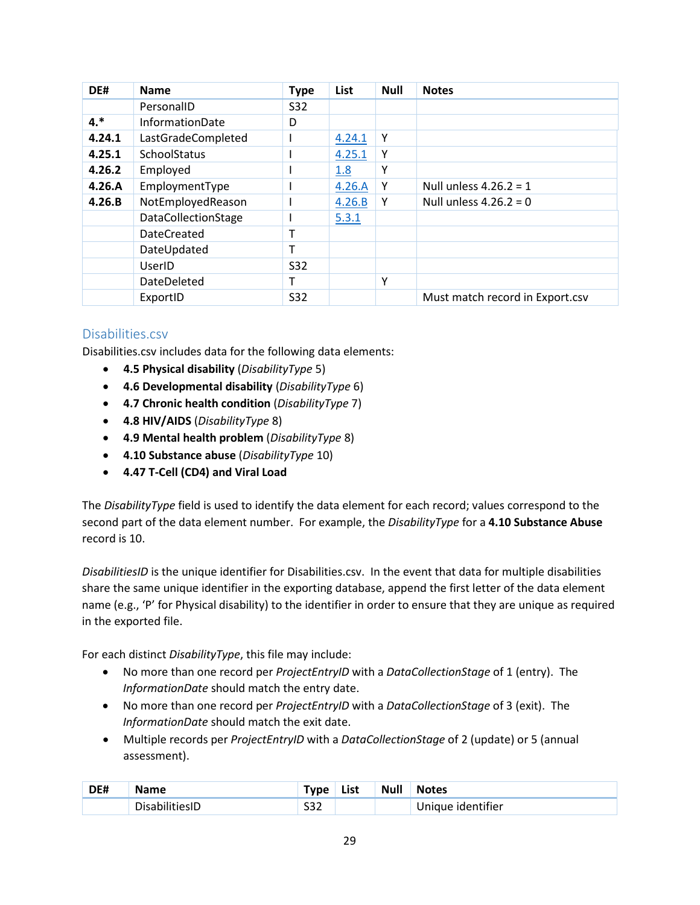| DE#    | <b>Name</b>                | <b>Type</b> | List   | <b>Null</b> | <b>Notes</b>                    |
|--------|----------------------------|-------------|--------|-------------|---------------------------------|
|        | PersonalID                 | S32         |        |             |                                 |
| $4.*$  | <b>InformationDate</b>     | D           |        |             |                                 |
| 4.24.1 | LastGradeCompleted         |             | 4.24.1 | Υ           |                                 |
| 4.25.1 | <b>SchoolStatus</b>        |             | 4.25.1 | Υ           |                                 |
| 4.26.2 | Employed                   |             | 1.8    | Υ           |                                 |
| 4.26.A | EmploymentType             |             | 4.26.A | Υ           | Null unless $4.26.2 = 1$        |
| 4.26.B | NotEmployedReason          |             | 4.26.B | Y           | Null unless $4.26.2 = 0$        |
|        | <b>DataCollectionStage</b> |             | 5.3.1  |             |                                 |
|        | <b>DateCreated</b>         | т           |        |             |                                 |
|        | DateUpdated                | т           |        |             |                                 |
|        | UserID                     | S32         |        |             |                                 |
|        | DateDeleted                | т           |        | Υ           |                                 |
|        | ExportID                   | S32         |        |             | Must match record in Export.csv |

### <span id="page-29-0"></span>Disabilities.csv

Disabilities.csv includes data for the following data elements:

- **4.5 Physical disability** (*DisabilityType* 5)
- **4.6 Developmental disability** (*DisabilityType* 6)
- **4.7 Chronic health condition** (*DisabilityType* 7)
- **4.8 HIV/AIDS** (*DisabilityType* 8)
- **4.9 Mental health problem** (*DisabilityType* 8)
- **4.10 Substance abuse** (*DisabilityType* 10)
- **4.47 T-Cell (CD4) and Viral Load**

The *DisabilityType* field is used to identify the data element for each record; values correspond to the second part of the data element number. For example, the *DisabilityType* for a **4.10 Substance Abuse** record is 10.

*DisabilitiesID* is the unique identifier for Disabilities.csv. In the event that data for multiple disabilities share the same unique identifier in the exporting database, append the first letter of the data element name (e.g., 'P' for Physical disability) to the identifier in order to ensure that they are unique as required in the exported file.

For each distinct *DisabilityType*, this file may include:

- No more than one record per *ProjectEntryID* with a *DataCollectionStage* of 1 (entry). The *InformationDate* should match the entry date.
- No more than one record per *ProjectEntryID* with a *DataCollectionStage* of 3 (exit). The *InformationDate* should match the exit date.
- Multiple records per *ProjectEntryID* with a *DataCollectionStage* of 2 (update) or 5 (annual assessment).

| DE# | $-$                 | <u>Tyne</u>   | List | <b>Null</b> | <b>Notes</b>           |
|-----|---------------------|---------------|------|-------------|------------------------|
|     | Disab<br>nılıtıesli | <br>∠دد<br>__ |      |             | nique identifier<br>Un |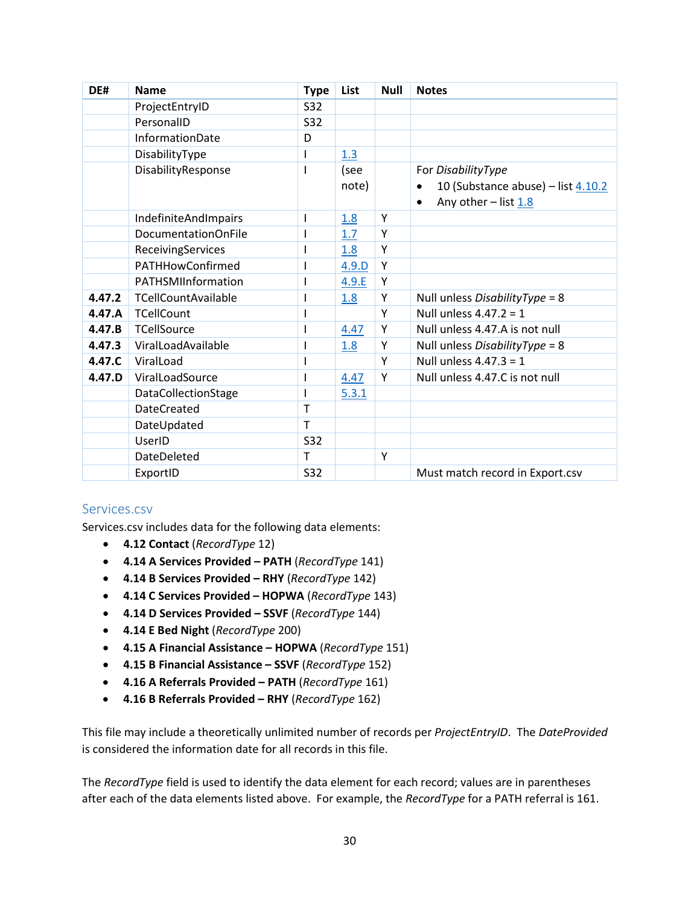| DE#    | <b>Name</b>                 | <b>Type</b> | List  | <b>Null</b> | <b>Notes</b>                                    |
|--------|-----------------------------|-------------|-------|-------------|-------------------------------------------------|
|        | ProjectEntryID              | S32         |       |             |                                                 |
|        | PersonalID                  | <b>S32</b>  |       |             |                                                 |
|        | InformationDate             | D           |       |             |                                                 |
|        | DisabilityType              |             | 1.3   |             |                                                 |
|        | DisabilityResponse          |             | (see  |             | For DisabilityType                              |
|        |                             |             | note) |             | 10 (Substance abuse) - list 4.10.2<br>$\bullet$ |
|        |                             |             |       |             | Any other - list 1.8<br>$\bullet$               |
|        | <b>IndefiniteAndImpairs</b> |             | 1.8   | Y           |                                                 |
|        | <b>DocumentationOnFile</b>  |             | 1.7   | Y           |                                                 |
|        | ReceivingServices           |             | 1.8   | Y           |                                                 |
|        | PATHHowConfirmed            |             | 4.9.D | Y           |                                                 |
|        | PATHSMIInformation          |             | 4.9.E | Y           |                                                 |
| 4.47.2 | <b>TCellCountAvailable</b>  |             | 1.8   | Υ           | Null unless DisabilityType = 8                  |
| 4.47.A | <b>TCellCount</b>           |             |       | Y           | Null unless $4.47.2 = 1$                        |
| 4.47.B | <b>TCellSource</b>          |             | 4.47  | Υ           | Null unless 4.47.A is not null                  |
| 4.47.3 | ViralLoadAvailable          |             | 1.8   | Υ           | Null unless DisabilityType = 8                  |
| 4.47.C | ViralLoad                   |             |       | Υ           | Null unless $4.47.3 = 1$                        |
| 4.47.D | ViralLoadSource             |             | 4.47  | Υ           | Null unless 4.47.C is not null                  |
|        | <b>DataCollectionStage</b>  |             | 5.3.1 |             |                                                 |
|        | <b>DateCreated</b>          | T           |       |             |                                                 |
|        | DateUpdated                 | T           |       |             |                                                 |
|        | UserID                      | <b>S32</b>  |       |             |                                                 |
|        | DateDeleted                 | т           |       | Υ           |                                                 |
|        | ExportID                    | <b>S32</b>  |       |             | Must match record in Export.csv                 |

### <span id="page-30-0"></span>Services.csv

Services.csv includes data for the following data elements:

- **4.12 Contact** (*RecordType* 12)
- **4.14 A Services Provided – PATH** (*RecordType* 141)
- **4.14 B Services Provided – RHY** (*RecordType* 142)
- **4.14 C Services Provided – HOPWA** (*RecordType* 143)
- **4.14 D Services Provided – SSVF** (*RecordType* 144)
- **4.14 E Bed Night** (*RecordType* 200)
- **4.15 A Financial Assistance – HOPWA** (*RecordType* 151)
- **4.15 B Financial Assistance – SSVF** (*RecordType* 152)
- **4.16 A Referrals Provided – PATH** (*RecordType* 161)
- **4.16 B Referrals Provided – RHY** (*RecordType* 162)

This file may include a theoretically unlimited number of records per *ProjectEntryID*. The *DateProvided* is considered the information date for all records in this file.

The *RecordType* field is used to identify the data element for each record; values are in parentheses after each of the data elements listed above. For example, the *RecordType* for a PATH referral is 161.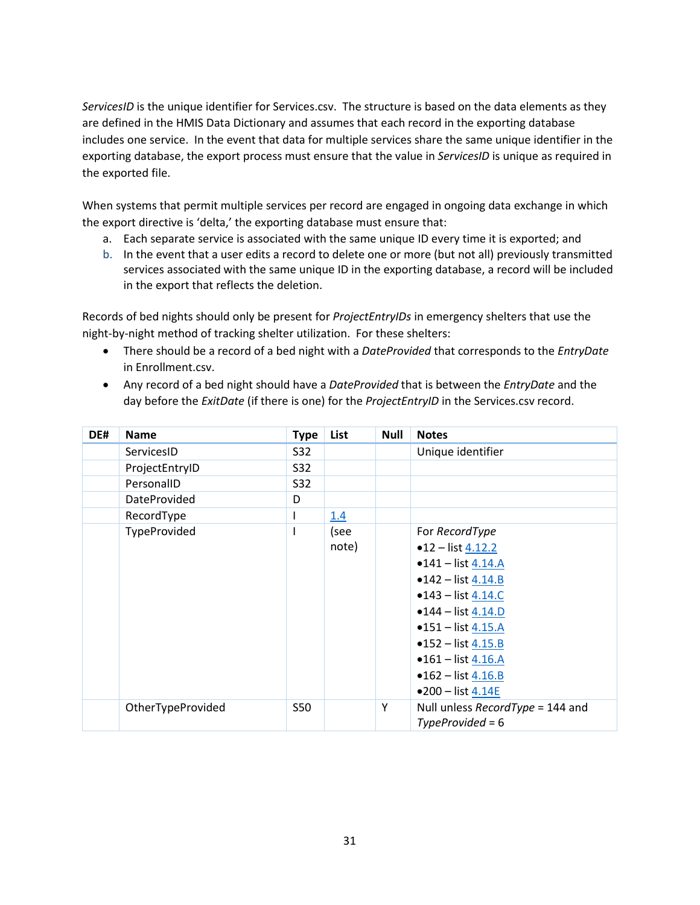*ServicesID* is the unique identifier for Services.csv. The structure is based on the data elements as they are defined in the HMIS Data Dictionary and assumes that each record in the exporting database includes one service. In the event that data for multiple services share the same unique identifier in the exporting database, the export process must ensure that the value in *ServicesID* is unique as required in the exported file.

When systems that permit multiple services per record are engaged in ongoing data exchange in which the export directive is 'delta,' the exporting database must ensure that:

- a. Each separate service is associated with the same unique ID every time it is exported; and
- b. In the event that a user edits a record to delete one or more (but not all) previously transmitted services associated with the same unique ID in the exporting database, a record will be included in the export that reflects the deletion.

Records of bed nights should only be present for *ProjectEntryIDs* in emergency shelters that use the night-by-night method of tracking shelter utilization. For these shelters:

- There should be a record of a bed night with a *DateProvided* that corresponds to the *EntryDate* in Enrollment.csv.
- Any record of a bed night should have a *DateProvided* that is between the *EntryDate* and the day before the *ExitDate* (if there is one) for the *ProjectEntryID* in the Services.csv record.

| DE# | <b>Name</b>       | <b>Type</b> | List  | <b>Null</b> | <b>Notes</b>                     |
|-----|-------------------|-------------|-------|-------------|----------------------------------|
|     | ServicesID        | S32         |       |             | Unique identifier                |
|     | ProjectEntryID    | S32         |       |             |                                  |
|     | PersonalID        | S32         |       |             |                                  |
|     | DateProvided      | D           |       |             |                                  |
|     | RecordType        |             | 1.4   |             |                                  |
|     | TypeProvided      |             | (see  |             | For RecordType                   |
|     |                   |             | note) |             | $•12$ – list $4.12.2$            |
|     |                   |             |       |             | $•141 - list 4.14.A$             |
|     |                   |             |       |             | $•142 - list 4.14.B$             |
|     |                   |             |       |             | $•143 - list 4.14.C$             |
|     |                   |             |       |             | $•144$ - list 4.14.D             |
|     |                   |             |       |             | $•151 - list 4.15.A$             |
|     |                   |             |       |             | $•152 - list 4.15.B$             |
|     |                   |             |       |             | $•161 - list 4.16.A$             |
|     |                   |             |       |             | • $162 - list$ 4.16.B            |
|     |                   |             |       |             | $•200 - list 4.14E$              |
|     | OtherTypeProvided | <b>S50</b>  |       | Υ           | Null unless RecordType = 144 and |
|     |                   |             |       |             | $TypeProvided = 6$               |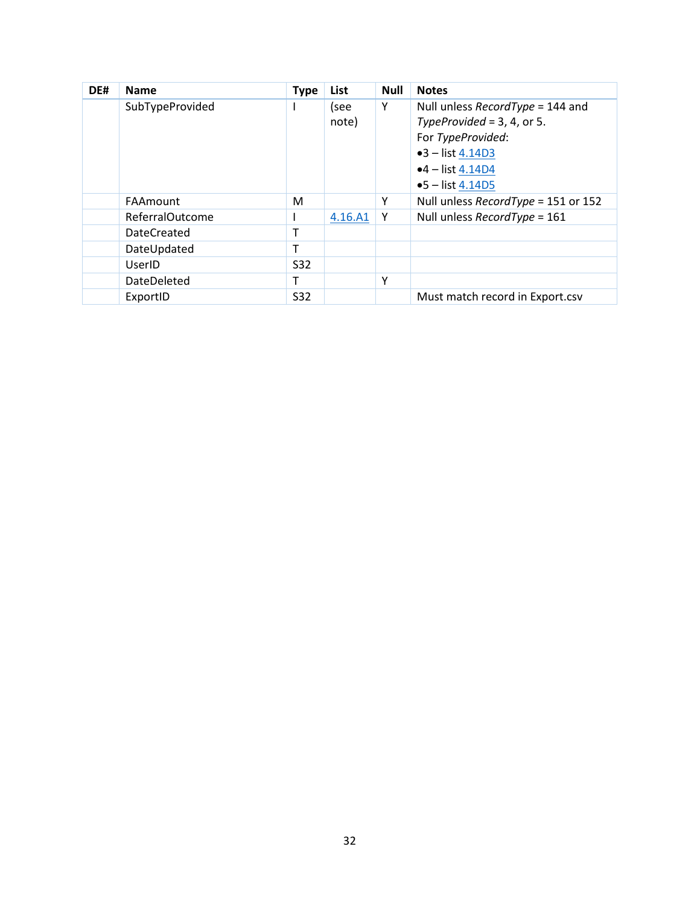<span id="page-32-0"></span>

| DE# | <b>Name</b>        | <b>Type</b> | List    | <b>Null</b> | <b>Notes</b>                        |
|-----|--------------------|-------------|---------|-------------|-------------------------------------|
|     | SubTypeProvided    |             | (see    | Υ           | Null unless $RecordType = 144$ and  |
|     |                    |             | note)   |             | TypeProvided = $3, 4$ , or $5.$     |
|     |                    |             |         |             | For TypeProvided:                   |
|     |                    |             |         |             | $•3 - list 4.14D3$                  |
|     |                    |             |         |             | $•4$ – list 4.14D4                  |
|     |                    |             |         |             | $•5 - list 4.14D5$                  |
|     | FAAmount           | M           |         | Y           | Null unless RecordType = 151 or 152 |
|     | ReferralOutcome    |             | 4.16.A1 | Y           | Null unless RecordType = 161        |
|     | <b>DateCreated</b> | т           |         |             |                                     |
|     | DateUpdated        | т           |         |             |                                     |
|     | UserID             | S32         |         |             |                                     |
|     | DateDeleted        | т           |         | Y           |                                     |
|     | ExportID           | <b>S32</b>  |         |             | Must match record in Export.csv     |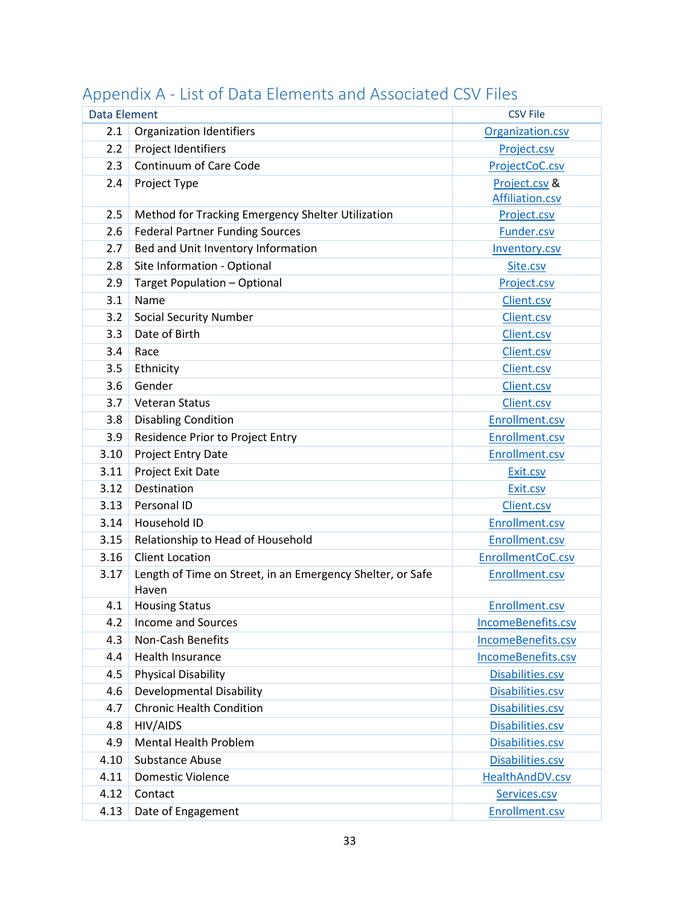| <b>Data Element</b> |                                                                     | <b>CSV File</b>    |
|---------------------|---------------------------------------------------------------------|--------------------|
| 2.1                 | <b>Organization Identifiers</b>                                     | Organization.csv   |
| 2.2                 | Project Identifiers                                                 | Project.csv        |
| 2.3                 | Continuum of Care Code                                              | ProjectCoC.csv     |
| 2.4                 | Project Type                                                        | Project.csv &      |
|                     |                                                                     | Affiliation.csv    |
| 2.5                 | Method for Tracking Emergency Shelter Utilization                   | Project.csv        |
| 2.6                 | <b>Federal Partner Funding Sources</b>                              | Funder.csv         |
| 2.7                 | Bed and Unit Inventory Information                                  | Inventory.csv      |
| 2.8                 | Site Information - Optional                                         | Site.csv           |
| 2.9                 | Target Population - Optional                                        | Project.csv        |
| 3.1                 | Name                                                                | Client.csv         |
| 3.2                 | <b>Social Security Number</b>                                       | Client.csv         |
| 3.3                 | Date of Birth                                                       | Client.csv         |
| 3.4                 | Race                                                                | Client.csv         |
| 3.5                 | Ethnicity                                                           | Client.csv         |
| 3.6                 | Gender                                                              | Client.csv         |
| 3.7                 | <b>Veteran Status</b>                                               | Client.csv         |
| 3.8                 | <b>Disabling Condition</b>                                          | Enrollment.csv     |
| 3.9                 | Residence Prior to Project Entry                                    | Enrollment.csv     |
| 3.10                | Project Entry Date                                                  | Enrollment.csv     |
| 3.11                | Project Exit Date                                                   | Exit.csv           |
| 3.12                | Destination                                                         | Exit.csv           |
| 3.13                | Personal ID                                                         | Client.csv         |
| 3.14                | Household ID                                                        | Enrollment.csv     |
| 3.15                | Relationship to Head of Household                                   | Enrollment.csv     |
| 3.16                | <b>Client Location</b>                                              | EnrollmentCoC.csv  |
| 3.17                | Length of Time on Street, in an Emergency Shelter, or Safe<br>Haven | Enrollment.csv     |
| 4.1                 | <b>Housing Status</b>                                               | Enrollment.csv     |
| 4.2                 | <b>Income and Sources</b>                                           | IncomeBenefits.csv |
| 4.3                 | Non-Cash Benefits                                                   | IncomeBenefits.csv |
| 4.4                 | Health Insurance                                                    | IncomeBenefits.csv |
| 4.5                 | <b>Physical Disability</b>                                          | Disabilities.csv   |
| 4.6                 | <b>Developmental Disability</b>                                     | Disabilities.csv   |
| 4.7                 | <b>Chronic Health Condition</b>                                     | Disabilities.csv   |
| 4.8                 | HIV/AIDS                                                            | Disabilities.csv   |
| 4.9                 | <b>Mental Health Problem</b>                                        | Disabilities.csv   |
| 4.10                | <b>Substance Abuse</b>                                              | Disabilities.csv   |
| 4.11                | <b>Domestic Violence</b>                                            | HealthAndDV.csv    |
| 4.12                | Contact                                                             | Services.csv       |
| 4.13                | Date of Engagement                                                  | Enrollment.csv     |

## <span id="page-33-0"></span>Appendix A - List of Data Elements and Associated CSV Files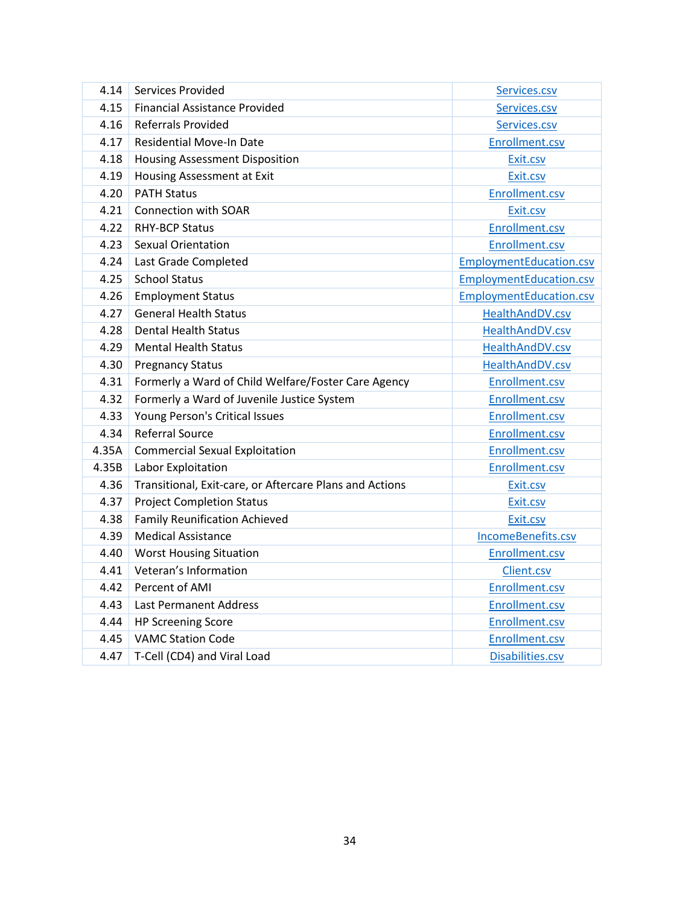| 4.14  | <b>Services Provided</b>                                | Services.csv                   |
|-------|---------------------------------------------------------|--------------------------------|
| 4.15  | <b>Financial Assistance Provided</b>                    | Services.csv                   |
| 4.16  | <b>Referrals Provided</b>                               | Services.csv                   |
| 4.17  | Residential Move-In Date                                | Enrollment.csv                 |
| 4.18  | <b>Housing Assessment Disposition</b>                   | Exit.csv                       |
| 4.19  | Housing Assessment at Exit                              | Exit.csv                       |
| 4.20  | <b>PATH Status</b>                                      | Enrollment.csv                 |
| 4.21  | <b>Connection with SOAR</b>                             | Exit.csv                       |
| 4.22  | <b>RHY-BCP Status</b>                                   | Enrollment.csv                 |
| 4.23  | <b>Sexual Orientation</b>                               | Enrollment.csv                 |
| 4.24  | Last Grade Completed                                    | <b>EmploymentEducation.csv</b> |
| 4.25  | <b>School Status</b>                                    | EmploymentEducation.csv        |
| 4.26  | <b>Employment Status</b>                                | EmploymentEducation.csv        |
| 4.27  | <b>General Health Status</b>                            | HealthAndDV.csv                |
| 4.28  | <b>Dental Health Status</b>                             | HealthAndDV.csv                |
| 4.29  | <b>Mental Health Status</b>                             | HealthAndDV.csv                |
| 4.30  | <b>Pregnancy Status</b>                                 | HealthAndDV.csv                |
| 4.31  | Formerly a Ward of Child Welfare/Foster Care Agency     | Enrollment.csv                 |
| 4.32  | Formerly a Ward of Juvenile Justice System              | Enrollment.csv                 |
| 4.33  | Young Person's Critical Issues                          | Enrollment.csv                 |
| 4.34  | <b>Referral Source</b>                                  | Enrollment.csv                 |
| 4.35A | <b>Commercial Sexual Exploitation</b>                   | Enrollment.csv                 |
| 4.35B | Labor Exploitation                                      | Enrollment.csv                 |
| 4.36  | Transitional, Exit-care, or Aftercare Plans and Actions | Exit.csv                       |
| 4.37  | <b>Project Completion Status</b>                        | Exit.csv                       |
| 4.38  | <b>Family Reunification Achieved</b>                    | Exit.csv                       |
| 4.39  | <b>Medical Assistance</b>                               | IncomeBenefits.csv             |
| 4.40  | <b>Worst Housing Situation</b>                          | Enrollment.csv                 |
| 4.41  | Veteran's Information                                   | Client.csv                     |
| 4.42  | Percent of AMI                                          | Enrollment.csv                 |
| 4.43  | Last Permanent Address                                  | Enrollment.csv                 |
| 4.44  | <b>HP Screening Score</b>                               | Enrollment.csv                 |
| 4.45  | <b>VAMC Station Code</b>                                | Enrollment.csv                 |
| 4.47  | T-Cell (CD4) and Viral Load                             | Disabilities.csv               |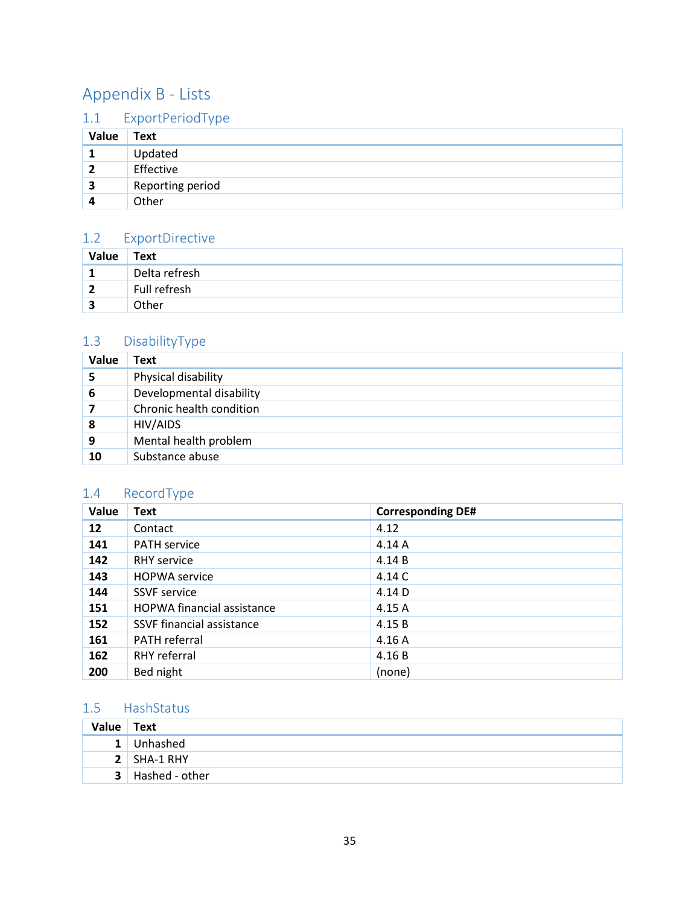## <span id="page-35-0"></span>Appendix B - Lists

## <span id="page-35-1"></span>1.1 ExportPeriodType

| Value | Text             |
|-------|------------------|
|       | Updated          |
|       | Effective        |
| 3     | Reporting period |
|       | Other            |

## <span id="page-35-2"></span>1.2 ExportDirective

| Value | Text          |
|-------|---------------|
| T     | Delta refresh |
| 2     | Full refresh  |
|       | Other         |

## <span id="page-35-3"></span>1.3 DisabilityType

| Value | Text                     |
|-------|--------------------------|
| 5     | Physical disability      |
| 6     | Developmental disability |
|       | Chronic health condition |
| 8     | HIV/AIDS                 |
| 9     | Mental health problem    |
| 10    | Substance abuse          |

## <span id="page-35-4"></span>1.4 RecordType

| Value           | <b>Text</b>                       | <b>Corresponding DE#</b> |
|-----------------|-----------------------------------|--------------------------|
| 12 <sup>2</sup> | Contact                           | 4.12                     |
| 141             | <b>PATH service</b>               | 4.14A                    |
| 142             | <b>RHY</b> service                | 4.14B                    |
| 143             | <b>HOPWA</b> service              | 4.14 C                   |
| 144             | <b>SSVF</b> service               | 4.14 D                   |
| 151             | <b>HOPWA</b> financial assistance | 4.15 A                   |
| 152             | SSVF financial assistance         | 4.15B                    |
| 161             | PATH referral                     | 4.16A                    |
| 162             | RHY referral                      | 4.16B                    |
| 200             | Bed night                         | (none)                   |

## <span id="page-35-5"></span>1.5 HashStatus

| Value Text |                    |
|------------|--------------------|
|            | 1 Unhashed         |
|            | $2$ SHA-1 RHY      |
|            | $3$ Hashed - other |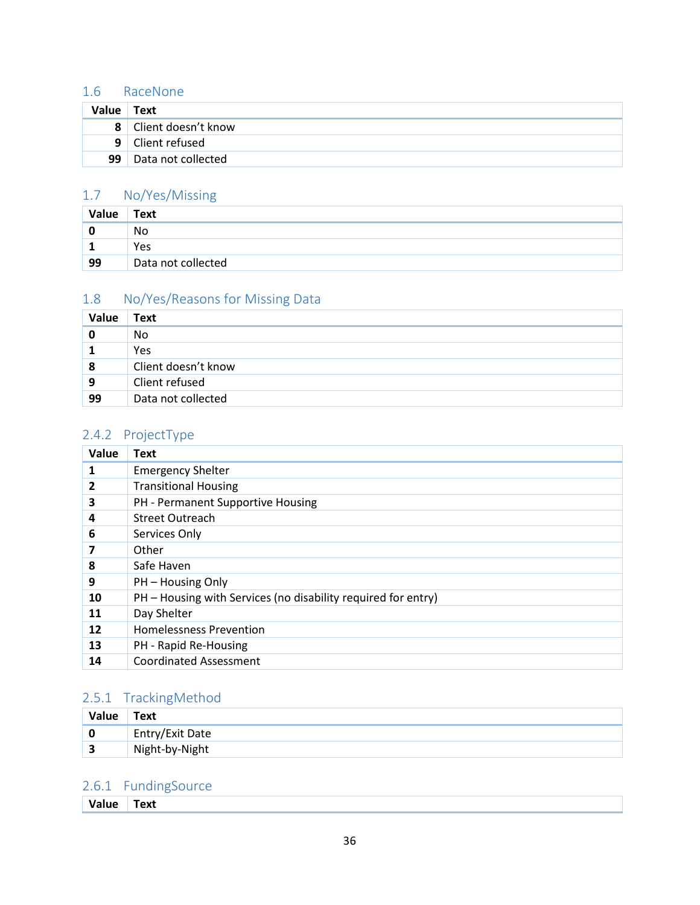## <span id="page-36-0"></span>1.6 RaceNone

| Value          | Text                |
|----------------|---------------------|
| 8 <sup>1</sup> | Client doesn't know |
| 9              | Client refused      |
| 99             | Data not collected  |

## <span id="page-36-1"></span>1.7 No/Yes/Missing

| Value | Text               |
|-------|--------------------|
|       | No                 |
| ÷     | Yes                |
| 99    | Data not collected |

## <span id="page-36-2"></span>1.8 No/Yes/Reasons for Missing Data

| Value | Text                |
|-------|---------------------|
|       | No.                 |
|       | Yes                 |
| 8     | Client doesn't know |
| 9     | Client refused      |
| 99    | Data not collected  |

## <span id="page-36-3"></span>2.4.2 ProjectType

| Value | <b>Text</b>                                                   |
|-------|---------------------------------------------------------------|
| 1     | <b>Emergency Shelter</b>                                      |
| 2     | <b>Transitional Housing</b>                                   |
| 3     | PH - Permanent Supportive Housing                             |
| 4     | <b>Street Outreach</b>                                        |
| 6     | Services Only                                                 |
| 7     | Other                                                         |
| 8     | Safe Haven                                                    |
| 9     | PH - Housing Only                                             |
| 10    | PH – Housing with Services (no disability required for entry) |
| 11    | Day Shelter                                                   |
| 12    | <b>Homelessness Prevention</b>                                |
| 13    | PH - Rapid Re-Housing                                         |
| 14    | <b>Coordinated Assessment</b>                                 |

## <span id="page-36-4"></span>2.5.1 TrackingMethod

| Value | Text            |
|-------|-----------------|
|       | Entry/Exit Date |
| ∍     | Night-by-Night  |

## <span id="page-36-5"></span>2.6.1 FundingSource

|  |  | ⊺ext |  |  |  |  |  |  |  |  |  |  |  |  |  |  |  |  |  |  |  |  |  |
|--|--|------|--|--|--|--|--|--|--|--|--|--|--|--|--|--|--|--|--|--|--|--|--|
|--|--|------|--|--|--|--|--|--|--|--|--|--|--|--|--|--|--|--|--|--|--|--|--|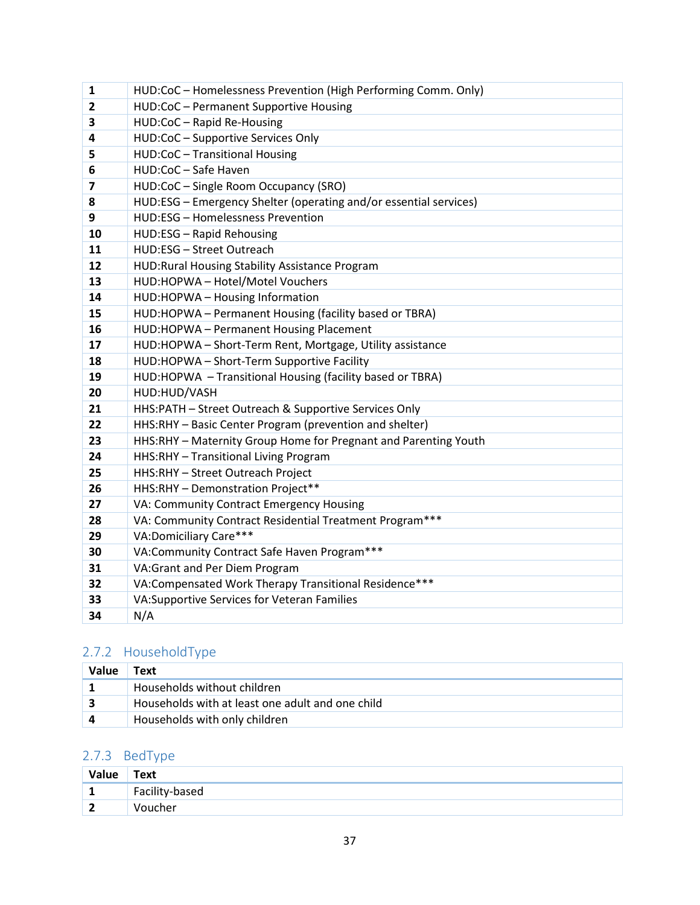| 1              | HUD:CoC - Homelessness Prevention (High Performing Comm. Only)    |
|----------------|-------------------------------------------------------------------|
| $\overline{2}$ | HUD:CoC - Permanent Supportive Housing                            |
| 3              | HUD:CoC - Rapid Re-Housing                                        |
| 4              | HUD:CoC - Supportive Services Only                                |
| 5              | HUD:CoC - Transitional Housing                                    |
| 6              | HUD:CoC - Safe Haven                                              |
| 7              | HUD:CoC - Single Room Occupancy (SRO)                             |
| 8              | HUD:ESG - Emergency Shelter (operating and/or essential services) |
| 9              | HUD:ESG - Homelessness Prevention                                 |
| 10             | HUD:ESG - Rapid Rehousing                                         |
| 11             | HUD:ESG - Street Outreach                                         |
| 12             | HUD: Rural Housing Stability Assistance Program                   |
| 13             | HUD:HOPWA - Hotel/Motel Vouchers                                  |
| 14             | HUD:HOPWA - Housing Information                                   |
| 15             | HUD:HOPWA - Permanent Housing (facility based or TBRA)            |
| 16             | HUD:HOPWA - Permanent Housing Placement                           |
| 17             | HUD:HOPWA - Short-Term Rent, Mortgage, Utility assistance         |
| 18             | HUD:HOPWA - Short-Term Supportive Facility                        |
| 19             | HUD:HOPWA - Transitional Housing (facility based or TBRA)         |
| 20             | HUD:HUD/VASH                                                      |
| 21             | HHS:PATH - Street Outreach & Supportive Services Only             |
| 22             | HHS:RHY - Basic Center Program (prevention and shelter)           |
| 23             | HHS:RHY - Maternity Group Home for Pregnant and Parenting Youth   |
| 24             | HHS:RHY - Transitional Living Program                             |
| 25             | HHS:RHY - Street Outreach Project                                 |
| 26             | HHS:RHY - Demonstration Project**                                 |
| 27             | VA: Community Contract Emergency Housing                          |
| 28             | VA: Community Contract Residential Treatment Program***           |
| 29             | VA:Domiciliary Care***                                            |
| 30             | VA:Community Contract Safe Haven Program***                       |
| 31             | VA: Grant and Per Diem Program                                    |
| 32             | VA:Compensated Work Therapy Transitional Residence***             |
| 33             | VA:Supportive Services for Veteran Families                       |
| 34             | N/A                                                               |

## <span id="page-37-0"></span>2.7.2 HouseholdType

| Value | Text                                             |
|-------|--------------------------------------------------|
|       | Households without children                      |
|       | Households with at least one adult and one child |
|       | Households with only children                    |

## <span id="page-37-1"></span>2.7.3 BedType

| Value             | <b>Text</b>    |
|-------------------|----------------|
| ٠<br>$\mathbf{r}$ | Facility-based |
| ຳ<br>$\epsilon$   | Voucher        |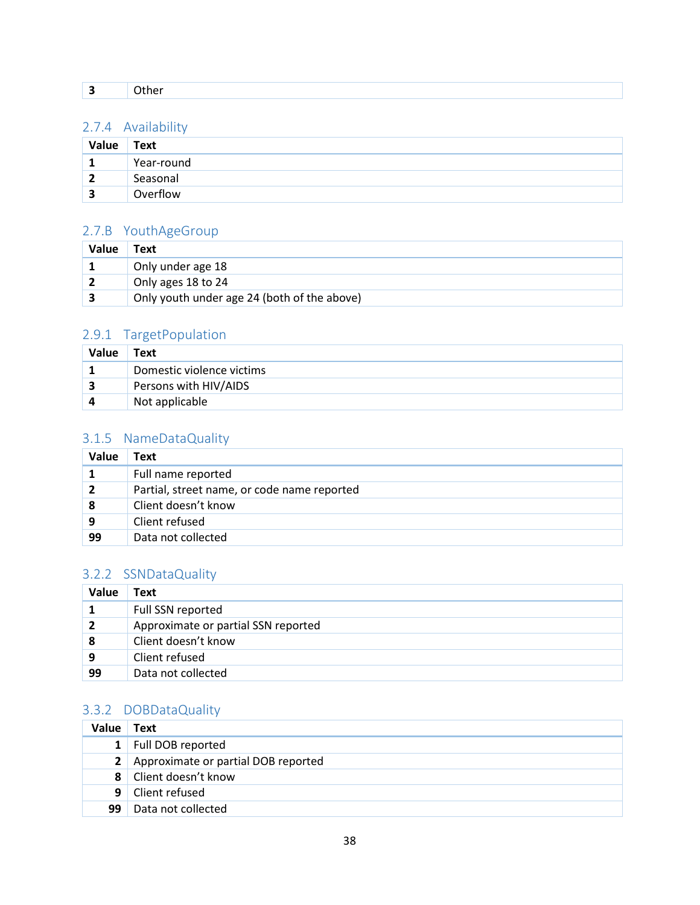|  | ___ |  |  |  |  |  |  |
|--|-----|--|--|--|--|--|--|
|--|-----|--|--|--|--|--|--|

### <span id="page-38-0"></span>2.7.4 Availability

| Value        | Text       |
|--------------|------------|
| ┻            | Year-round |
| $\mathbf{z}$ | Seasonal   |
|              | Overflow   |

## <span id="page-38-1"></span>2.7.B YouthAgeGroup

| Value | Text                                        |
|-------|---------------------------------------------|
|       | Only under age 18                           |
|       | Only ages 18 to 24                          |
|       | Only youth under age 24 (both of the above) |

## <span id="page-38-2"></span>2.9.1 TargetPopulation

| Value | Text                      |
|-------|---------------------------|
|       | Domestic violence victims |
|       | Persons with HIV/AIDS     |
|       | Not applicable            |

### <span id="page-38-3"></span>3.1.5 NameDataQuality

| <b>Value</b> | Text                                        |
|--------------|---------------------------------------------|
|              | Full name reported                          |
| 2            | Partial, street name, or code name reported |
| 8            | Client doesn't know                         |
| 9            | Client refused                              |
| 99           | Data not collected                          |

### <span id="page-38-4"></span>3.2.2 SSNDataQuality

| <b>Value</b> | Text                                |
|--------------|-------------------------------------|
|              | Full SSN reported                   |
| 2            | Approximate or partial SSN reported |
| 8            | Client doesn't know                 |
| 9            | Client refused                      |
| 99           | Data not collected                  |

### <span id="page-38-5"></span>3.3.2 DOBDataQuality

| Value          | Text                                  |
|----------------|---------------------------------------|
| 1 <sup>1</sup> | Full DOB reported                     |
|                | 2 Approximate or partial DOB reported |
|                | 8 Client doesn't know                 |
| 9              | Client refused                        |
| 99             | Data not collected                    |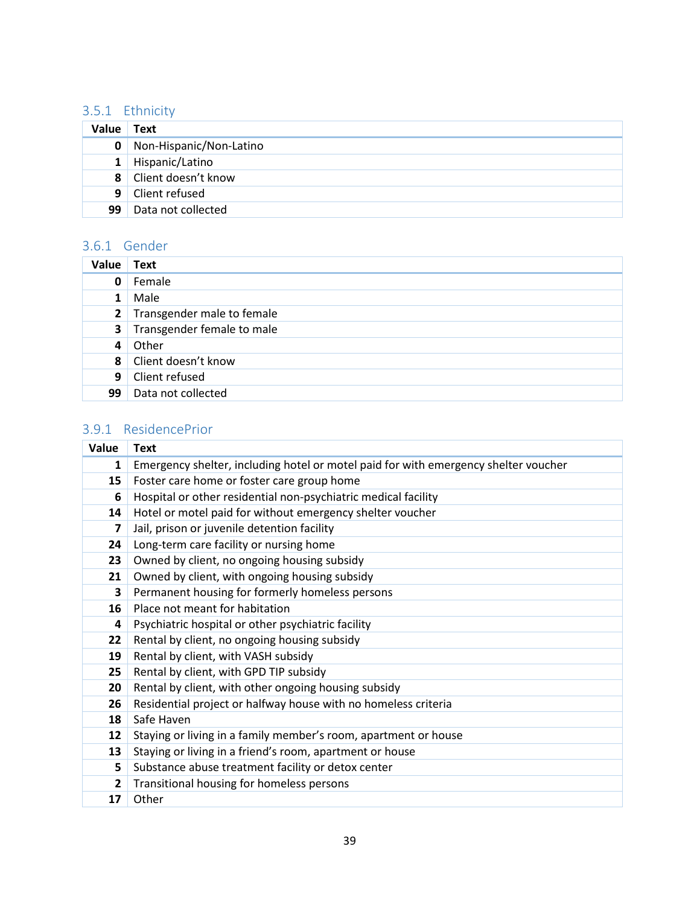### <span id="page-39-0"></span>3.5.1 Ethnicity

| Value        | Text                    |
|--------------|-------------------------|
| 0            | Non-Hispanic/Non-Latino |
| $\mathbf{1}$ | Hispanic/Latino         |
| 8            | Client doesn't know     |
| 9            | Client refused          |
| 99           | Data not collected      |

### <span id="page-39-1"></span>3.6.1 Gender

| <b>Value</b> | Text                       |
|--------------|----------------------------|
| 0            | Female                     |
|              | Male                       |
| $\mathbf{2}$ | Transgender male to female |
| 3            | Transgender female to male |
| 4            | Other                      |
| 8            | Client doesn't know        |
| 9            | Client refused             |
| 99           | Data not collected         |

## <span id="page-39-2"></span>3.9.1 ResidencePrior

| Value        | <b>Text</b>                                                                         |
|--------------|-------------------------------------------------------------------------------------|
| 1            | Emergency shelter, including hotel or motel paid for with emergency shelter voucher |
| 15           | Foster care home or foster care group home                                          |
| 6            | Hospital or other residential non-psychiatric medical facility                      |
| 14           | Hotel or motel paid for without emergency shelter voucher                           |
| 7            | Jail, prison or juvenile detention facility                                         |
| 24           | Long-term care facility or nursing home                                             |
| 23           | Owned by client, no ongoing housing subsidy                                         |
| 21           | Owned by client, with ongoing housing subsidy                                       |
| 3            | Permanent housing for formerly homeless persons                                     |
| 16           | Place not meant for habitation                                                      |
| 4            | Psychiatric hospital or other psychiatric facility                                  |
| 22           | Rental by client, no ongoing housing subsidy                                        |
| 19           | Rental by client, with VASH subsidy                                                 |
| 25           | Rental by client, with GPD TIP subsidy                                              |
| 20           | Rental by client, with other ongoing housing subsidy                                |
| 26           | Residential project or halfway house with no homeless criteria                      |
| 18           | Safe Haven                                                                          |
| 12           | Staying or living in a family member's room, apartment or house                     |
| 13           | Staying or living in a friend's room, apartment or house                            |
| 5            | Substance abuse treatment facility or detox center                                  |
| $\mathbf{2}$ | Transitional housing for homeless persons                                           |
| 17           | Other                                                                               |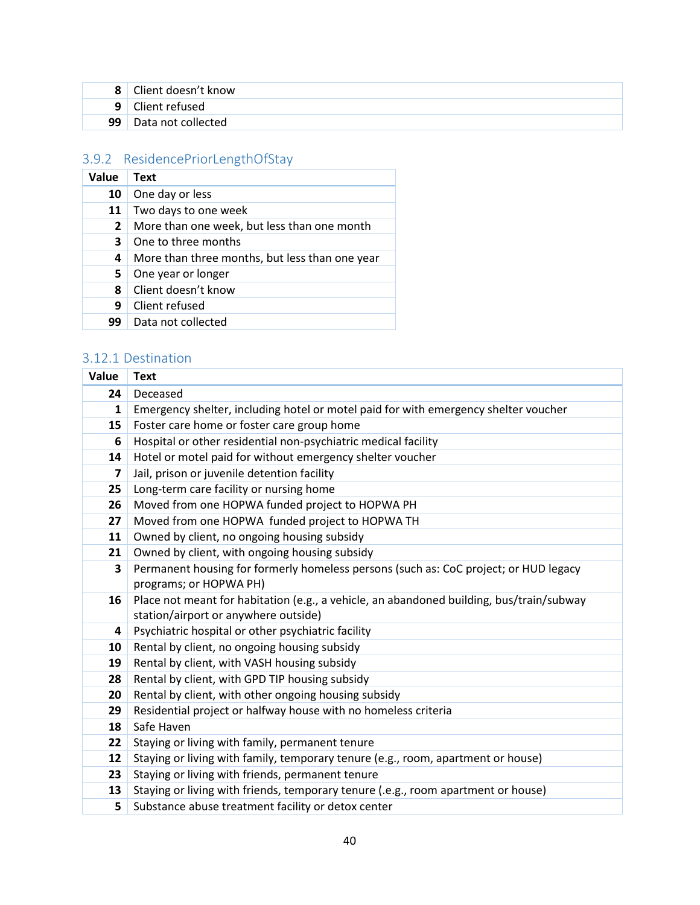|                 | 8 Client doesn't know |
|-----------------|-----------------------|
|                 | 9 Client refused      |
| 99 <sub>1</sub> | Data not collected    |

## <span id="page-40-0"></span>3.9.2 ResidencePriorLengthOfStay

| Value        | <b>Text</b>                                    |
|--------------|------------------------------------------------|
| 10           | One day or less                                |
| 11           | Two days to one week                           |
| $\mathbf{2}$ | More than one week, but less than one month    |
| 3            | One to three months                            |
| 4            | More than three months, but less than one year |
| 5.           | One year or longer                             |
| 8            | Client doesn't know                            |
| 9            | Client refused                                 |
| 99           | Data not collected                             |

## <span id="page-40-1"></span>3.12.1 Destination

| Value | <b>Text</b>                                                                              |
|-------|------------------------------------------------------------------------------------------|
| 24    | Deceased                                                                                 |
| 1     | Emergency shelter, including hotel or motel paid for with emergency shelter voucher      |
| 15    | Foster care home or foster care group home                                               |
| 6     | Hospital or other residential non-psychiatric medical facility                           |
| 14    | Hotel or motel paid for without emergency shelter voucher                                |
| 7     | Jail, prison or juvenile detention facility                                              |
| 25    | Long-term care facility or nursing home                                                  |
| 26    | Moved from one HOPWA funded project to HOPWA PH                                          |
| 27    | Moved from one HOPWA funded project to HOPWA TH                                          |
| 11    | Owned by client, no ongoing housing subsidy                                              |
| 21    | Owned by client, with ongoing housing subsidy                                            |
| 3     | Permanent housing for formerly homeless persons (such as: CoC project; or HUD legacy     |
|       | programs; or HOPWA PH)                                                                   |
| 16    | Place not meant for habitation (e.g., a vehicle, an abandoned building, bus/train/subway |
|       | station/airport or anywhere outside)                                                     |
| 4     | Psychiatric hospital or other psychiatric facility                                       |
| 10    | Rental by client, no ongoing housing subsidy                                             |
| 19    | Rental by client, with VASH housing subsidy                                              |
| 28    | Rental by client, with GPD TIP housing subsidy                                           |
| 20    | Rental by client, with other ongoing housing subsidy                                     |
| 29    | Residential project or halfway house with no homeless criteria                           |
| 18    | Safe Haven                                                                               |
| 22    | Staying or living with family, permanent tenure                                          |
| 12    | Staying or living with family, temporary tenure (e.g., room, apartment or house)         |
| 23    | Staying or living with friends, permanent tenure                                         |
| 13    | Staying or living with friends, temporary tenure (.e.g., room apartment or house)        |
| 5     | Substance abuse treatment facility or detox center                                       |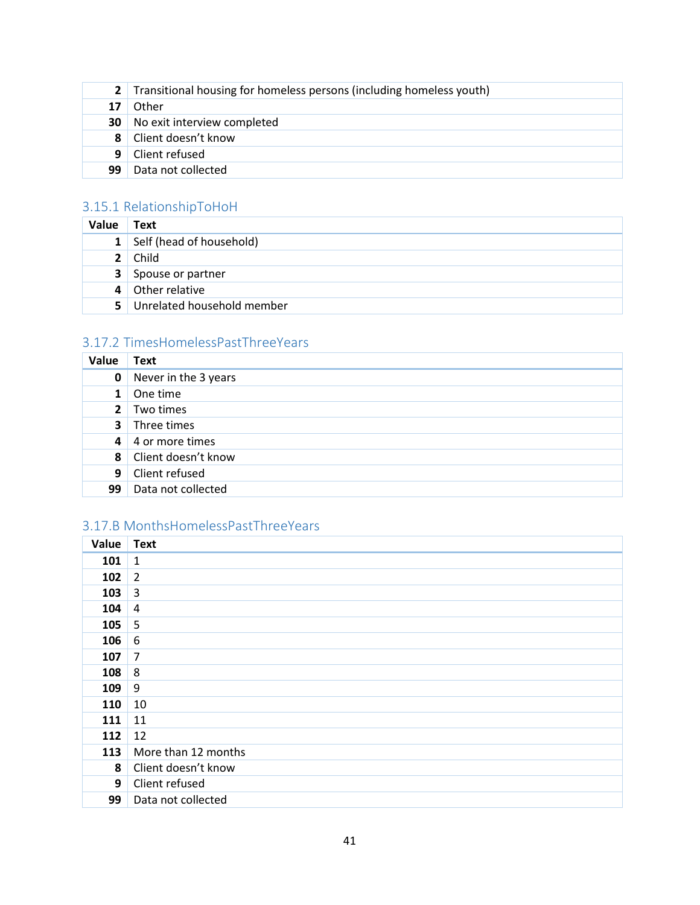|    | 2 Transitional housing for homeless persons (including homeless youth) |
|----|------------------------------------------------------------------------|
| 17 | Other                                                                  |
|    | <b>30</b> No exit interview completed                                  |
|    | 8 Client doesn't know                                                  |
|    | 9 Client refused                                                       |
| 99 | Data not collected                                                     |

## <span id="page-41-0"></span>3.15.1 RelationshipToHoH

| <b>Value</b>   | Text                       |
|----------------|----------------------------|
| $\mathbf{1}$   | Self (head of household)   |
| 2 <sup>1</sup> | Child                      |
| $\mathbf{3}$   | Spouse or partner          |
| 4              | Other relative             |
| 5.             | Unrelated household member |

## <span id="page-41-1"></span>3.17.2 TimesHomelessPastThreeYears

| Value          | <b>Text</b>          |
|----------------|----------------------|
| 0              | Never in the 3 years |
| $\mathbf 1$    | One time             |
| 2 <sup>1</sup> | Two times            |
| 3 <sup>1</sup> | Three times          |
| $\mathbf{4}$   | 4 or more times      |
| 8              | Client doesn't know  |
| 9              | Client refused       |
| 99             | Data not collected   |

## <span id="page-41-2"></span>3.17.B MonthsHomelessPastThreeYears

| Value | <b>Text</b>         |
|-------|---------------------|
| 101   | $\mathbf{1}$        |
| 102   | $\overline{2}$      |
| 103   | 3                   |
| 104   | 4                   |
| 105   | 5                   |
| 106   | 6                   |
| 107   | $\overline{7}$      |
| 108   | 8                   |
| 109   | 9                   |
| 110   | 10                  |
| 111   | 11                  |
| 112   | 12                  |
| 113   | More than 12 months |
| 8     | Client doesn't know |
| 9     | Client refused      |
| 99    | Data not collected  |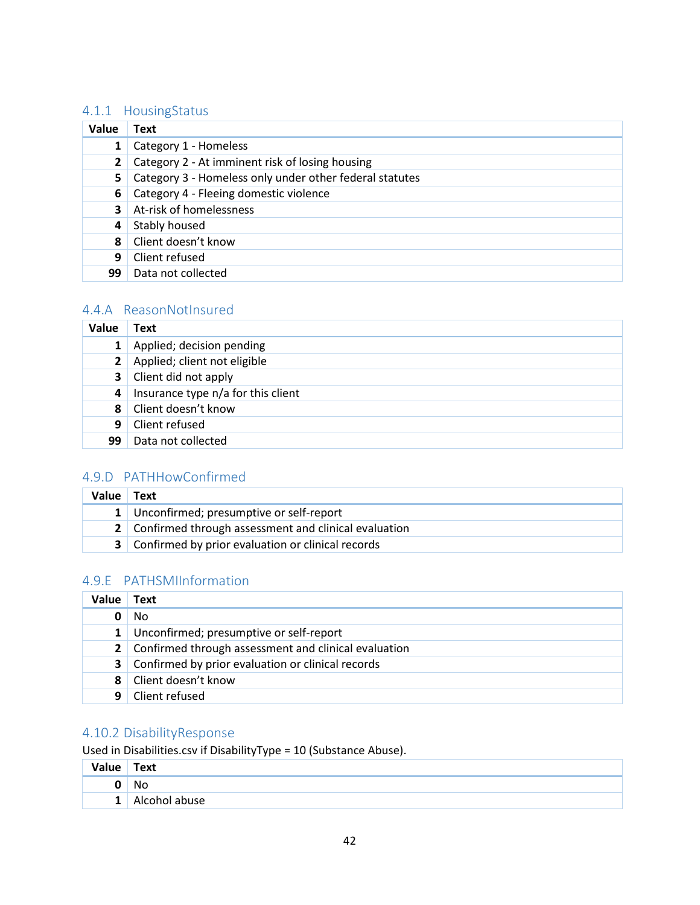### <span id="page-42-0"></span>4.1.1 HousingStatus

| Value | Text                                                    |
|-------|---------------------------------------------------------|
|       | Category 1 - Homeless                                   |
|       | Category 2 - At imminent risk of losing housing         |
| 5.    | Category 3 - Homeless only under other federal statutes |
| 6     | Category 4 - Fleeing domestic violence                  |
| 3     | At-risk of homelessness                                 |
| 4     | Stably housed                                           |
| 8     | Client doesn't know                                     |
| 9     | Client refused                                          |
| 99    | Data not collected                                      |

### <span id="page-42-1"></span>4.4.A ReasonNotInsured

| Value          | Text                               |
|----------------|------------------------------------|
| $\mathbf{1}$   | Applied; decision pending          |
| 2 <sup>1</sup> | Applied; client not eligible       |
| 3 <sup>1</sup> | Client did not apply               |
| 4              | Insurance type n/a for this client |
| 8              | Client doesn't know                |
| 9              | Client refused                     |
| 99             | Data not collected                 |

## <span id="page-42-2"></span>4.9.D PATHHowConfirmed

| Value | Text                                                       |
|-------|------------------------------------------------------------|
|       | 1 Unconfirmed; presumptive or self-report                  |
|       | 2 Confirmed through assessment and clinical evaluation     |
|       | <b>3</b> Confirmed by prior evaluation or clinical records |

## <span id="page-42-3"></span>4.9.E PATHSMIInformation

| Value        | Text                                                   |
|--------------|--------------------------------------------------------|
|              | No                                                     |
| $\mathbf{1}$ | Unconfirmed; presumptive or self-report                |
|              | 2 Confirmed through assessment and clinical evaluation |
| 3            | Confirmed by prior evaluation or clinical records      |
| 8            | Client doesn't know                                    |
| 9            | Client refused                                         |

## <span id="page-42-4"></span>4.10.2 DisabilityResponse

Used in Disabilities.csv if DisabilityType = 10 (Substance Abuse).

| Value | Text          |
|-------|---------------|
|       | Νo            |
|       | Alcohol abuse |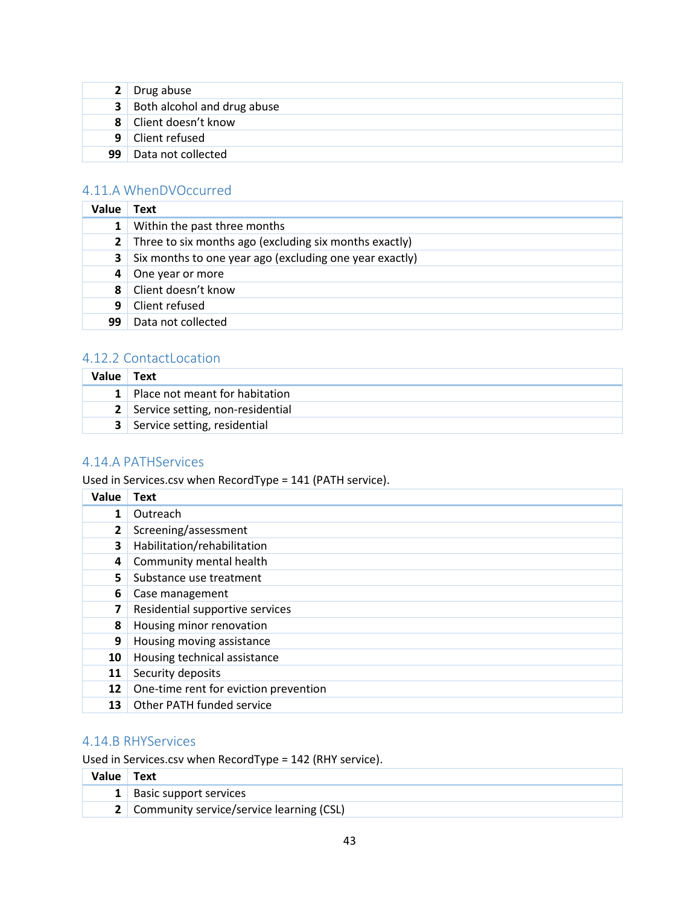| 2 Drug abuse                         |
|--------------------------------------|
| <b>3</b> Both alcohol and drug abuse |
| 8 Client doesn't know                |
| 9   Client refused                   |
| 99 Data not collected                |

## <span id="page-43-0"></span>4.11.A WhenDVOccurred

| Value          | Text                                                    |
|----------------|---------------------------------------------------------|
| 1 <sub>1</sub> | Within the past three months                            |
| 2 <sup>1</sup> | Three to six months ago (excluding six months exactly)  |
| 3              | Six months to one year ago (excluding one year exactly) |
| 4              | One year or more                                        |
| 8              | Client doesn't know                                     |
| 9              | Client refused                                          |
| 99             | Data not collected                                      |

### <span id="page-43-1"></span>4.12.2 ContactLocation

| Value | Text                                  |
|-------|---------------------------------------|
|       | 1 Place not meant for habitation      |
|       | 2 Service setting, non-residential    |
|       | <b>3</b> Service setting, residential |

## <span id="page-43-2"></span>4.14.A PATHServices

Used in Services.csv when RecordType = 141 (PATH service).

| Value        | <b>Text</b>                           |
|--------------|---------------------------------------|
| 1            | Outreach                              |
| $\mathbf{2}$ | Screening/assessment                  |
| 3            | Habilitation/rehabilitation           |
| 4            | Community mental health               |
| 5            | Substance use treatment               |
| 6            | Case management                       |
| 7            | Residential supportive services       |
| 8            | Housing minor renovation              |
| 9            | Housing moving assistance             |
| 10           | Housing technical assistance          |
| 11           | Security deposits                     |
| 12           | One-time rent for eviction prevention |
| 13           | Other PATH funded service             |

### <span id="page-43-3"></span>4.14.B RHYServices

Used in Services.csv when RecordType = 142 (RHY service).

| Value Text |                                            |
|------------|--------------------------------------------|
|            | 1 Basic support services                   |
|            | 2 Community service/service learning (CSL) |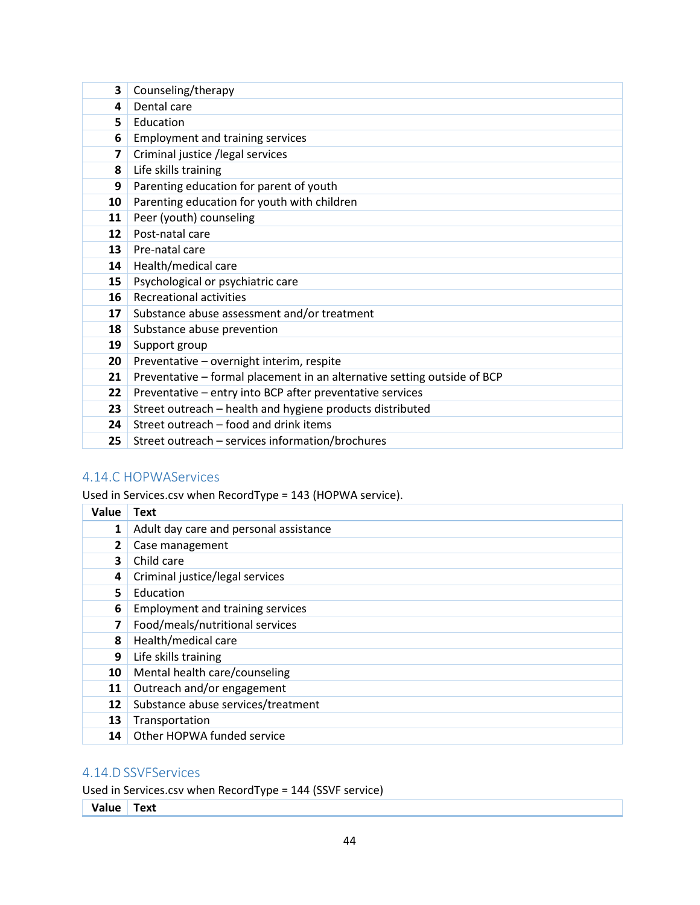| 3  | Counseling/therapy                                                       |
|----|--------------------------------------------------------------------------|
| 4  | Dental care                                                              |
| 5  | Education                                                                |
| 6  | <b>Employment and training services</b>                                  |
| 7  | Criminal justice /legal services                                         |
| 8  | Life skills training                                                     |
| 9  | Parenting education for parent of youth                                  |
| 10 | Parenting education for youth with children                              |
| 11 | Peer (youth) counseling                                                  |
| 12 | Post-natal care                                                          |
| 13 | Pre-natal care                                                           |
| 14 | Health/medical care                                                      |
| 15 | Psychological or psychiatric care                                        |
| 16 | <b>Recreational activities</b>                                           |
| 17 | Substance abuse assessment and/or treatment                              |
| 18 | Substance abuse prevention                                               |
| 19 | Support group                                                            |
| 20 | Preventative - overnight interim, respite                                |
| 21 | Preventative - formal placement in an alternative setting outside of BCP |
| 22 | Preventative - entry into BCP after preventative services                |
| 23 | Street outreach - health and hygiene products distributed                |
| 24 | Street outreach - food and drink items                                   |
| 25 | Street outreach - services information/brochures                         |

### <span id="page-44-0"></span>4.14.C HOPWAServices

Used in Services.csv when RecordType = 143 (HOPWA service).

| Value        | <b>Text</b>                             |
|--------------|-----------------------------------------|
| 1            | Adult day care and personal assistance  |
| $\mathbf{2}$ | Case management                         |
| 3            | Child care                              |
| 4            | Criminal justice/legal services         |
| 5            | Education                               |
| 6            | <b>Employment and training services</b> |
| 7            | Food/meals/nutritional services         |
| 8            | Health/medical care                     |
| 9            | Life skills training                    |
| 10           | Mental health care/counseling           |
| 11           | Outreach and/or engagement              |
| 12           | Substance abuse services/treatment      |
| 13           | Transportation                          |
| 14           | Other HOPWA funded service              |

### <span id="page-44-1"></span>4.14.D SSVFServices

Used in Services.csv when RecordType = 144 (SSVF service)

**Value Text**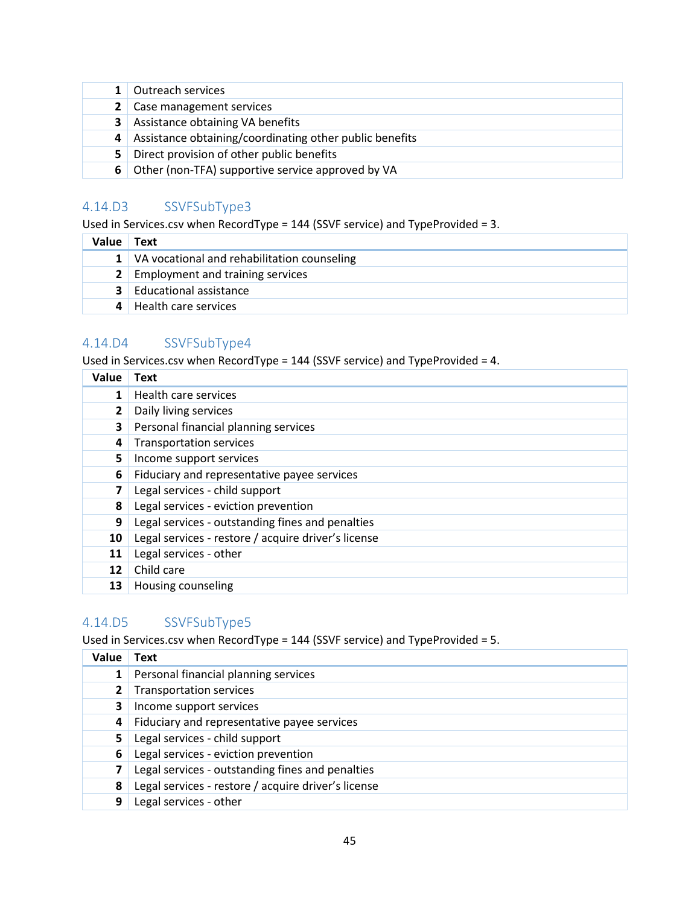| 1 Outreach services                                       |
|-----------------------------------------------------------|
| 2 Case management services                                |
| <b>3</b> Assistance obtaining VA benefits                 |
| 4 Assistance obtaining/coordinating other public benefits |
| 5 Direct provision of other public benefits               |
| 6 Other (non-TFA) supportive service approved by VA       |

## <span id="page-45-0"></span>4.14.D3 SSVFSubType3

Used in Services.csv when RecordType = 144 (SSVF service) and TypeProvided = 3.

| Value | Text                                            |
|-------|-------------------------------------------------|
|       | 1   VA vocational and rehabilitation counseling |
|       | <b>2</b> Employment and training services       |
|       | <b>3</b> Educational assistance                 |
|       | Health care services                            |

### <span id="page-45-1"></span>4.14.D4 SSVFSubType4

Used in Services.csv when RecordType = 144 (SSVF service) and TypeProvided = 4.

| Value        | Text                                                |
|--------------|-----------------------------------------------------|
| 1            | Health care services                                |
| $\mathbf{2}$ | Daily living services                               |
| 3            | Personal financial planning services                |
| 4            | <b>Transportation services</b>                      |
| 5.           | Income support services                             |
| 6            | Fiduciary and representative payee services         |
| 7            | Legal services - child support                      |
| 8            | Legal services - eviction prevention                |
| 9            | Legal services - outstanding fines and penalties    |
| 10           | Legal services - restore / acquire driver's license |
| 11           | Legal services - other                              |
| 12           | Child care                                          |
| 13           | Housing counseling                                  |

### <span id="page-45-2"></span>4.14.D5 SSVFSubType5

Used in Services.csv when RecordType = 144 (SSVF service) and TypeProvided = 5.

| Value | <b>Text</b>                                         |
|-------|-----------------------------------------------------|
|       | Personal financial planning services                |
|       | <b>Transportation services</b>                      |
| 3     | Income support services                             |
| 4     | Fiduciary and representative payee services         |
| 5     | Legal services - child support                      |
| 6     | Legal services - eviction prevention                |
|       | Legal services - outstanding fines and penalties    |
| 8     | Legal services - restore / acquire driver's license |
| 9     | Legal services - other                              |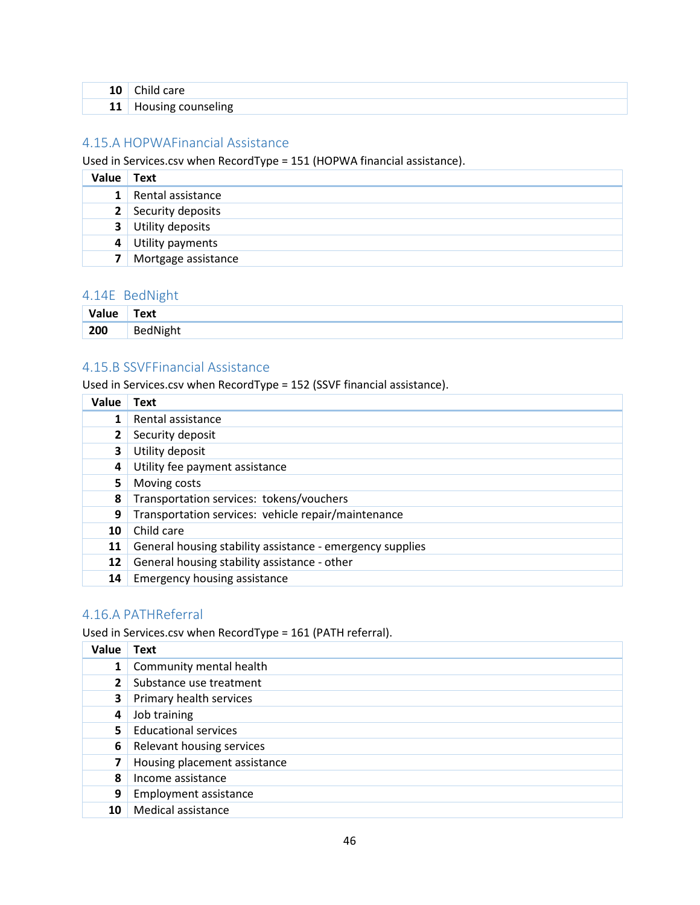| 10<br>$\sim$ | care                     |
|--------------|--------------------------|
| 11           | counseling<br>הייי-ייסיי |

### <span id="page-46-0"></span>4.15.A HOPWAFinancial Assistance

Used in Services.csv when RecordType = 151 (HOPWA financial assistance).

| Value          | <b>Text</b>               |
|----------------|---------------------------|
| 1 <sup>1</sup> | Rental assistance         |
|                | 2 Security deposits       |
|                | <b>3</b> Utility deposits |
|                | 4 Utility payments        |
| 7 <sup>1</sup> | Mortgage assistance       |

### <span id="page-46-1"></span>4.14E BedNight

| Value | -<br>Text |
|-------|-----------|
| 200   | BedNight  |

### <span id="page-46-2"></span>4.15.B SSVFFinancial Assistance

Used in Services.csv when RecordType = 152 (SSVF financial assistance).

| Value | Text                                                      |
|-------|-----------------------------------------------------------|
| 1     | Rental assistance                                         |
|       | Security deposit                                          |
| 3     | Utility deposit                                           |
| 4     | Utility fee payment assistance                            |
| 5.    | Moving costs                                              |
| 8     | Transportation services: tokens/vouchers                  |
| 9     | Transportation services: vehicle repair/maintenance       |
| 10    | Child care                                                |
| 11    | General housing stability assistance - emergency supplies |
| 12    | General housing stability assistance - other              |
| 14    | Emergency housing assistance                              |

### <span id="page-46-3"></span>4.16.A PATHReferral

Used in Services.csv when RecordType = 161 (PATH referral).

| Value | <b>Text</b>                  |
|-------|------------------------------|
|       | Community mental health      |
|       | Substance use treatment      |
| 3     | Primary health services      |
| 4     | Job training                 |
| 5.    | <b>Educational services</b>  |
| 6     | Relevant housing services    |
| 7     | Housing placement assistance |
| 8     | Income assistance            |
| 9     | <b>Employment assistance</b> |
| 10    | Medical assistance           |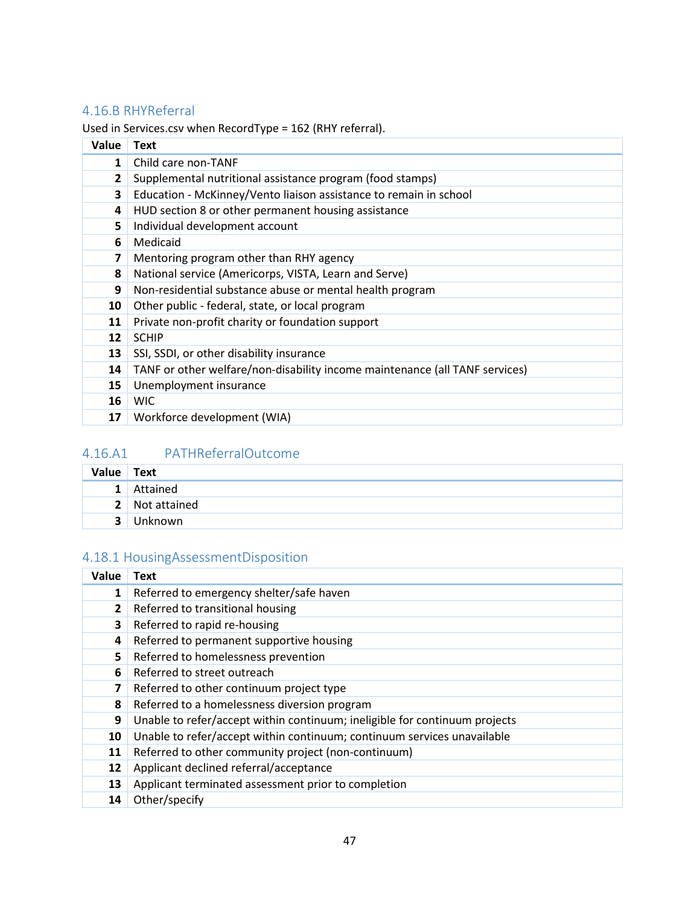## <span id="page-47-0"></span>4.16.B RHYReferral

Used in Services.csv when RecordType = 162 (RHY referral).

| Value | <b>Text</b>                                                                 |
|-------|-----------------------------------------------------------------------------|
| 1     | Child care non-TANF                                                         |
| 2     | Supplemental nutritional assistance program (food stamps)                   |
| 3     | Education - McKinney/Vento liaison assistance to remain in school           |
| 4     | HUD section 8 or other permanent housing assistance                         |
| 5     | Individual development account                                              |
| 6     | Medicaid                                                                    |
| 7     | Mentoring program other than RHY agency                                     |
| 8     | National service (Americorps, VISTA, Learn and Serve)                       |
| 9     | Non-residential substance abuse or mental health program                    |
| 10    | Other public - federal, state, or local program                             |
| 11    | Private non-profit charity or foundation support                            |
| 12    | <b>SCHIP</b>                                                                |
| 13    | SSI, SSDI, or other disability insurance                                    |
| 14    | TANF or other welfare/non-disability income maintenance (all TANF services) |
| 15    | Unemployment insurance                                                      |
| 16    | <b>WIC</b>                                                                  |
| 17    | Workforce development (WIA)                                                 |

## <span id="page-47-1"></span>4.16.A1 PATHReferralOutcome

| Value                   | Text           |
|-------------------------|----------------|
| 1 <sup>1</sup>          | Attained       |
|                         | 2 Not attained |
| $\overline{\mathbf{a}}$ | Unknown        |

## <span id="page-47-2"></span>4.18.1 HousingAssessmentDisposition

| Value        | Text                                                                       |
|--------------|----------------------------------------------------------------------------|
| 1            | Referred to emergency shelter/safe haven                                   |
| $\mathbf{2}$ | Referred to transitional housing                                           |
| 3            | Referred to rapid re-housing                                               |
| 4            | Referred to permanent supportive housing                                   |
| 5.           | Referred to homelessness prevention                                        |
| 6            | Referred to street outreach                                                |
| 7            | Referred to other continuum project type                                   |
| 8            | Referred to a homelessness diversion program                               |
| 9            | Unable to refer/accept within continuum; ineligible for continuum projects |
| 10           | Unable to refer/accept within continuum; continuum services unavailable    |
| 11           | Referred to other community project (non-continuum)                        |
| 12           | Applicant declined referral/acceptance                                     |
| 13           | Applicant terminated assessment prior to completion                        |
| 14           | Other/specify                                                              |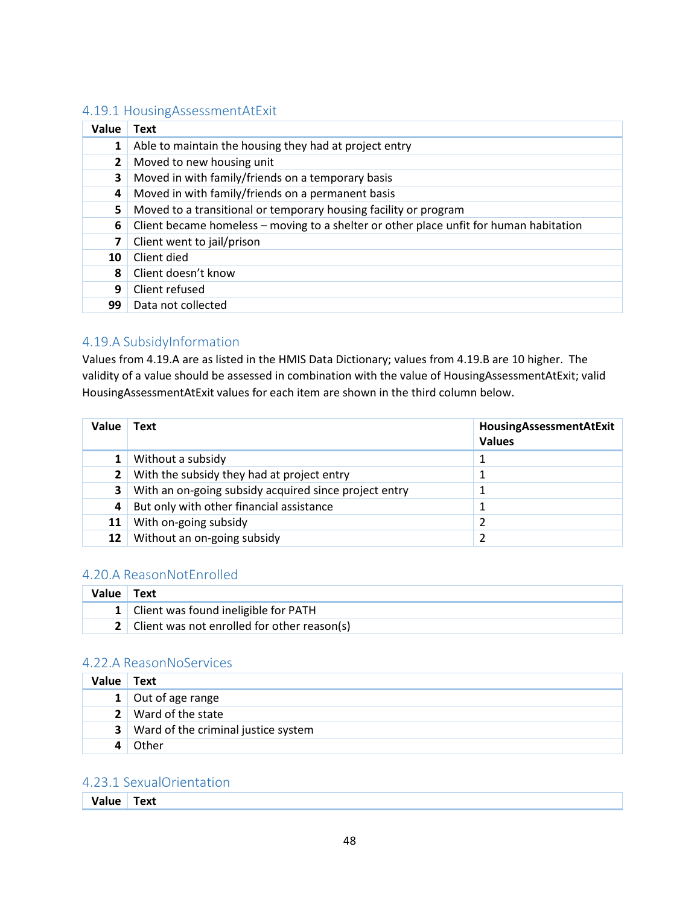### <span id="page-48-0"></span>4.19.1 HousingAssessmentAtExit

| Value        | Text                                                                                   |  |  |  |
|--------------|----------------------------------------------------------------------------------------|--|--|--|
| 1            | Able to maintain the housing they had at project entry                                 |  |  |  |
| $\mathbf{2}$ | Moved to new housing unit                                                              |  |  |  |
| 3            | Moved in with family/friends on a temporary basis                                      |  |  |  |
| 4            | Moved in with family/friends on a permanent basis                                      |  |  |  |
| 5.           | Moved to a transitional or temporary housing facility or program                       |  |  |  |
| 6            | Client became homeless - moving to a shelter or other place unfit for human habitation |  |  |  |
|              | Client went to jail/prison                                                             |  |  |  |
| 10           | Client died                                                                            |  |  |  |
| 8            | Client doesn't know                                                                    |  |  |  |
| 9            | Client refused                                                                         |  |  |  |
| 99           | Data not collected                                                                     |  |  |  |

### <span id="page-48-1"></span>4.19.A SubsidyInformation

Values from 4.19.A are as listed in the HMIS Data Dictionary; values from 4.19.B are 10 higher. The validity of a value should be assessed in combination with the value of HousingAssessmentAtExit; valid HousingAssessmentAtExit values for each item are shown in the third column below.

| Value        | Text                                                  | HousingAssessmentAtExit<br><b>Values</b> |
|--------------|-------------------------------------------------------|------------------------------------------|
|              | Without a subsidy                                     |                                          |
| $\mathbf{2}$ | With the subsidy they had at project entry            |                                          |
| 3.           | With an on-going subsidy acquired since project entry |                                          |
| 4            | But only with other financial assistance              |                                          |
| 11           | With on-going subsidy                                 |                                          |
| 12           | Without an on-going subsidy                           |                                          |

### <span id="page-48-2"></span>4.20.A ReasonNotEnrolled

| Value Text |                                               |
|------------|-----------------------------------------------|
|            | 1 Client was found ineligible for PATH        |
|            | 2 Client was not enrolled for other reason(s) |

### <span id="page-48-3"></span>4.22.A ReasonNoServices

| Value | Text                                         |
|-------|----------------------------------------------|
|       | 1 Out of age range                           |
|       | 2 Ward of the state                          |
|       | <b>3</b> Ward of the criminal justice system |
|       | Other                                        |

### <span id="page-48-4"></span>4.23.1 SexualOrientation

| Value Text |
|------------|
|            |
|            |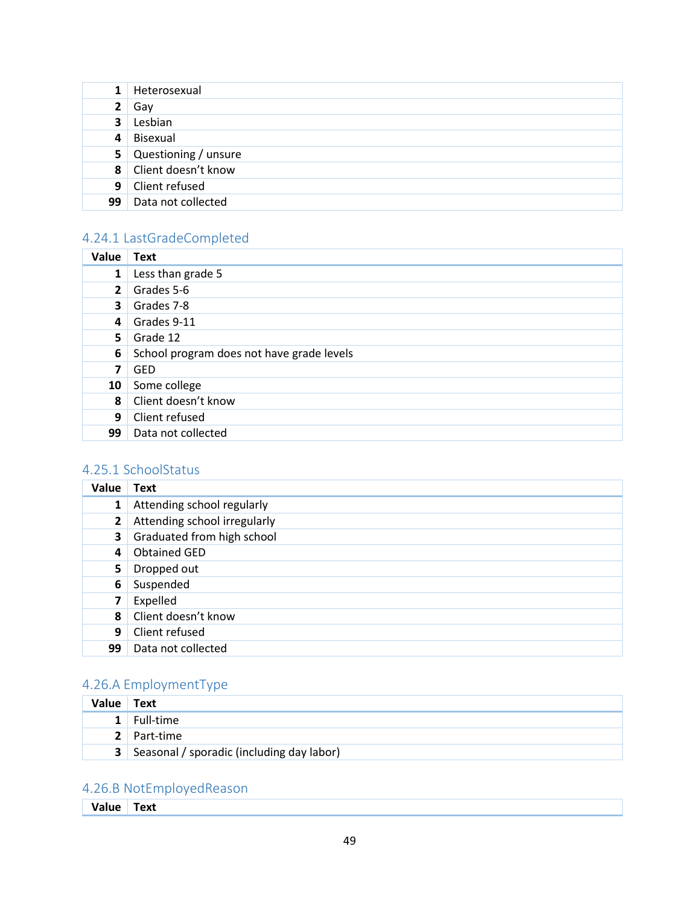| $\mathbf{1}$            | Heterosexual           |
|-------------------------|------------------------|
| $\mathbf{2}$            | Gav                    |
| $\overline{\mathbf{3}}$ | Lesbian                |
| 4                       | Bisexual               |
|                         | 5 Questioning / unsure |
|                         | 8 Client doesn't know  |
|                         | 9 Client refused       |
| 99                      | Data not collected     |

## <span id="page-49-0"></span>4.24.1 LastGradeCompleted

| Value          | <b>Text</b>                               |
|----------------|-------------------------------------------|
| $\mathbf{1}$   | Less than grade 5                         |
| $\mathbf{2}$   | Grades 5-6                                |
| 3              | Grades 7-8                                |
| $\overline{4}$ | Grades 9-11                               |
| 5.             | Grade 12                                  |
| 6              | School program does not have grade levels |
| 7              | <b>GED</b>                                |
| 10             | Some college                              |
| 8              | Client doesn't know                       |
| 9              | Client refused                            |
| 99             | Data not collected                        |

## <span id="page-49-1"></span>4.25.1 SchoolStatus

| Value          | <b>Text</b>                  |
|----------------|------------------------------|
| $\mathbf{1}$   | Attending school regularly   |
| $\overline{2}$ | Attending school irregularly |
| 3              | Graduated from high school   |
| 4              | <b>Obtained GED</b>          |
| 5              | Dropped out                  |
| 6              | Suspended                    |
| 7              | Expelled                     |
| 8              | Client doesn't know          |
| 9              | Client refused               |
| 99             | Data not collected           |

## <span id="page-49-2"></span>4.26.A EmploymentType

| Value Text |                                               |
|------------|-----------------------------------------------|
|            | $1$ Full-time                                 |
|            | 2 Part-time                                   |
|            | 3   Seasonal / sporadic (including day labor) |

## <span id="page-49-3"></span>4.26.B NotEmployedReason

**Value Text**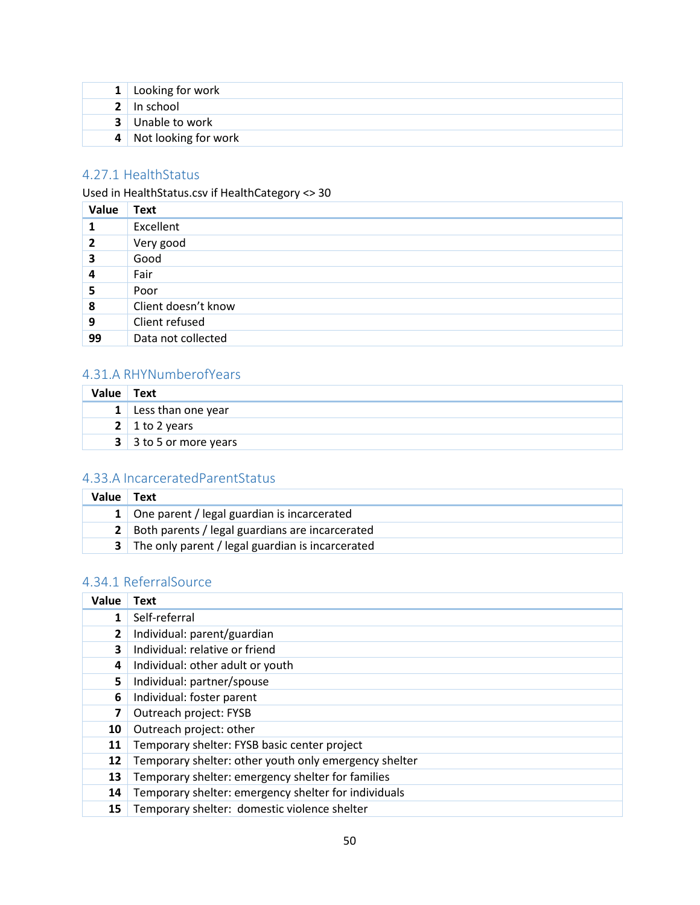| 1 Looking for work      |
|-------------------------|
| 2 In school             |
| <b>3</b> Unable to work |
| 4 Not looking for work  |

## <span id="page-50-0"></span>4.27.1 HealthStatus

Used in HealthStatus.csv if HealthCategory <> 30

| Value        | <b>Text</b>         |
|--------------|---------------------|
|              | Excellent           |
| $\mathbf{2}$ | Very good           |
| 3            | Good                |
| 4            | Fair                |
| 5            | Poor                |
| 8            | Client doesn't know |
| 9            | Client refused      |
| 99           | Data not collected  |

## <span id="page-50-1"></span>4.31.A RHYNumberofYears

| Value | Text                   |
|-------|------------------------|
|       | 1 Less than one year   |
|       | 2   1 to 2 years       |
|       | 3 3 to 5 or more years |

### <span id="page-50-2"></span>4.33.A IncarceratedParentStatus

| Value | Text                                               |
|-------|----------------------------------------------------|
|       | 1 One parent / legal guardian is incarcerated      |
|       | 2 Both parents / legal guardians are incarcerated  |
|       | 3 The only parent / legal guardian is incarcerated |

## <span id="page-50-3"></span>4.34.1 ReferralSource

| Value          | Text                                                  |
|----------------|-------------------------------------------------------|
| 1              | Self-referral                                         |
| $\overline{2}$ | Individual: parent/guardian                           |
| 3              | Individual: relative or friend                        |
| 4              | Individual: other adult or youth                      |
| 5              | Individual: partner/spouse                            |
| 6              | Individual: foster parent                             |
| 7              | Outreach project: FYSB                                |
| 10             | Outreach project: other                               |
| 11             | Temporary shelter: FYSB basic center project          |
| 12             | Temporary shelter: other youth only emergency shelter |
| 13             | Temporary shelter: emergency shelter for families     |
| 14             | Temporary shelter: emergency shelter for individuals  |
| 15             | Temporary shelter: domestic violence shelter          |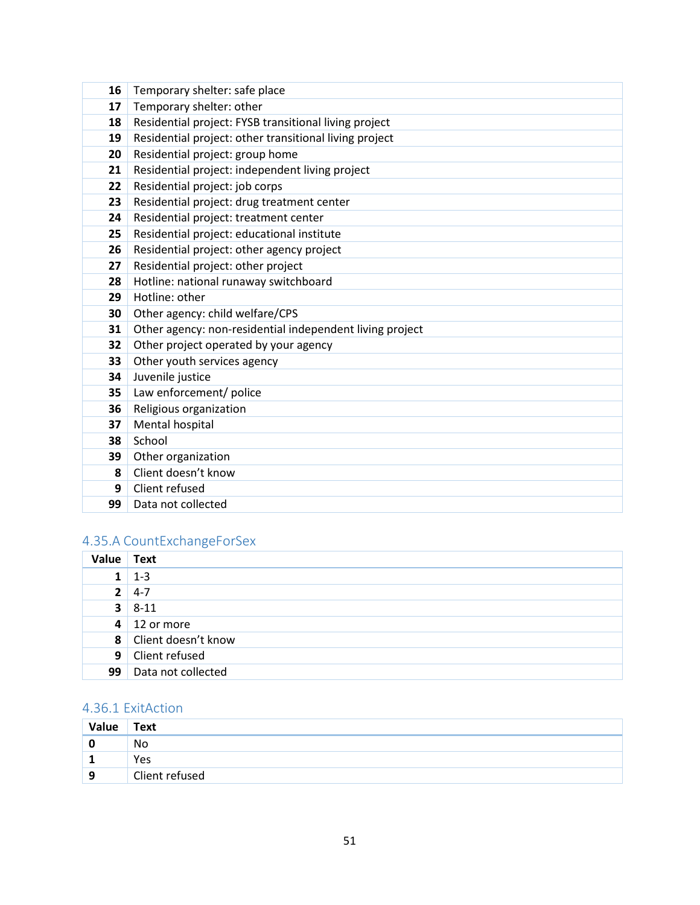| 16 | Temporary shelter: safe place                            |
|----|----------------------------------------------------------|
| 17 | Temporary shelter: other                                 |
| 18 | Residential project: FYSB transitional living project    |
| 19 | Residential project: other transitional living project   |
| 20 | Residential project: group home                          |
| 21 | Residential project: independent living project          |
| 22 | Residential project: job corps                           |
| 23 | Residential project: drug treatment center               |
| 24 | Residential project: treatment center                    |
| 25 | Residential project: educational institute               |
| 26 | Residential project: other agency project                |
| 27 | Residential project: other project                       |
| 28 | Hotline: national runaway switchboard                    |
| 29 | Hotline: other                                           |
| 30 | Other agency: child welfare/CPS                          |
| 31 | Other agency: non-residential independent living project |
| 32 | Other project operated by your agency                    |
| 33 | Other youth services agency                              |
| 34 | Juvenile justice                                         |
| 35 | Law enforcement/ police                                  |
| 36 | Religious organization                                   |
| 37 | Mental hospital                                          |
| 38 | School                                                   |
| 39 | Other organization                                       |
| 8  | Client doesn't know                                      |
| 9  | Client refused                                           |
| 99 | Data not collected                                       |

## <span id="page-51-0"></span>4.35.A CountExchangeForSex

| <b>Value</b>   | <b>Text</b>                 |
|----------------|-----------------------------|
| 1 <sup>1</sup> | $1 - 3$                     |
| 2 <sup>1</sup> | $4 - 7$                     |
|                | $3 \mid 8-11$               |
|                | $4 \mid 12 \text{ or more}$ |
|                | 8 Client doesn't know       |
| 9 <sub>1</sub> | Client refused              |
| 99             | Data not collected          |

## <span id="page-51-1"></span>4.36.1 ExitAction

| Value | <b>Text</b>    |
|-------|----------------|
|       | No             |
| ÷     | Yes            |
| 9     | Client refused |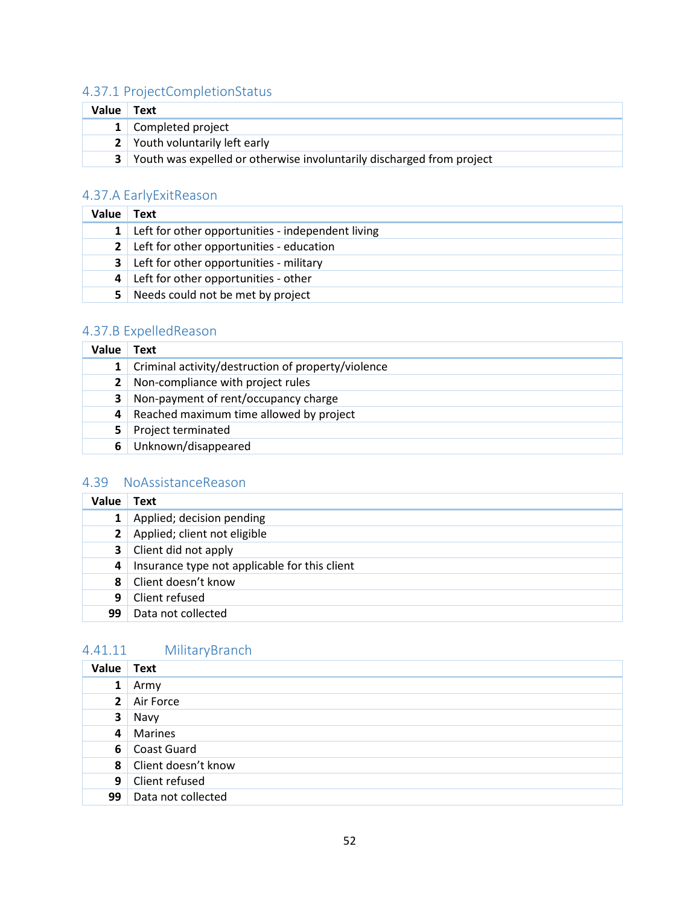## <span id="page-52-0"></span>4.37.1 ProjectCompletionStatus

| Value | Text                                                                  |
|-------|-----------------------------------------------------------------------|
|       | 1 Completed project                                                   |
|       | 2 Youth voluntarily left early                                        |
| 3     | Youth was expelled or otherwise involuntarily discharged from project |

## <span id="page-52-1"></span>4.37.A EarlyExitReason

| Value          | Text                                              |
|----------------|---------------------------------------------------|
| $\mathbf{1}$   | Left for other opportunities - independent living |
| 2 <sup>1</sup> | Left for other opportunities - education          |
| 3 <sup>1</sup> | Left for other opportunities - military           |
| $\vert$        | Left for other opportunities - other              |
| 5.             | Needs could not be met by project                 |

## <span id="page-52-2"></span>4.37.B ExpelledReason

| Value        | Text                                               |
|--------------|----------------------------------------------------|
| $1\vert$     | Criminal activity/destruction of property/violence |
| $\mathbf{2}$ | Non-compliance with project rules                  |
| 3            | Non-payment of rent/occupancy charge               |
| 4            | Reached maximum time allowed by project            |
| 5.           | Project terminated                                 |
| 6            | Unknown/disappeared                                |

## <span id="page-52-3"></span>4.39 NoAssistanceReason

| Value          | <b>Text</b>                                   |
|----------------|-----------------------------------------------|
| $\mathbf{1}$   | Applied; decision pending                     |
| 2 <sup>1</sup> | Applied; client not eligible                  |
| 3 <sup>1</sup> | Client did not apply                          |
| 4              | Insurance type not applicable for this client |
| 8              | Client doesn't know                           |
| 9              | Client refused                                |
| 99             | Data not collected                            |

## <span id="page-52-4"></span>4.41.11 MilitaryBranch

| Value Text      |                       |
|-----------------|-----------------------|
| $1 \mid$        | Army                  |
|                 | 2 Air Force           |
| 3 <sup>1</sup>  | Navy                  |
|                 | 4 Marines             |
|                 | 6 Coast Guard         |
|                 | 8 Client doesn't know |
|                 | 9 Client refused      |
| 99 <sub>1</sub> | Data not collected    |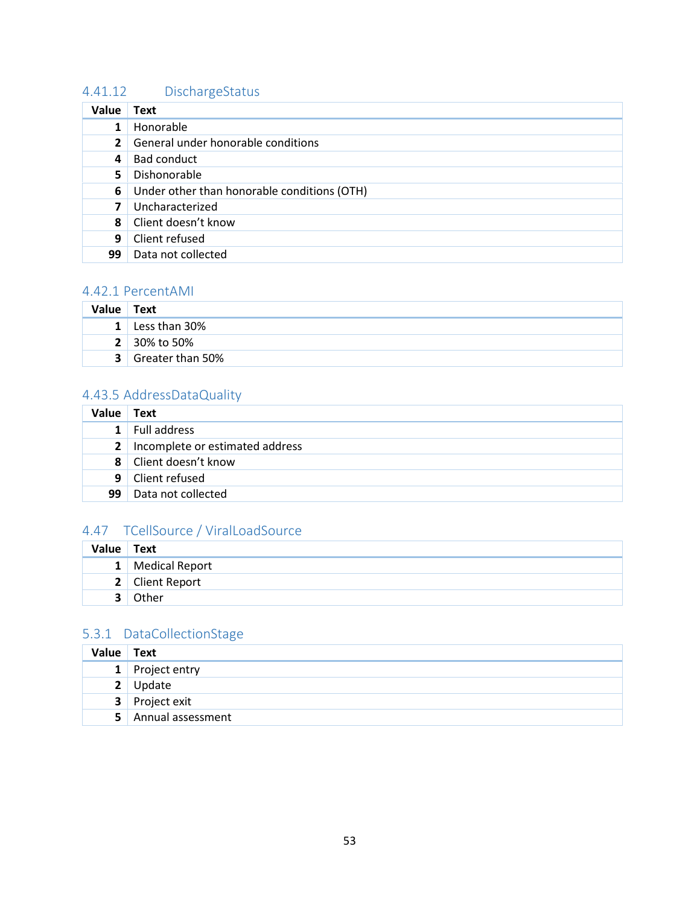## <span id="page-53-0"></span>4.41.12 DischargeStatus

| Value        | <b>Text</b>                                 |
|--------------|---------------------------------------------|
| 1            | Honorable                                   |
| $\mathbf{2}$ | General under honorable conditions          |
| 4            | Bad conduct                                 |
| 5.           | Dishonorable                                |
| 6            | Under other than honorable conditions (OTH) |
| 7            | Uncharacterized                             |
| 8            | Client doesn't know                         |
| 9            | Client refused                              |
| 99           | Data not collected                          |

### <span id="page-53-1"></span>4.42.1 PercentAMI

| <b>Value</b> | Text                |
|--------------|---------------------|
|              | 1 Less than $30\%$  |
|              | <b>2</b> 30% to 50% |
| 3 I          | Greater than 50%    |

## <span id="page-53-2"></span>4.43.5 AddressDataQuality

| <b>Value</b> | Text                                |
|--------------|-------------------------------------|
| $\mathbf 1$  | Full address                        |
|              | 2   Incomplete or estimated address |
|              | 8 Client doesn't know               |
|              | 9 Client refused                    |
| 99           | Data not collected                  |

## <span id="page-53-3"></span>4.47 TCellSource / ViralLoadSource

| Value Text |                  |
|------------|------------------|
|            | 1 Medical Report |
|            | 2 Client Report  |
|            | Other            |

### <span id="page-53-4"></span>5.3.1 DataCollectionStage

| Value Text     |                   |
|----------------|-------------------|
|                | 1 Project entry   |
| 2 <sup>1</sup> | Update            |
|                | 3 Project exit    |
| 5 <sup>1</sup> | Annual assessment |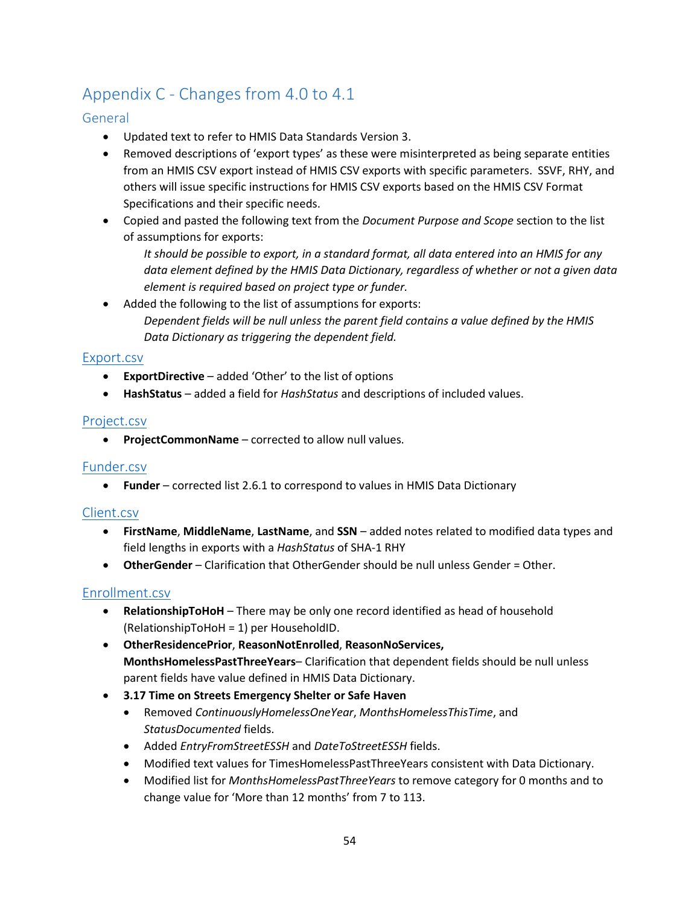## <span id="page-54-0"></span>Appendix C - Changes from 4.0 to 4.1

### <span id="page-54-1"></span>General

- Updated text to refer to HMIS Data Standards Version 3.
- Removed descriptions of 'export types' as these were misinterpreted as being separate entities from an HMIS CSV export instead of HMIS CSV exports with specific parameters. SSVF, RHY, and others will issue specific instructions for HMIS CSV exports based on the HMIS CSV Format Specifications and their specific needs.
- Copied and pasted the following text from the *Document Purpose and Scope* section to the list of assumptions for exports:

*It should be possible to export, in a standard format, all data entered into an HMIS for any data element defined by the HMIS Data Dictionary, regardless of whether or not a given data element is required based on project type or funder.* 

Added the following to the list of assumptions for exports: *Dependent fields will be null unless the parent field contains a value defined by the HMIS Data Dictionary as triggering the dependent field.*

### <span id="page-54-2"></span>[Export.csv](#page-12-1)

- **ExportDirective** added 'Other' to the list of options
- **HashStatus** added a field for *HashStatus* and descriptions of included values.

### <span id="page-54-3"></span>[Project.csv](#page-13-2)

• **ProjectCommonName** – corrected to allow null values.

### <span id="page-54-4"></span>[Funder.csv](#page-14-0)

• **Funder** – corrected list 2.6.1 to correspond to values in HMIS Data Dictionary

### <span id="page-54-5"></span>[Client.csv](#page-17-0)

- **FirstName**, **MiddleName**, **LastName**, and **SSN** added notes related to modified data types and field lengths in exports with a *HashStatus* of SHA-1 RHY
- **OtherGender** Clarification that OtherGender should be null unless Gender = Other.

### <span id="page-54-6"></span>[Enrollment.csv](#page-19-0)

- **RelationshipToHoH** There may be only one record identified as head of household (RelationshipToHoH = 1) per HouseholdID.
- **OtherResidencePrior**, **ReasonNotEnrolled**, **ReasonNoServices, MonthsHomelessPastThreeYears**– Clarification that dependent fields should be null unless parent fields have value defined in HMIS Data Dictionary.
- **3.17 Time on Streets Emergency Shelter or Safe Haven** 
	- Removed *ContinuouslyHomelessOneYear*, *MonthsHomelessThisTime*, and *StatusDocumented* fields.
	- Added *EntryFromStreetESSH* and *DateToStreetESSH* fields.
	- Modified text values for TimesHomelessPastThreeYears consistent with Data Dictionary.
	- Modified list for *MonthsHomelessPastThreeYears* to remove category for 0 months and to change value for 'More than 12 months' from 7 to 113.